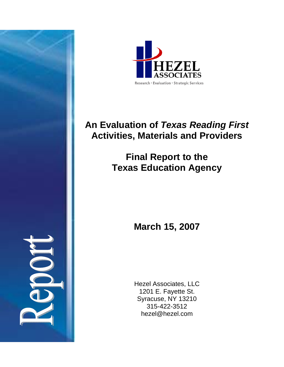



# **An Evaluation of** *Texas Reading First*  **Activities, Materials and Providers**

**Final Report to the Texas Education Agency** 

**March 15, 2007** 

Hezel Associates, LLC 1201 E. Fayette St. Syracuse, NY 13210 315-422-3512 hezel@hezel.com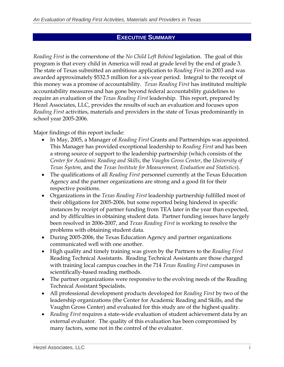#### **EXECUTIVE SUMMARY**

*Reading First* is the cornerstone of the *No Child Left Behind* legislation. The goal of this program is that every child in America will read at grade level by the end of grade 3. The state of Texas submitted an ambitious application to *Reading First* in 2003 and was awarded approximately \$532.5 million for a six-year period. Integral to the receipt of this money was a promise of accountability. *Texas Reading First* has instituted multiple accountability measures and has gone beyond federal accountability guidelines to require an evaluation of the *Texas Reading First* leadership. This report, prepared by Hezel Associates, LLC, provides the results of such an evaluation and focuses upon *Reading First* activities, materials and providers in the state of Texas predominantly in school year 2005-2006.

Major findings of this report include:

- In May, 2005, a Manager of *Reading First* Grants and Partnerships was appointed. This Manager has provided exceptional leadership to *Reading First* and has been a strong source of support to the leadership partnership (which consists of the *Center for Academic Reading and Skills*, the *Vaughn Gross Center*, the *University of Texas System*, and the *Texas Institute for Measurement, Evaluation and Statistics*).
- The qualifications of all *Reading First* personnel currently at the Texas Education Agency and the partner organizations are strong and a good fit for their respective positions.
- Organizations in the *Texas Reading First* leadership partnership fulfilled most of their obligations for 2005-2006, but some reported being hindered in specific instances by receipt of partner funding from TEA later in the year than expected, and by difficulties in obtaining student data. Partner funding issues have largely been resolved in 2006-2007, and *Texas Reading First* is working to resolve the problems with obtaining student data.
- During 2005-2006, the Texas Education Agency and partner organizations communicated well with one another.
- High quality and timely training was given by the Partners to the *Reading First*  Reading Technical Assistants. Reading Technical Assistants are those charged with training local campus coaches in the 714 *Texas Reading First* campuses in scientifically-based reading methods.
- The partner organizations were responsive to the evolving needs of the Reading Technical Assistant Specialists.
- All professional development products developed for *Reading First* by two of the leadership organizations (the Center for Academic Reading and Skills, and the Vaughn Gross Center) and evaluated for this study are of the highest quality.
- *Reading First* requires a state-wide evaluation of student achievement data by an external evaluator. The quality of this evaluation has been compromised by many factors, some not in the control of the evaluator.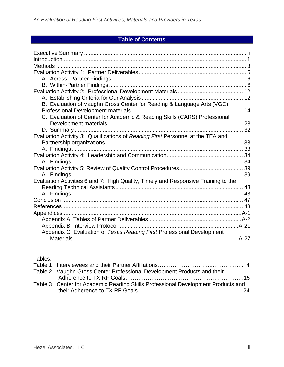# **Table of Contents**

| 43 |
|----|
|    |
|    |
|    |
|    |
|    |
|    |
|    |
|    |
|    |

Tables:

| Table 2 Vaughn Gross Center Professional Development Products and their          |
|----------------------------------------------------------------------------------|
|                                                                                  |
| Table 3 Center for Academic Reading Skills Professional Development Products and |
|                                                                                  |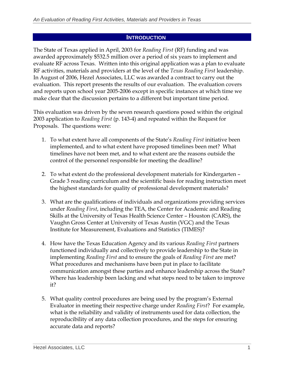#### **INTRODUCTION**

The State of Texas applied in April, 2003 for *Reading First* (RF) funding and was awarded approximately \$532.5 million over a period of six years to implement and evaluate RF across Texas. Written into this original application was a plan to evaluate RF activities, materials and providers at the level of the *Texas Reading First* leadership. In August of 2006, Hezel Associates, LLC was awarded a contract to carry out the evaluation. This report presents the results of our evaluation. The evaluation covers and reports upon school year 2005-2006 except in specific instances at which time we make clear that the discussion pertains to a different but important time period.

This evaluation was driven by the seven research questions posed within the original 2003 application to *Reading First* (p. 143-4) and repeated within the Request for Proposals. The questions were:

- 1. To what extent have all components of the State's *Reading First* initiative been implemented, and to what extent have proposed timelines been met? What timelines have not been met, and to what extent are the reasons outside the control of the personnel responsible for meeting the deadline?
- 2. To what extent do the professional development materials for Kindergarten Grade 3 reading curriculum and the scientific basis for reading instruction meet the highest standards for quality of professional development materials?
- 3. What are the qualifications of individuals and organizations providing services under *Reading First*, including the TEA, the Center for Academic and Reading Skills at the University of Texas Health Science Center – Houston (CARS), the Vaughn Gross Center at University of Texas Austin (VGC) and the Texas Institute for Measurement, Evaluations and Statistics (TIMES)?
- 4. How have the Texas Education Agency and its various *Reading First* partners functioned individually and collectively to provide leadership to the State in implementing *Reading First* and to ensure the goals of *Reading First* are met? What procedures and mechanisms have been put in place to facilitate communication amongst these parties and enhance leadership across the State? Where has leadership been lacking and what steps need to be taken to improve it?
- 5. What quality control procedures are being used by the program's External Evaluator in meeting their respective charge under *Reading First*? For example, what is the reliability and validity of instruments used for data collection, the reproducibility of any data collection procedures, and the steps for ensuring accurate data and reports?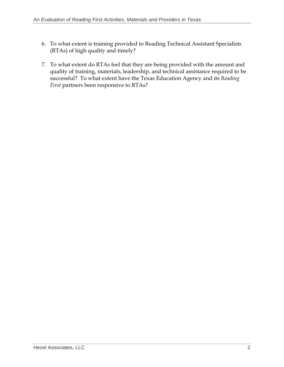- 6. To what extent is training provided to Reading Technical Assistant Specialists (RTAs) of high quality and timely?
- 7. To what extent do RTAs feel that they are being provided with the amount and quality of training, materials, leadership, and technical assistance required to be successful? To what extent have the Texas Education Agency and its *Reading First* partners been responsive to RTAs?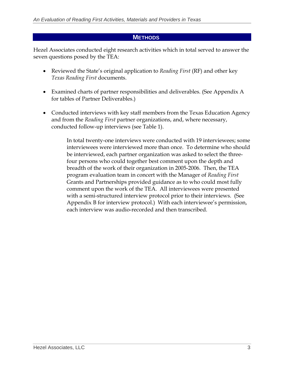#### **METHODS**

Hezel Associates conducted eight research activities which in total served to answer the seven questions posed by the TEA:

- Reviewed the State's original application to *Reading First* (RF) and other key *Texas Reading First* documents.
- Examined charts of partner responsibilities and deliverables. (See Appendix A for tables of Partner Deliverables.)
- Conducted interviews with key staff members from the Texas Education Agency and from the *Reading First* partner organizations, and, where necessary, conducted follow-up interviews (see Table 1).

In total twenty-one interviews were conducted with 19 interviewees; some interviewees were interviewed more than once. To determine who should be interviewed, each partner organization was asked to select the threefour persons who could together best comment upon the depth and breadth of the work of their organization in 2005-2006. Then, the TEA program evaluation team in concert with the Manager of *Reading First*  Grants and Partnerships provided guidance as to who could most fully comment upon the work of the TEA. All interviewees were presented with a semi-structured interview protocol prior to their interviews. (See Appendix B for interview protocol.) With each interviewee's permission, each interview was audio-recorded and then transcribed.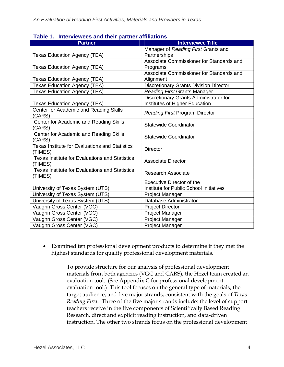| <u>iavie I. Tillei viewees and their partier anniations</u>      |                                               |
|------------------------------------------------------------------|-----------------------------------------------|
| <b>Partner</b>                                                   | <b>Interviewee Title</b>                      |
|                                                                  | Manager of Reading First Grants and           |
| <b>Texas Education Agency (TEA)</b>                              | Partnerships                                  |
|                                                                  | Associate Commissioner for Standards and      |
| <b>Texas Education Agency (TEA)</b>                              | Programs                                      |
|                                                                  | Associate Commissioner for Standards and      |
| <b>Texas Education Agency (TEA)</b>                              | Alignment                                     |
| <b>Texas Education Agency (TEA)</b>                              | <b>Discretionary Grants Division Director</b> |
| <b>Texas Education Agency (TEA)</b>                              | <b>Reading First Grants Manager</b>           |
|                                                                  | Discretionary Grants Administrator for        |
| <b>Texas Education Agency (TEA)</b>                              | Institutes of Higher Education                |
| Center for Academic and Reading Skills                           | <b>Reading First Program Director</b>         |
| (CARS)                                                           |                                               |
| Center for Academic and Reading Skills                           | <b>Statewide Coordinator</b>                  |
| (CARS)                                                           |                                               |
| Center for Academic and Reading Skills                           | <b>Statewide Coordinator</b>                  |
| (CARS)                                                           |                                               |
| <b>Texas Institute for Evaluations and Statistics</b>            | <b>Director</b>                               |
| (TIMES)                                                          |                                               |
| <b>Texas Institute for Evaluations and Statistics</b>            | <b>Associate Director</b>                     |
| (TIMES)<br><b>Texas Institute for Evaluations and Statistics</b> |                                               |
| (TIMES)                                                          | <b>Research Associate</b>                     |
|                                                                  | <b>Executive Director of the</b>              |
| University of Texas System (UTS)                                 | Institute for Public School Initiatives       |
| University of Texas System (UTS)                                 | Project Manager                               |
| University of Texas System (UTS)                                 | Database Administrator                        |
|                                                                  |                                               |
| Vaughn Gross Center (VGC)                                        | <b>Project Director</b>                       |
| Vaughn Gross Center (VGC)                                        | <b>Project Manager</b>                        |
| Vaughn Gross Center (VGC)                                        | <b>Project Manager</b>                        |
| Vaughn Gross Center (VGC)                                        | <b>Project Manager</b>                        |

#### **Table 1. Interviewees and their partner affiliations**

• Examined ten professional development products to determine if they met the highest standards for quality professional development materials.

> To provide structure for our analysis of professional development materials from both agencies (VGC and CARS), the Hezel team created an evaluation tool. (See Appendix C for professional development evaluation tool.) This tool focuses on the general type of materials, the target audience, and five major strands, consistent with the goals of *Texas Reading First*. Three of the five major strands include: the level of support teachers receive in the five components of Scientifically Based Reading Research, direct and explicit reading instruction, and data-driven instruction. The other two strands focus on the professional development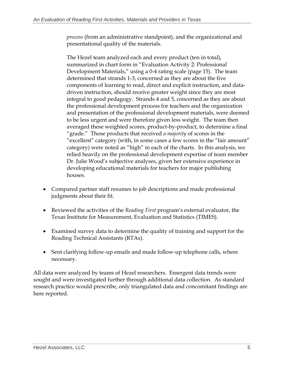*process* (from an administrative standpoint), and the organizational and presentational quality of the materials.

The Hezel team analyzed each and every product (ten in total), summarized in chart form in "Evaluation Activity 2: Professional Development Materials," using a 0-4 rating scale (page 15). The team determined that strands 1-3, concerned as they are about the five components of learning to read, direct and explicit instruction, and datadriven instruction, should receive greater weight since they are most integral to good pedagogy. Strands 4 and 5, concerned as they are about the professional development process for teachers and the organization and presentation of the professional development materials, were deemed to be less urgent and were therefore given less weight. The team then averaged these weighted scores, product-by-product, to determine a final "grade." Those products that received *a majority* of scores in the "excellent" category (with, in some cases a few scores in the "fair amount" category) were noted as "high" in each of the charts. In this analysis, we relied heavily on the professional development expertise of team member Dr. Julie Wood's subjective analyses, given her extensive experience in developing educational materials for teachers for major publishing houses.

- Compared partner staff resumes to job descriptions and made professional judgments about their fit.
- Reviewed the activities of the *Reading First* program's external evaluator, the Texas Institute for Measurement, Evaluation and Statistics (TIMES).
- Examined survey data to determine the quality of training and support for the Reading Technical Assistants (RTAs).
- Sent clarifying follow-up emails and made follow-up telephone calls, where necessary.

All data were analyzed by teams of Hezel researchers. Emergent data trends were sought and were investigated further through additional data collection. As standard research practice would prescribe, only triangulated data and concomitant findings are here reported.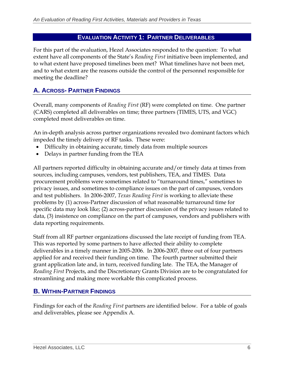#### **EVALUATION ACTIVITY 1: PARTNER DELIVERABLES**

For this part of the evaluation, Hezel Associates responded to the question: To what extent have all components of the State's *Reading First* initiative been implemented, and to what extent have proposed timelines been met? What timelines have not been met, and to what extent are the reasons outside the control of the personnel responsible for meeting the deadline?

# **A. ACROSS- PARTNER FINDINGS**

Overall, many components of *Reading First* (RF) were completed on time. One partner (CARS) completed all deliverables on time; three partners (TIMES, UTS, and VGC) completed most deliverables on time.

An in-depth analysis across partner organizations revealed two dominant factors which impeded the timely delivery of RF tasks. These were:

- Difficulty in obtaining accurate, timely data from multiple sources
- Delays in partner funding from the TEA

All partners reported difficulty in obtaining accurate and/or timely data at times from sources, including campuses, vendors, test publishers, TEA, and TIMES. Data procurement problems were sometimes related to "turnaround times," sometimes to privacy issues, and sometimes to compliance issues on the part of campuses, vendors and test publishers. In 2006-2007, *Texas Reading First* is working to alleviate these problems by (1) across-Partner discussion of what reasonable turnaround time for specific data may look like; (2) across-partner discussion of the privacy issues related to data, (3) insistence on compliance on the part of campuses, vendors and publishers with data reporting requirements.

Staff from all RF partner organizations discussed the late receipt of funding from TEA. This was reported by some partners to have affected their ability to complete deliverables in a timely manner in 2005-2006. In 2006-2007, three out of four partners applied for and received their funding on time. The fourth partner submitted their grant application late and, in turn, received funding late. The TEA, the Manager of *Reading First* Projects, and the Discretionary Grants Division are to be congratulated for streamlining and making more workable this complicated process.

#### **B. WITHIN-PARTNER FINDINGS**

Findings for each of the *Reading First* partners are identified below. For a table of goals and deliverables, please see Appendix A.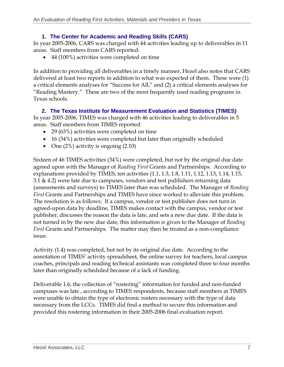#### **1. The Center for Academic and Reading Skills (CARS)**

In year 2005-2006, CARS was charged with 44 activities leading up to deliverables in 11 areas. Staff members from CARS reported:

• 44 (100%) activities were completed on time

In addition to providing all deliverables in a timely manner, Hezel also notes that CARS delivered at least two reports in addition to what was expected of them. These were (1) a critical elements analyses for "Success for All," and (2) a critical elements analyses for "Reading Mastery." These are two of the most frequently used reading programs in Texas schools.

#### **2. The Texas Institute for Measurement Evaluation and Statistics (TIMES)**

In year 2005-2006, TIMES was charged with 46 activities leading to deliverables in 5 areas. Staff members from TIMES reported:

- 29 (63%) activities were completed on time
- 16 (34%) activities were completed but later than originally scheduled
- One (2%) activity is ongoing (2.10)

Sixteen of 46 TIMES activities (34%) were completed, but not by the original due date agreed upon with the Manager of *Reading First* Grants and Partnerships. According to explanations provided by TIMES, ten activities (1.1, 1.3, 1.8, 1.11, 1.12, 1.13, 1.14, 1.15, 3.1  $\&$  4.2) were late due to campuses, vendors and test publishers returning data (assessments and surveys) to TIMES later than was scheduled. The Manager of *Reading First* Grants and Partnerships and TIMES have since worked to alleviate this problem. The resolution is as follows: If a campus, vendor or test publisher does not turn in agreed-upon data by deadline, TIMES makes contact with the campus, vendor or test publisher, discusses the reason the data is late, and sets a new due date. If the data is not turned in by the new due date, this information is given to the Manager of *Reading First* Grants and Partnerships. The matter may then be treated as a non-compliance issue.

Activity (1.4) was completed, but not by its original due date. According to the annotation of TIMES' activity spreadsheet, the online survey for teachers, local campus coaches, principals and reading technical assistants was completed three to four months later than originally scheduled because of a lack of funding.

Deliverable 1.6, the collection of "rostering" information for funded and non-funded campuses was late , according to TIMES respondents, because staff members at TIMES were unable to obtain the type of electronic rosters necessary with the type of data necessary from the LCCs. TIMES did find a method to secure this information and provided this rostering information in their 2005-2006 final evaluation report.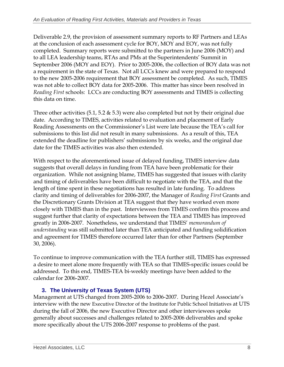Deliverable 2.9, the provision of assessment summary reports to RF Partners and LEAs at the conclusion of each assessment cycle for BOY, MOY and EOY, was not fully completed. Summary reports were submitted to the partners in June 2006 (MOY) and to all LEA leadership teams, RTAs and PMs at the Superintendents' Summit in September 2006 (MOY and EOY). Prior to 2005-2006, the collection of BOY data was not a requirement in the state of Texas. Not all LCCs knew and were prepared to respond to the new 2005-2006 requirement that BOY assessment be completed. As such, TIMES was not able to collect BOY data for 2005-2006. This matter has since been resolved in *Reading First* schools: LCCs are conducting BOY assessments and TIMES is collecting this data on time.

Three other activities (5.1, 5.2 & 5.3) were also completed but not by their original due date. According to TIMES, activities related to evaluation and placement of Early Reading Assessments on the Commissioner's List were late because the TEA's call for submissions to this list did not result in many submissions. As a result of this, TEA extended the deadline for publishers' submissions by six weeks, and the original due date for the TIMES activities was also then extended.

With respect to the aforementioned issue of delayed funding, TIMES interview data suggests that overall delays in funding from TEA have been problematic for their organization. While not assigning blame, TIMES has suggested that issues with clarity and timing of deliverables have been difficult to negotiate with the TEA, and that the length of time spent in these negotiations has resulted in late funding. To address clarity and timing of deliverables for 2006-2007, the Manager of *Reading First* Grants and the Discretionary Grants Division at TEA suggest that they have worked even more closely with TIMES than in the past. Interviewees from TIMES confirm this process and suggest further that clarity of expectations between the TEA and TIMES has improved greatly in 2006-2007. Nonetheless, we understand that TIMES' *memorandum of understanding* was still submitted later than TEA anticipated and funding solidification and agreement for TIMES therefore occurred later than for other Partners (September 30, 2006).

To continue to improve communication with the TEA further still, TIMES has expressed a desire to meet alone more frequently with TEA so that TIMES-specific issues could be addressed. To this end, TIMES-TEA bi-weekly meetings have been added to the calendar for 2006-2007.

# **3. The University of Texas System (UTS)**

Management at UTS changed from 2005-2006 to 2006-2007. During Hezel Associate's interview with the new Executive Director of the Institute for Public School Initiatives at UTS during the fall of 2006, the new Executive Director and other interviewees spoke generally about successes and challenges related to 2005-2006 deliverables and spoke more specifically about the UTS 2006-2007 response to problems of the past.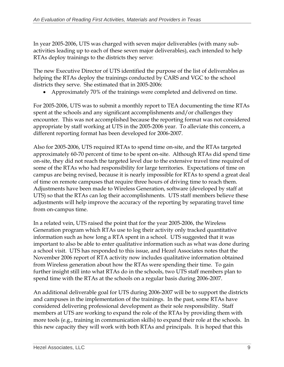In year 2005-2006, UTS was charged with seven major deliverables (with many subactivities leading up to each of these seven major deliverables), each intended to help RTAs deploy trainings to the districts they serve:

The new Executive Director of UTS identified the purpose of the list of deliverables as helping the RTAs deploy the trainings conducted by CARS and VGC to the school districts they serve. She estimated that in 2005-2006:

• Approximately 70% of the trainings were completed and delivered on time.

For 2005-2006, UTS was to submit a monthly report to TEA documenting the time RTAs spent at the schools and any significant accomplishments and/or challenges they encounter. This was not accomplished because the reporting format was not considered appropriate by staff working at UTS in the 2005-2006 year. To alleviate this concern, a different reporting format has been developed for 2006-2007.

Also for 2005-2006, UTS required RTAs to spend time on-site, and the RTAs targeted approximately 60-70 percent of time to be spent on-site. Although RTAs did spend time on-site, they did not reach the targeted level due to the extensive travel time required of some of the RTAs who had responsibility for large territories. Expectations of time on campus are being revised, because it is nearly impossible for RTAs to spend a great deal of time on remote campuses that require three hours of driving time to reach them. Adjustments have been made to Wireless Generation, software (developed by staff at UTS) so that the RTAs can log their accomplishments. UTS staff members believe these adjustments will help improve the accuracy of the reporting by separating travel time from on-campus time.

In a related vein, UTS raised the point that for the year 2005-2006, the Wireless Generation program which RTAs use to log their activity only tracked quantitative information such as how long a RTA spent in a school. UTS suggested that it was important to also be able to enter qualitative information such as what was done during a school visit. UTS has responded to this issue, and Hezel Associates notes that the November 2006 report of RTA activity now includes qualitative information obtained from Wireless generation about how the RTAs were spending their time. To gain further insight still into what RTAs do in the schools, two UTS staff members plan to spend time with the RTAs at the schools on a regular basis during 2006-2007.

An additional deliverable goal for UTS during 2006-2007 will be to support the districts and campuses in the implementation of the trainings. In the past, some RTAs have considered delivering professional development as their sole responsibility. Staff members at UTS are working to expand the role of the RTAs by providing them with more tools (e.g., training in communication skills) to expand their role at the schools. In this new capacity they will work with both RTAs and principals. It is hoped that this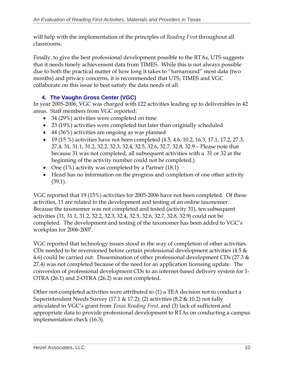will help with the implementation of the principles of *Reading First* throughout all classrooms.

Finally, to give the best professional development possible to the RTAs, UTS suggests that it needs timely achievement data from TIMES. While this is not always possible due to both the practical matter of how long it takes to "turnaround" most data (two months) and privacy concerns, it is recommended that UTS, TIMES and VGC collaborate on this issue to best satisfy the data needs of all.

# **4. The Vaughn Gross Center (VGC)**

In year 2005-2006, VGC was charged with 122 activities leading up to deliverables in 42 areas. Staff members from VGC reported:

- 34 (29%) activities were completed on time
- 23 (19%) activities were completed but later than originally scheduled
- 44 (36%) activities are ongoing as was planned
- 19 (15 %) activities have not been completed (4.5, 4.6, 10.2, 16.3, 17.1, 17.2, 27.3, 27.4, 31, 31.1, 31.2, 32.2, 32.3, 32.4, 32.5, 32.6, 32.7, 32.8, 32.9 – Please note that because 31 was not completed, all subsequent activities with a 31 or 32 at the beginning of the activity number could not be completed.)
- One (1%) activity was completed by a Partner (18.1)
- Hezel has no information on the progress and completion of one other activity (39.1).

VGC reported that 19 (15%) activities for 2005-2006 have not been completed. Of these activities, 11 are related to the development and testing of an online taxonomer. Because the taxonomer was not completed and tested (activity 31), ten subsequent activities (31, 31.1, 31.2, 32.2, 32.3, 32.4, 32.5, 32.6, 32.7, 32.8, 32.9) could not be completed. The development and testing of the taxonomer has been added to VGC's workplan for 2006-2007.

VGC reported that technology issues stood in the way of completion of other activities. CDs needed to be reversioned before certain professional development activities (4.5 & 4.6) could be carried out. Dissemination of other professional development CDs (27.3 & 27.4) was not completed because of the need for an application licensing update. The conversion of professional development CDs to an internet-based delivery system for 1- OTRA (26.1) and 2-OTRA (26.2) was not completed.

Other not-completed activities were attributed to (1) a TEA decision not to conduct a Superintendent Needs Survey (17.1 & 17.2); (2) activities (8.2 & 10.2) not fully articulated in VGC's grant from *Texas Reading First*, and (3) lack of sufficient and appropriate data to provide professional development to RTAs on conducting a campus implementation check (16.3).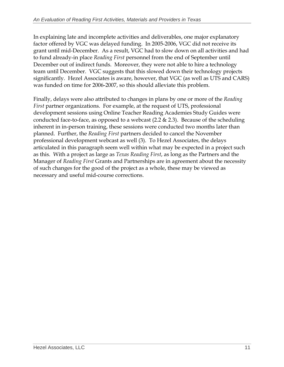In explaining late and incomplete activities and deliverables, one major explanatory factor offered by VGC was delayed funding. In 2005-2006, VGC did not receive its grant until mid-December. As a result, VGC had to slow down on all activities and had to fund already-in place *Reading First* personnel from the end of September until December out of indirect funds. Moreover, they were not able to hire a technology team until December. VGC suggests that this slowed down their technology projects significantly. Hezel Associates is aware, however, that VGC (as well as UTS and CARS) was funded on time for 2006-2007, so this should alleviate this problem.

Finally, delays were also attributed to changes in plans by one or more of the *Reading First* partner organizations. For example, at the request of UTS, professional development sessions using Online Teacher Reading Academies Study Guides were conducted face-to-face, as opposed to a webcast  $(2.2 \& 2.3)$ . Because of the scheduling inherent in in-person training, these sessions were conducted two months later than planned. Further, the *Reading First* partners decided to cancel the November professional development webcast as well (3). To Hezel Associates, the delays articulated in this paragraph seem well within what may be expected in a project such as this. With a project as large as *Texas Reading First*, as long as the Partners and the Manager of *Reading First* Grants and Partnerships are in agreement about the necessity of such changes for the good of the project as a whole, these may be viewed as necessary and useful mid-course corrections.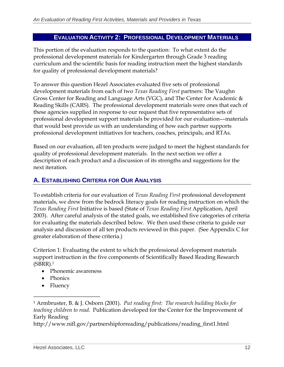#### **EVALUATION ACTIVITY 2: PROFESSIONAL DEVELOPMENT MATERIALS**

This portion of the evaluation responds to the question: To what extent do the professional development materials for Kindergarten through Grade 3 reading curriculum and the scientific basis for reading instruction meet the highest standards for quality of professional development materials?

To answer this question Hezel Associates evaluated five sets of professional development materials from each of two *Texas Reading First* partners: The Vaughn Gross Center for Reading and Language Arts (VGC), and The Center for Academic & Reading Skills (CARS). The professional development materials were ones that each of these agencies supplied in response to our request that five representative sets of professional development support materials be provided for our evaluation––materials that would best provide us with an understanding of how each partner supports professional development initiatives for teachers, coaches, principals, and RTAs.

Based on our evaluation, all ten products were judged to meet the highest standards for quality of professional development materials. In the next section we offer a description of each product and a discussion of its strengths and suggestions for the next iteration.

### **A. ESTABLISHING CRITERIA FOR OUR ANALYSIS**

To establish criteria for our evaluation of *Texas Reading First* professional development materials, we drew from the bedrock literacy goals for reading instruction on which the *Texas Reading First* Initiative is based (State of *Texas Reading First* Application, April 2003). After careful analysis of the stated goals, we established five categories of criteria for evaluating the materials described below. We then used these criteria to guide our analysis and discussion of all ten products reviewed in this paper. (See Appendix C for greater elaboration of these criteria.)

Criterion 1: Evaluating the extent to which the professional development materials support instruction in the five components of Scientifically Based Reading Research (SBRR).1

- Phonemic awareness
- Phonics
- Fluency

http://www.nifl.gov/partnershipforreading/publications/reading\_first1.html

<sup>1</sup> Armbruster, B. & J. Osborn (2001). *Put reading first: The research building blocks for teaching children to read*. Publication developed for the Center for the Improvement of Early Reading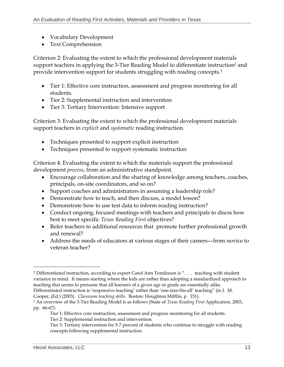- Vocabulary Development
- Text Comprehension

Criterion 2: Evaluating the extent to which the professional development materials support teachers in applying the 3-Tier Reading Model to differentiate instruction<sup>2</sup> and provide intervention support for students struggling with reading concepts.3

- Tier 1: Effective core instruction, assessment and progress monitoring for all students.
- Tier 2: Supplemental instruction and intervention
- Tier 3: Tertiary Intervention: Intensive support

Criterion 3: Evaluating the extent to which the professional development materials support teachers in *explicit* and *systematic* reading instruction.

- Techniques presented to support explicit instruction
- Techniques presented to support systematic instruction

Criterion 4: Evaluating the extent to which the materials support the professional development *process*, from an administrative standpoint.

- Encourage collaboration and the sharing of knowledge among teachers, coaches, principals, on-site coordinators, and so on?
- Support coaches and administrators in assuming a leadership role?
- Demonstrate how to teach, and then discuss, a model lesson?
- Demonstrate how to use test data to inform reading instruction?
- Conduct ongoing, focused meetings with teachers and principals to discss how best to meet specific *Texas Reading First* objectives?
- Refer teachers to additional resources that promote further professional growth and renewal?
- Address the needs of educators at various stages of their careers––from novice to veteran teacher?

Cooper, (Ed.) (2003). *Classroom teaching skills.* Boston: Houghton Mifflin, p. 151).

<sup>2</sup> Differentiated instruction, according to expert Carol Ann Tomlinson is ". . . teaching with student variance in mind. It means starting where the kids are rather than adopting a standardized approach to teaching that seems to presume that all learners of a given age or grade are essentially alike. Differentiated instruction is 'responsive teaching' rather than 'one-size-fits-all' teaching" (in J. M.

<sup>3</sup> An overview of the 3-Tier Reading Model is as follows (State of *Texas Reading First* Application, 2003, pp. 66-67):

Tier 1: Effective core instruction, assessment and progress monitoring for all students. Tier 2: Supplemental instruction and intervention.

Tier 3: Tertiary intervention for 5-7 percent of students who continue to struggle with reading concepts following supplemental instruction.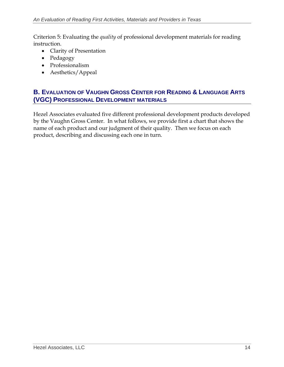Criterion 5: Evaluating the *quality* of professional development materials for reading instruction.

- Clarity of Presentation
- Pedagogy
- Professionalism
- Aesthetics/Appeal

### **B. EVALUATION OF VAUGHN GROSS CENTER FOR READING & LANGUAGE ARTS (VGC) PROFESSIONAL DEVELOPMENT MATERIALS**

Hezel Associates evaluated five different professional development products developed by the Vaughn Gross Center. In what follows, we provide first a chart that shows the name of each product and our judgment of their quality. Then we focus on each product, describing and discussing each one in turn.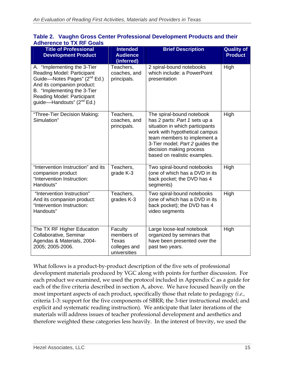| <b>Title of Professional</b><br><b>Development Product</b>                                                                                                                                                                                       | <b>Intended</b><br><b>Audience</b><br>(inferred)               | <b>Brief Description</b>                                                                                                                                                                                                                                    | <b>Quality of</b><br><b>Product</b> |
|--------------------------------------------------------------------------------------------------------------------------------------------------------------------------------------------------------------------------------------------------|----------------------------------------------------------------|-------------------------------------------------------------------------------------------------------------------------------------------------------------------------------------------------------------------------------------------------------------|-------------------------------------|
| A. "Implementing the 3-Tier<br>Reading Model: Participant<br>Guide—Notes Pages" (2 <sup>nd</sup> Ed.)<br>And its companion product:<br>B. "Implementing the 3-Tier<br><b>Reading Model: Participant</b><br>guide-Handouts" (2 <sup>nd</sup> Ed.) | Teachers,<br>coaches, and<br>principals.                       | 2 spiral-bound notebooks<br>which include: a PowerPoint<br>presentation                                                                                                                                                                                     | High                                |
| "Three-Tier Decision Making:<br>Simulation"                                                                                                                                                                                                      | Teachers,<br>coaches, and<br>principals.                       | The spiral-bound notebook<br>has 2 parts: Part 1 sets up a<br>situation in which participants<br>work with hypothetical campus<br>team members to implement a<br>3-Tier model; Part 2 guides the<br>decision making process<br>based on realistic examples. | High                                |
| "Intervention Instruction" and its<br>companion product<br>"Intervention Instruction:<br>Handouts"                                                                                                                                               | Teachers,<br>grade K-3                                         | Two spiral-bound notebooks<br>(one of which has a DVD in its<br>back pocket; the DVD has 4<br>segments)                                                                                                                                                     | High                                |
| "Intervention Instruction"<br>And its companion product:<br>"Intervention Instruction:<br>Handouts"                                                                                                                                              | Teachers,<br>grades K-3                                        | Two spiral-bound notebooks<br>(one of which has a DVD in its<br>back pocket); the DVD has 4<br>video segments                                                                                                                                               | High                                |
| The TX RF Higher Education<br>Collaborative, Seminar<br>Agendas & Materials, 2004-<br>2005; 2005-2006.                                                                                                                                           | Faculty<br>members of<br>Texas<br>colleges and<br>universities | Large loose-leaf notebook<br>organized by seminars that<br>have been presented over the<br>past two years.                                                                                                                                                  | High                                |

#### **Table 2. Vaughn Gross Center Professional Development Products and their Adherence to TX RF Goals**

What follows is a product-by-product description of the five sets of professional development materials produced by VGC along with points for further discussion. For each product we examined, we used the protocol included in Appendix C as a guide for each of the five criteria described in section A, above. We have focused heavily on the most important aspects of each product, specifically those that relate to pedagogy *(i.e.,*  criteria 1-3: support for the five components of SBRR; the 3-tier instructional model; and explicit and systematic reading instruction). We anticipate that later iterations of the materials will address issues of teacher professional development and aesthetics and therefore weighted these categories less heavily. In the interest of brevity, we used the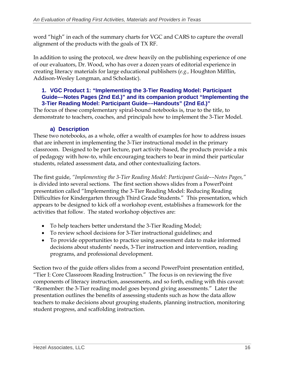word "high" in each of the summary charts for VGC and CARS to capture the overall alignment of the products with the goals of TX RF.

In addition to using the protocol, we drew heavily on the publishing experience of one of our evaluators, Dr. Wood, who has over a dozen years of editorial experience in creating literacy materials for large educational publishers (*e.g.,* Houghton Mifflin, Addison-Wesley Longman, and Scholastic).

#### **1. VGC Product 1: "Implementing the 3-Tier Reading Model: Participant Guide––Notes Pages (2nd Ed.)" and its companion product "Implementing the 3-Tier Reading Model: Participant Guide––Handouts" (2nd Ed.)"**

The focus of these complementary spiral-bound notebooks is, true to the title, to demonstrate to teachers, coaches, and principals how to implement the 3-Tier Model.

#### **a) Description**

These two notebooks, as a whole, offer a wealth of examples for how to address issues that are inherent in implementing the 3-Tier instructional model in the primary classroom. Designed to be part lecture, part activity-based, the products provide a mix of pedagogy with how-to, while encouraging teachers to bear in mind their particular students, related assessment data, and other contextualizing factors.

The first guide, *"Implementing the 3-Tier Reading Model: Participant Guide––Notes Pages,"*  is divided into several sections. The first section shows slides from a PowerPoint presentation called "Implementing the 3-Tier Reading Model: Reducing Reading Difficulties for Kindergarten through Third Grade Students." This presentation, which appears to be designed to kick off a workshop event, establishes a framework for the activities that follow. The stated workshop objectives are:

- To help teachers better understand the 3-Tier Reading Model;
- To review school decisions for 3-Tier instructional guidelines; and
- To provide opportunities to practice using assessment data to make informed decisions about students' needs, 3-Tier instruction and intervention, reading programs, and professional development.

Section two of the guide offers slides from a second PowerPoint presentation entitled, "Tier I: Core Classroom Reading Instruction." The focus is on reviewing the five components of literacy instruction, assessments, and so forth, ending with this caveat: "Remember: the 3-Tier reading model goes beyond giving assessments." Later the presentation outlines the benefits of assessing students such as how the data allow teachers to make decisions about grouping students, planning instruction, monitoring student progress, and scaffolding instruction.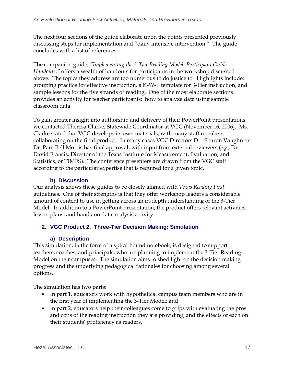The next four sections of the guide elaborate upon the points presented previously, discussing steps for implementation and "daily intensive intervention." The guide concludes with a list of references.

The companion guide, *"Implementing the 3-Tier Reading Model: Participant Guide–– Handouts,"* offers a wealth of handouts for participants in the workshop discussed above. The topics they address are too numerous to do justice to. Highlights include: grouping practice for effective instruction, a K-W-L template for 3-Tier instruction, and sample lessons for the five strands of reading. One of the most elaborate sections provides an activity for teacher participants: how to analyze data using sample classroom data.

To gain greater insight into authorship and delivery of their PowerPoint presentations, we contacted Theresa Clarke, Statewide Coordinator at VGC (November 16, 2006). Ms. Clarke stated that VGC develops its own materials, with many staff members collaborating on the final product. In many cases VGC Directors Dr. Sharon Vaughn or Dr. Pam Bell Morris has final approval, with input from external reviewers (*e.g.,* Dr. David Francis, Director of the Texas Institute for Measurement, Evaluation, and Statistics, or TIMES). The conference presenters are drawn from the VGC staff according to the particular expertise that is required for a given topic.

### **b) Discussion**

Our analysis shows these guides to be closely aligned with *Texas Reading First*  guidelines. One of their strengths is that they offer workshop leaders a considerable amount of content to use in getting across an in-depth understanding of the 3-Tier Model. In addition to a PowerPoint presentation, the product offers relevant activities, lesson plans, and hands-on data analysis activity.

### **2. VGC Product 2. Three-Tier Decision Making: Simulation**

#### **a) Description**

This simulation, in the form of a spiral-bound notebook, is designed to support teachers, coaches, and principals, who are planning to implement the 3-Tier Reading Model on their campuses. The simulation aims to shed light on the decision making progress and the underlying pedagogical rationales for choosing among several options.

The simulation has two parts:

- In part 1, educators work with hypothetical campus team members who are in the first year of implementing the 3-Tier Model; and
- In part 2, educators help their colleagues come to grips with evaluating the pros and cons of the reading instruction they are providing, and the effects of each on their students' proficiency as readers.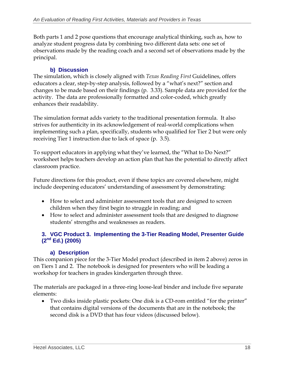Both parts 1 and 2 pose questions that encourage analytical thinking, such as, how to analyze student progress data by combining two different data sets: one set of observations made by the reading coach and a second set of observations made by the principal.

#### **b) Discussion**

The simulation, which is closely aligned with *Texas Reading First* Guidelines, offers educators a clear, step-by-step analysis, followed by a "what's next?" section and changes to be made based on their findings (p. 3.33). Sample data are provided for the activity. The data are professionally formatted and color-coded, which greatly enhances their readability.

The simulation format adds variety to the traditional presentation formula. It also strives for authenticity in its acknowledgement of real-world complications when implementing such a plan, specifically, students who qualified for Tier 2 but were only receiving Tier 1 instruction due to lack of space (p. 3.5).

To support educators in applying what they've learned, the "What to Do Next?" worksheet helps teachers develop an action plan that has the potential to directly affect classroom practice.

Future directions for this product, even if these topics are covered elsewhere, might include deepening educators' understanding of assessment by demonstrating:

- How to select and administer assessment tools that are designed to screen children when they first begin to struggle in reading; and
- How to select and administer assessment tools that are designed to diagnose students' strengths and weaknesses as readers.

#### **3. VGC Product 3. Implementing the 3-Tier Reading Model, Presenter Guide (2nd Ed.) (2005)**

#### **a) Description**

This companion piece for the 3-Tier Model product (described in item 2 above) zeros in on Tiers 1 and 2. The notebook is designed for presenters who will be leading a workshop for teachers in grades kindergarten through three.

The materials are packaged in a three-ring loose-leaf binder and include five separate elements:

• Two disks inside plastic pockets: One disk is a CD-rom entitled "for the printer" that contains digital versions of the documents that are in the notebook; the second disk is a DVD that has four videos (discussed below).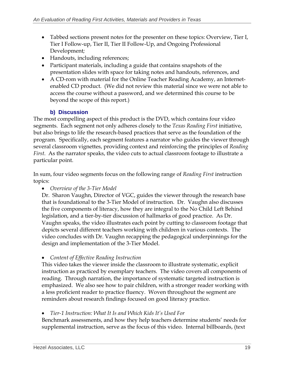- Tabbed sections present notes for the presenter on these topics: Overview, Tier I, Tier I Follow-up, Tier II, Tier II Follow-Up, and Ongoing Professional Development*;*
- Handouts, including references;
- Participant materials, including a guide that contains snapshots of the presentation slides with space for taking notes and handouts, references, and
- A CD-rom with material for the Online Teacher Reading Academy, an Internetenabled CD product. (We did not review this material since we were not able to access the course without a password, and we determined this course to be beyond the scope of this report.)

# **b) Discussion**

The most compelling aspect of this product is the DVD, which contains four video segments. Each segment not only adheres closely to the *Texas Reading First* initiative, but also brings to life the research-based practices that serve as the foundation of the program. Specifically, each segment features a narrator who guides the viewer through several classroom vignettes, providing context and reinforcing the principles of *Reading First*. As the narrator speaks, the video cuts to actual classroom footage to illustrate a particular point.

In sum, four video segments focus on the following range of *Reading First* instruction topics:

• *Overview of the 3-Tier Model* 

Dr. Sharon Vaughn, Director of VGC, guides the viewer through the research base that is foundational to the 3-Tier Model of instruction. Dr. Vaughn also discusses the five components of literacy, how they are integral to the No Child Left Behind legislation, and a tier-by-tier discussion of hallmarks of good practice. As Dr. Vaughn speaks, the video illustrates each point by cutting to classroom footage that depicts several different teachers working with children in various contexts. The video concludes with Dr. Vaughn recapping the pedagogical underpinnings for the design and implementation of the 3-Tier Model.

• *Content of Effective Reading Instruction* 

This video takes the viewer inside the classroom to illustrate systematic, explicit instruction as practiced by exemplary teachers. The video covers all components of reading. Through narration, the importance of systematic targeted instruction is emphasized. We also see how to pair children, with a stronger reader working with a less proficient reader to practice fluency. Woven throughout the segment are reminders about research findings focused on good literacy practice.

### • *Tier-1 Instruction: What It Is and Which Kids It's Used For*

Benchmark assessments, and how they help teachers determine students' needs for supplemental instruction, serve as the focus of this video. Internal billboards, (text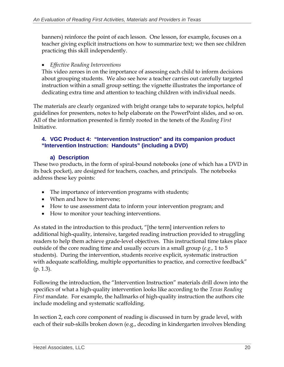banners) reinforce the point of each lesson. One lesson, for example, focuses on a teacher giving explicit instructions on how to summarize text; we then see children practicing this skill independently.

#### • *Effective Reading Interventions*

This video zeroes in on the importance of assessing each child to inform decisions about grouping students. We also see how a teacher carries out carefully targeted instruction within a small group setting; the vignette illustrates the importance of dedicating extra time and attention to teaching children with individual needs.

The materials are clearly organized with bright orange tabs to separate topics, helpful guidelines for presenters, notes to help elaborate on the PowerPoint slides, and so on. All of the information presented is firmly rooted in the tenets of the *Reading First*  Initiative.

#### **4. VGC Product 4: "Intervention Instruction" and its companion product "Intervention Instruction: Handouts" (including a DVD)**

#### **a) Description**

These two products, in the form of spiral-bound notebooks (one of which has a DVD in its back pocket), are designed for teachers, coaches, and principals. The notebooks address these key points:

- The importance of intervention programs with students;
- When and how to intervene;
- How to use assessment data to inform your intervention program; and
- How to monitor your teaching interventions.

As stated in the introduction to this product, "[the term] intervention refers to additional high-quality, intensive, targeted reading instruction provided to struggling readers to help them achieve grade-level objectives. This instructional time takes place outside of the core reading time and usually occurs in a small group (*e.g.,* 1 to 5 students). During the intervention, students receive explicit, systematic instruction with adequate scaffolding, multiple opportunities to practice, and corrective feedback" (p. 1.3).

Following the introduction, the "Intervention Instruction" materials drill down into the specifics of what a high-quality intervention looks like according to the *Texas Reading First* mandate. For example, the hallmarks of high-quality instruction the authors cite include modeling and systematic scaffolding.

In section 2, each core component of reading is discussed in turn by grade level, with each of their sub-skills broken down (e.g., decoding in kindergarten involves blending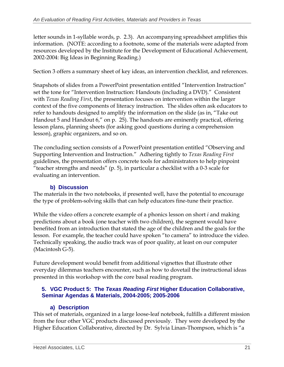letter sounds in 1-syllable words, p. 2.3). An accompanying spreadsheet amplifies this information. (NOTE: according to a footnote, some of the materials were adapted from resources developed by the Institute for the Development of Educational Achievement, 2002-2004: Big Ideas in Beginning Reading.)

Section 3 offers a summary sheet of key ideas, an intervention checklist, and references.

Snapshots of slides from a PowerPoint presentation entitled "Intervention Instruction" set the tone for "Intervention Instruction: Handouts (including a DVD)." Consistent with *Texas Reading First*, the presentation focuses on intervention within the larger context of the five components of literacy instruction. The slides often ask educators to refer to handouts designed to amplify the information on the slide (as in, "Take out Handout 5 and Handout 6," on p. 25). The handouts are eminently practical, offering lesson plans, planning sheets (for asking good questions during a comprehension lesson), graphic organizers, and so on.

The concluding section consists of a PowerPoint presentation entitled "Observing and Supporting Intervention and Instruction." Adhering tightly to *Texas Reading First*  guidelines, the presentation offers concrete tools for administrators to help pinpoint "teacher strengths and needs" (p. 5), in particular a checklist with a 0-3 scale for evaluating an intervention.

#### **b) Discussion**

The materials in the two notebooks, if presented well, have the potential to encourage the type of problem-solving skills that can help educators fine-tune their practice.

While the video offers a concrete example of a phonics lesson on short *i* and making predictions about a book (one teacher with two children), the segment would have benefited from an introduction that stated the age of the children and the goals for the lesson. For example, the teacher could have spoken "to camera" to introduce the video. Technically speaking, the audio track was of poor quality, at least on our computer (Macintosh G-5).

Future development would benefit from additional vignettes that illustrate other everyday dilemmas teachers encounter, such as how to dovetail the instructional ideas presented in this workshop with the core basal reading program.

#### **5. VGC Product 5: The** *Texas Reading First* **Higher Education Collaborative, Seminar Agendas & Materials, 2004-2005; 2005-2006**

#### **a) Description**

This set of materials, organized in a large loose-leaf notebook, fulfills a different mission from the four other VGC products discussed previously. They were developed by the Higher Education Collaborative, directed by Dr. Sylvia Linan-Thompson, which is "a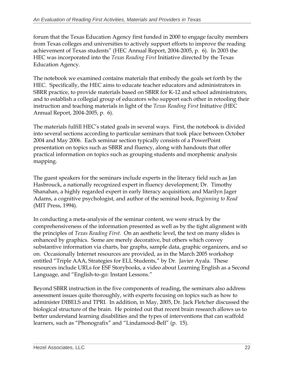forum that the Texas Education Agency first funded in 2000 to engage faculty members from Texas colleges and universities to actively support efforts to improve the reading achievement of Texas students" (HEC Annual Report, 2004-2005, p. 6). In 2003 the HEC was incorporated into the *Texas Reading First* Initiative directed by the Texas Education Agency.

The notebook we examined contains materials that embody the goals set forth by the HEC. Specifically, the HEC aims to educate teacher educators and administrators in SBRR practice, to provide materials based on SBRR for K-12 and school administrators, and to establish a collegial group of educators who support each other in retooling their instruction and teaching materials in light of the *Texas Reading First* Initiative (HEC Annual Report, 2004-2005, p. 6).

The materials fulfill HEC's stated goals in several ways. First, the notebook is divided into several sections according to particular seminars that took place between October 2004 and May 2006. Each seminar section typically consists of a PowerPoint presentation on topics such as SBRR and fluency, along with handouts that offer practical information on topics such as grouping students and morphemic analysis mapping.

The guest speakers for the seminars include experts in the literacy field such as Jan Hasbrouck, a nationally recognized expert in fluency development; Dr. Timothy Shanahan, a highly regarded expert in early literacy acquisition; and Marilyn Jager Adams, a cognitive psychologist, and author of the seminal book, *Beginning to Read*  (MIT Press, 1994).

In conducting a meta-analysis of the seminar content, we were struck by the comprehensiveness of the information presented as well as by the tight alignment with the principles of *Texas Reading First*. On an aesthetic level, the text on many slides is enhanced by graphics. Some are merely decorative, but others which convey substantive information via charts, bar graphs, sample data, graphic organizers, and so on. Occasionally Internet resources are provided, as in the March 2005 workshop entitled "Triple AAA, Strategies for ELL Students," by Dr. Javier Ayala. These resources include URLs for ESF Storybooks, a video about Learning English as a Second Language, and "English-to-go: Instant Lessons."

Beyond SBRR instruction in the five components of reading, the seminars also address assessment issues quite thoroughly, with experts focusing on topics such as how to administer DIBELS and TPRI. In addition, in May, 2005, Dr. Jack Fletcher discussed the biological structure of the brain. He pointed out that recent brain research allows us to better understand learning disabilities and the types of interventions that can scaffold learners, such as "Phonografix" and "Lindamood-Bell" (p. 15).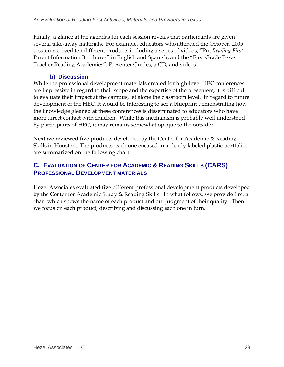Finally, a glance at the agendas for each session reveals that participants are given several take-away materials. For example, educators who attended the October, 2005 session received ten different products including a series of videos, "Put *Reading First*  Parent Information Brochures" in English and Spanish, and the "First Grade Texas Teacher Reading Academies": Presenter Guides, a CD, and videos.

# **b) Discussion**

While the professional development materials created for high-level HEC conferences are impressive in regard to their scope and the expertise of the presenters, it is difficult to evaluate their impact at the campus, let alone the classroom level. In regard to future development of the HEC, it would be interesting to see a blueprint demonstrating how the knowledge gleaned at these conferences is disseminated to educators who have more direct contact with children. While this mechanism is probably well understood by participants of HEC, it may remains somewhat opaque to the outsider.

Next we reviewed five products developed by the Center for Academic & Reading Skills in Houston. The products, each one encased in a clearly labeled plastic portfolio, are summarized on the following chart.

# **C. EVALUATION OF CENTER FOR ACADEMIC & READING SKILLS (CARS) PROFESSIONAL DEVELOPMENT MATERIALS**

Hezel Associates evaluated five different professional development products developed by the Center for Academic Study & Reading Skills. In what follows, we provide first a chart which shows the name of each product and our judgment of their quality. Then we focus on each product, describing and discussing each one in turn.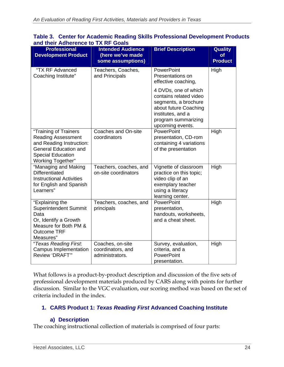| and their Adherence to TX RF Goals                                                                                                                              |                                                                   |                                                                                                                                                                 |                                        |  |  |
|-----------------------------------------------------------------------------------------------------------------------------------------------------------------|-------------------------------------------------------------------|-----------------------------------------------------------------------------------------------------------------------------------------------------------------|----------------------------------------|--|--|
| <b>Professional</b><br><b>Development Product</b>                                                                                                               | <b>Intended Audience</b><br>(here we've made<br>some assumptions) | <b>Brief Description</b>                                                                                                                                        | <b>Quality</b><br>Οf<br><b>Product</b> |  |  |
| "TX RF Advanced<br>Coaching Institute"                                                                                                                          | Teachers, Coaches,<br>and Principals                              | PowerPoint<br>Presentations on<br>effective coaching,                                                                                                           | High                                   |  |  |
|                                                                                                                                                                 |                                                                   | 4 DVDs, one of which<br>contains related video<br>segments, a brochure<br>about future Coaching<br>institutes, and a<br>program summarizing<br>upcoming events. |                                        |  |  |
| "Training of Trainers<br><b>Reading Assessment</b><br>and Reading Instruction:<br><b>General Education and</b><br><b>Special Education</b><br>Working Together" | Coaches and On-site<br>coordinators                               | PowerPoint<br>presentation, CD-rom<br>containing 4 variations<br>of the presentation                                                                            | High                                   |  |  |
| "Managing and Making<br><b>Differentiated</b><br><b>Instructional Activities</b><br>for English and Spanish<br>Learners"                                        | Teachers, coaches, and<br>on-site coordinators                    | Vignette of classroom<br>practice on this topic;<br>video clip of an<br>exemplary teacher<br>using a literacy<br>learning center.                               | High                                   |  |  |
| "Explaining the<br><b>Superintendent Summit</b><br>Data<br>Or, Identify a Growth<br>Measure for Both PM &<br><b>Outcome TRF</b><br>Measures"                    | Teachers, coaches, and<br>principals                              | PowerPoint<br>presentation,<br>handouts, worksheets,<br>and a cheat sheet.                                                                                      | High                                   |  |  |
| "Texas Reading First.<br><b>Campus Implementation</b><br>Review 'DRAFT"                                                                                         | Coaches, on-site<br>coordinators, and<br>administrators.          | Survey, evaluation,<br>criteria, and a<br>PowerPoint<br>presentation.                                                                                           | High                                   |  |  |

| Table 3. Center for Academic Reading Skills Professional Development Products |  |
|-------------------------------------------------------------------------------|--|
| and their Adherence to TX RF Goals                                            |  |

What follows is a product-by-product description and discussion of the five sets of professional development materials produced by CARS along with points for further discussion. Similar to the VGC evaluation, our scoring method was based on the set of criteria included in the index.

#### **1. CARS Product 1:** *Texas Reading First* **Advanced Coaching Institute**

#### **a) Description**

The coaching instructional collection of materials is comprised of four parts: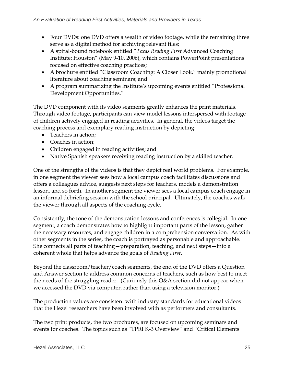- Four DVDs: one DVD offers a wealth of video footage, while the remaining three serve as a digital method for archiving relevant files;
- A spiral-bound notebook entitled "*Texas Reading First* Advanced Coaching Institute: Houston" (May 9-10, 2006), which contains PowerPoint presentations focused on effective coaching practices;
- A brochure entitled "Classroom Coaching: A Closer Look," mainly promotional literature about coaching seminars; and
- A program summarizing the Institute's upcoming events entitled "Professional Development Opportunities."

The DVD component with its video segments greatly enhances the print materials. Through video footage, participants can view model lessons interspersed with footage of children actively engaged in reading activities. In general, the videos target the coaching process and exemplary reading instruction by depicting:

- Teachers in action;
- Coaches in action;
- Children engaged in reading activities; and
- Native Spanish speakers receiving reading instruction by a skilled teacher.

One of the strengths of the videos is that they depict real world problems. For example, in one segment the viewer sees how a local campus coach facilitates discussions and offers a colleagues advice, suggests next steps for teachers, models a demonstration lesson, and so forth. In another segment the viewer sees a local campus coach engage in an informal debriefing session with the school principal. Ultimately, the coaches walk the viewer through all aspects of the coaching cycle.

Consistently, the tone of the demonstration lessons and conferences is collegial. In one segment, a coach demonstrates how to highlight important parts of the lesson, gather the necessary resources, and engage children in a comprehension conversation. As with other segments in the series, the coach is portrayed as personable and approachable. She connects all parts of teaching—preparation, teaching, and next steps—into a coherent whole that helps advance the goals of *Reading First*.

Beyond the classroom/teacher/coach segments, the end of the DVD offers a Question and Answer section to address common concerns of teachers, such as how best to meet the needs of the struggling reader. (Curiously this Q&A section did not appear when we accessed the DVD via computer, rather than using a television monitor.)

The production values are consistent with industry standards for educational videos that the Hezel researchers have been involved with as performers and consultants.

The two print products, the two brochures, are focused on upcoming seminars and events for coaches. The topics such as "TPRI K-3 Overview" and "Critical Elements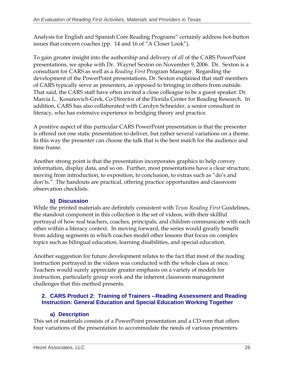Analysis for English and Spanish Core Reading Programs" certainly address hot-button issues that concern coaches (pp. 14 and 16 of "A Closer Look").

To gain greater insight into the authorship and delivery of *all* of the CARS PowerPoint presentations, we spoke with Dr. Waynel Sexton on November 9, 2006. Dr. Sexton is a consultant for CARS as well as a *Reading First* Program Manager. Regarding the development of the PowerPoint presentations, Dr. Sexton explained that staff members of CARS typically serve as presenters, as opposed to bringing in others from outside. That said, the CARS staff have often invited a close colleague to be a guest speaker: Dr. Marcia L. Kosanovich-Grek, Co-Director of the Florida Center for Reading Research. In addition, CARS has also collaborated with Carolyn Schneider, a senior consultant in literacy, who has extensive experience in bridging theory and practice.

A positive aspect of this particular CARS PowerPoint presentation is that the presenter is offered not one static presentation to deliver, but rather several variations on a theme. In this way the presenter can choose the talk that is the best match for the audience and time frame.

Another strong point is that the presentation incorporates graphics to help convey information, display data, and so on. Further, most presentations have a clear structure, moving from introduction, to exposition, to conclusion, to extras such as "do's and don'ts." The handouts are practical, offering practice opportunities and classroom observation checklists.

#### **b) Discussion**

While the printed materials are definitely consistent with *Texas Reading First* Guidelines, the standout component in this collection is the set of videos, with their skillful portrayal of how real teachers, coaches, principals, and children communicate with each other within a literacy context. In moving forward, the series would greatly benefit from adding segments in which coaches model other lessons that focus on complex topics such as bilingual education, learning disabilities, and special education.

Another suggestion for future development relates to the fact that most of the reading instruction portrayed in the videos was conducted with the whole class at once. Teachers would surely appreciate greater emphasis on a variety of models for instruction, particularly group work and the inherent classroom management challenges that this method presents.

#### **2. CARS Product 2: Training of Trainers --Reading Assessment and Reading Instruction: General Education and Special Education Working Together**

#### **a) Description**

This set of materials consists of a PowerPoint presentation and a CD-rom that offers four variations of the presentation to accommodate the needs of various presenters.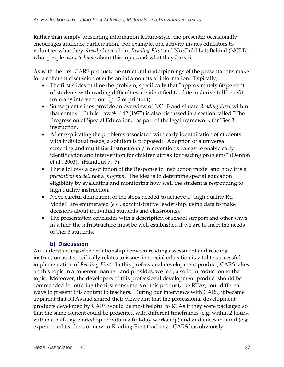Rather than simply presenting information lecture-style, the presenter occasionally encourages audience participation. For example, one activity invites educators to volunteer what they *already know* about *Reading First* and No Child Left Behind (NCLB), what people *want to know* about this topic, and what they *learned*.

As with the first CARS product, the structural underpinnings of the presentations make for a coherent discussion of substantial amounts of information. Typically,

- The first slides outline the problem, specifically that "approximately 60 percent" of students with reading difficulties are identified too late to derive full benefit from any intervention" (p. 2 of printout).
- Subsequent slides provide an overview of NCLB and situate *Reading First* within that context. Public Law 94-142 (1975) is also discussed in a section called "The Progression of Special Education," as part of the legal framework for Tier 3 instruction.
- After explicating the problems associated with early identification of students with individual needs, a solution is proposed: "Adoption of a universal screening and multi-tier instructional/intervention strategy to enable early identification and intervention for children at risk for reading problems" (Denton et al., 2003). (Handout p. 7)
- There follows a description of the Response to Instruction model and how it is a *prevention model,* not a *program*. The idea is to determine special education eligibility by evaluating and monitoring how well the student is responding to high quality instruction.
- Next, careful delineation of the steps needed to achieve a "high quality Rtl Model" are enumerated (*e.g.,* administrative leadership, using data to make decisions about individual students and classrooms).
- The presentation concludes with a description of school support and other ways in which the infrastructure must be well established if we are to meet the needs of Tier 3 students.

# **b) Discussion**

An understanding of the relationship between reading assessment and reading instruction as it specifically relates to issues in special education is vital to successful implementation of *Reading First*. In this professional development product, CARS takes on this topic in a coherent manner, and provides, we feel, a solid introduction to the topic. Moreover, the developers of this professional development product should be commended for offering the first consumers of this product, the RTAs, four different ways to present this content to teachers. During our interviews with CARS, it became apparent that RTAs had shared their viewpoint that the professional development products developed by CARS would be most helpful to RTAs if they were packaged so that the same content could be presented with different timeframes (e.g. within 2 hours, within a half-day workshop or within a full-day workshop) and audiences in mind (e.g. experienced teachers or new-to-Reading-First teachers). CARS has obviously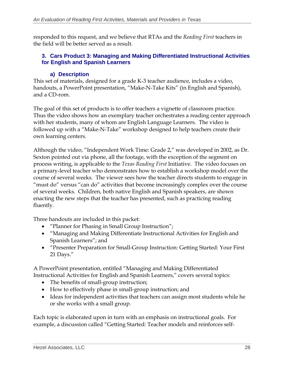responded to this request, and we believe that RTAs and the *Reading First* teachers in the field will be better served as a result.

#### **3. Cars Product 3: Managing and Making Differentiated Instructional Activities for English and Spanish Learners**

#### **a) Description**

This set of materials, designed for a grade K-3 teacher audience, includes a video, handouts, a PowerPoint presentation, "Make-N-Take Kits" (in English and Spanish), and a CD-rom.

The goal of this set of products is to offer teachers a vignette of classroom practice. Thus the video shows how an exemplary teacher orchestrates a reading center approach with her students, many of whom are English Language Learners. The video is followed up with a "Make-N-Take" workshop designed to help teachers create their own learning centers.

Although the video, "Independent Work Time: Grade 2," was developed in 2002, as Dr. Sexton pointed out via phone, all the footage, with the exception of the segment on process writing, is applicable to the *Texas Reading First* Initiative. The video focuses on a primary-level teacher who demonstrates how to establish a workshop model over the course of several weeks. The viewer sees how the teacher directs students to engage in "must do" versus "can do" activities that become increasingly complex over the course of several weeks. Children, both native English and Spanish speakers, are shown enacting the new steps that the teacher has presented, such as practicing reading fluently.

Three handouts are included in this packet:

- "Planner for Phasing in Small Group Instruction";
- "Managing and Making Differentiate Instructional Activities for English and Spanish Learners"; and
- "Presenter Preparation for Small-Group Instruction: Getting Started: Your First 21 Days."

A PowerPoint presentation, entitled "Managing and Making Differentiated Instructional Activities for English and Spanish Learners," covers several topics:

- The benefits of small-group instruction;
- How to effectively phase in small-group instruction; and
- Ideas for independent activities that teachers can assign most students while he or she works with a small group.

Each topic is elaborated upon in turn with an emphasis on instructional goals. For example, a discussion called "Getting Started: Teacher models and reinforces self-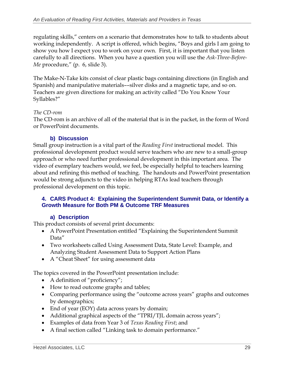regulating skills," centers on a scenario that demonstrates how to talk to students about working independently. A script is offered, which begins, "Boys and girls I am going to show you how I expect you to work on your own. First, it is important that you listen carefully to all directions. When you have a question you will use the *Ask-Three-Before-Me* procedure," (p. 6, slide 3).

The Make-N-Take kits consist of clear plastic bags containing directions (in English and Spanish) and manipulative materials––silver disks and a magnetic tape, and so on. Teachers are given directions for making an activity called "Do You Know Your Syllables?"

#### *The CD-rom*

The CD-rom is an archive of all of the material that is in the packet, in the form of Word or PowerPoint documents.

#### **b) Discussion**

Small group instruction is a vital part of the *Reading First* instructional model. This professional development product would serve teachers who are new to a small-group approach or who need further professional development in this important area. The video of exemplary teachers would, we feel, be especially helpful to teachers learning about and refining this method of teaching. The handouts and PowerPoint presentation would be strong adjuncts to the video in helping RTAs lead teachers through professional development on this topic.

#### **4. CARS Product 4: Explaining the Superintendent Summit Data, or Identify a Growth Measure for Both PM & Outcome TRF Measures**

#### **a) Description**

This product consists of several print documents:

- A PowerPoint Presentation entitled "Explaining the Superintendent Summit Data"
- Two worksheets called Using Assessment Data, State Level: Example, and Analyzing Student Assessment Data to Support Action Plans
- A "Cheat Sheet" for using assessment data

The topics covered in the PowerPoint presentation include:

- A definition of "proficiency";
- How to read outcome graphs and tables;
- Comparing performance using the "outcome across years" graphs and outcomes by demographics;
- End of year (EOY) data across years by domain;
- Additional graphical aspects of the "TPRI/TJL domain across years";
- Examples of data from Year 3 of *Texas Reading First*; and
- A final section called "Linking task to domain performance."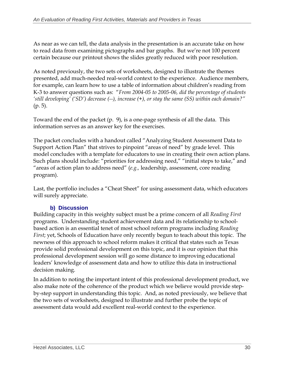As near as we can tell, the data analysis in the presentation is an accurate take on how to read data from examining pictographs and bar graphs. But we're not 100 percent certain because our printout shows the slides greatly reduced with poor resolution.

As noted previously, the two sets of worksheets, designed to illustrate the themes presented, add much-needed real-world context to the experience. Audience members, for example, can learn how to use a table of information about children's reading from K-3 to answer questions such as: "*From 2004-05 to 2005-06, did the percentage of students 'still developing' ('SD') decrease (--), increase (+), or stay the same (SS) within each domain?"*  (p. 5).

Toward the end of the packet (p. 9), is a one-page synthesis of all the data. This information serves as an answer key for the exercises.

The packet concludes with a handout called "Analyzing Student Assessment Data to Support Action Plan" that strives to pinpoint "areas of need" by grade level. This model concludes with a template for educators to use in creating their own action plans. Such plans should include: "priorities for addressing need," "initial steps to take," and "areas of action plan to address need" (*e.g.,* leadership, assessment, core reading program).

Last, the portfolio includes a "Cheat Sheet" for using assessment data, which educators will surely appreciate.

### **b) Discussion**

Building capacity in this weighty subject must be a prime concern of all *Reading First*  programs. Understanding student achievement data and its relationship to schoolbased action is an essential tenet of most school reform programs including *Reading First*; yet, Schools of Education have only recently begun to teach about this topic. The newness of this approach to school reform makes it critical that states such as Texas provide solid professional development on this topic, and it is our opinion that this professional development session will go some distance to improving educational leaders' knowledge of assessment data and how to utilize this data in instructional decision making.

In addition to noting the important intent of this professional development product, we also make note of the coherence of the product which we believe would provide stepby-step support in understanding this topic. And, as noted previously, we believe that the two sets of worksheets, designed to illustrate and further probe the topic of assessment data would add excellent real-world context to the experience.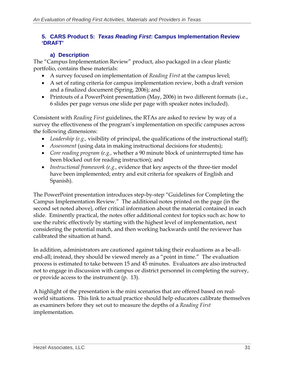#### **5. CARS Product 5:** *Texas Reading First***: Campus Implementation Review 'DRAFT'**

#### **a) Description**

The "Campus Implementation Review" product, also packaged in a clear plastic portfolio, contains these materials:

- A survey focused on implementation of *Reading First* at the campus level;
- A set of rating criteria for campus implementation review, both a draft version and a finalized document (Spring, 2006); and
- Printouts of a PowerPoint presentation (May, 2006) in two different formats (i.e., 6 slides per page versus one slide per page with speaker notes included).

Consistent with *Reading First* guidelines, the RTAs are asked to review by way of a survey the effectiveness of the program's implementation on specific campuses across the following dimensions:

- Leadership (e.g., visibility of principal, the qualifications of the instructional staff);
- *Assessment* (using data in making instructional decisions for students);
- *Core reading program (e.g.,* whether a 90 minute block of uninterrupted time has been blocked out for reading instruction); and
- *Instructional framework (e.g.,* evidence that key aspects of the three-tier model have been implemented; entry and exit criteria for speakers of English and Spanish).

The PowerPoint presentation introduces step-by-step "Guidelines for Completing the Campus Implementation Review." The additional notes printed on the page (in the second set noted above), offer critical information about the material contained in each slide. Eminently practical, the notes offer additional context for topics such as: how to use the rubric effectively by starting with the highest level of implementation, next considering the potential match, and then working backwards until the reviewer has calibrated the situation at hand.

In addition, administrators are cautioned against taking their evaluations as a be-allend-all; instead, they should be viewed merely as a "point in time." The evaluation process is estimated to take between 15 and 45 minutes. Evaluators are also instructed not to engage in discussion with campus or district personnel in completing the survey, or provide access to the instrument (p. 13).

A highlight of the presentation is the mini scenarios that are offered based on realworld situations. This link to actual practice should help educators calibrate themselves as examiners before they set out to measure the depths of a *Reading First*  implementation.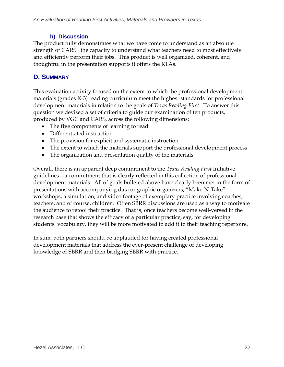#### **b) Discussion**

The product fully demonstrates what we have come to understand as an absolute strength of CARS: the capacity to understand what teachers need to most effectively and efficiently perform their jobs. This product is well organized, coherent, and thoughtful in the presentation supports it offers the RTAs.

# **D. SUMMARY**

This evaluation activity focused on the extent to which the professional development materials (grades K-3) reading curriculum meet the highest standards for professional development materials in relation to the goals of *Texas Reading First*. To answer this question we devised a set of criteria to guide our examination of ten products, produced by VGC and CARS, across the following dimensions:

- The five components of learning to read
- Differentiated instruction
- The provision for explicit and systematic instruction
- The extent to which the materials support the professional development process
- The organization and presentation quality of the materials

Overall, there is an apparent deep commitment to the *Texas Reading First* Initiative guidelines—a commitment that is clearly reflected in this collection of professional development materials. All of goals bulleted above have clearly been met in the form of presentations with accompanying data or graphic organizers, "Make-N-Take" workshops, a simulation, and video footage of exemplary practice involving coaches, teachers, and of course, children. Often SBRR discussions are used as a way to motivate the audience to retool their practice. That is, once teachers become well-versed in the research base that shows the efficacy of a particular practice, say, for developing students' vocabulary, they will be more motivated to add it to their teaching repertoire.

In sum, both partners should be applauded for having created professional development materials that address the ever-present challenge of developing knowledge of SBRR and then bridging SBRR with practice.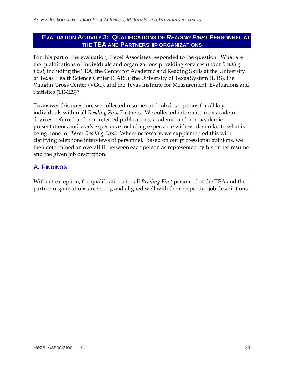#### **EVALUATION ACTIVITY 3: QUALIFICATIONS OF** *READING FIRST* **PERSONNEL AT THE TEA AND P ARTNERSHIP ORGANIZATIONS**

For this part of the evaluation, Hezel Associates responded to the question: What are the qualifications of individuals and organizations providing services under *Reading First*, including the TEA, the Center for Academic and Reading Skills at the University of Texas Health Science Center (CARS), the University of Texas System (UTS), the Vaughn Gross Center (VGC), and the Texas Institute for Measurement, Evaluations and Statistics (TIMES)?

To answer this question, we collected resumes and job descriptions for all key individuals within all *Reading First* Partners. We collected information on academic degrees, referred and non-referred publications, academic and non-academic presentations, and work experience including experience with work similar to what is being done for *Texas Reading First*. Where necessary, we supplemented this with clarifying telephone interviews of personnel. Based on our professional opinions, we then determined an overall fit between each person as represented by his or her resume and the given job description.

# **A. FINDINGS**

Without exception, the qualifications for all *Reading First* personnel at the TEA and the partner organizations are strong and aligned well with their respective job descriptions.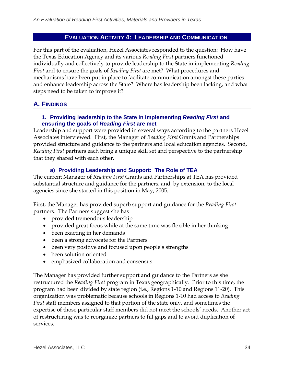## **EVALUATION ACTIVITY 4: LEADERSHIP AND COMMUNICATION**

For this part of the evaluation, Hezel Associates responded to the question: How have the Texas Education Agency and its various *Reading First* partners functioned individually and collectively to provide leadership to the State in implementing *Reading First* and to ensure the goals of *Reading First* are met? What procedures and mechanisms have been put in place to facilitate communication amongst these parties and enhance leadership across the State? Where has leadership been lacking, and what steps need to be taken to improve it?

## **A. FINDINGS**

#### **1. Providing leadership to the State in implementing** *Reading First* **and ensuring the goals of** *Reading First* **are met**

Leadership and support were provided in several ways according to the partners Hezel Associates interviewed. First, the Manager of *Reading First* Grants and Partnerships provided structure and guidance to the partners and local education agencies. Second, *Reading First* partners each bring a unique skill set and perspective to the partnership that they shared with each other.

## **a) Providing Leadership and Support: The Role of TEA**

The current Manager of *Reading First* Grants and Partnerships at TEA has provided substantial structure and guidance for the partners, and, by extension, to the local agencies since she started in this position in May, 2005.

First, the Manager has provided superb support and guidance for the *Reading First*  partners. The Partners suggest she has

- provided tremendous leadership
- provided great focus while at the same time was flexible in her thinking
- been exacting in her demands
- been a strong advocate for the Partners
- been very positive and focused upon people's strengths
- been solution oriented
- emphasized collaboration and consensus

The Manager has provided further support and guidance to the Partners as she restructured the *Reading First* program in Texas geographically. Prior to this time, the program had been divided by state region (i.e., Regions 1-10 and Regions 11-20). This organization was problematic because schools in Regions 1-10 had access to *Reading First* staff members assigned to that portion of the state only, and sometimes the expertise of those particular staff members did not meet the schools' needs. Another act of restructuring was to reorganize partners to fill gaps and to avoid duplication of services.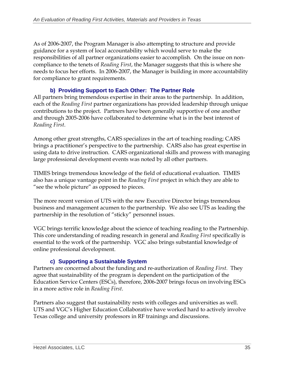As of 2006-2007, the Program Manager is also attempting to structure and provide guidance for a system of local accountability which would serve to make the responsibilities of all partner organizations easier to accomplish. On the issue on noncompliance to the tenets of *Reading First*, the Manager suggests that this is where she needs to focus her efforts. In 2006-2007, the Manager is building in more accountability for compliance to grant requirements.

## **b) Providing Support to Each Other: The Partner Role**

All partners bring tremendous expertise in their areas to the partnership. In addition, each of the *Reading First* partner organizations has provided leadership through unique contributions to the project. Partners have been generally supportive of one another and through 2005-2006 have collaborated to determine what is in the best interest of *Reading First*.

Among other great strengths, CARS specializes in the art of teaching reading; CARS brings a practitioner's perspective to the partnership. CARS also has great expertise in using data to drive instruction. CARS organizational skills and prowess with managing large professional development events was noted by all other partners.

TIMES brings tremendous knowledge of the field of educational evaluation. TIMES also has a unique vantage point in the *Reading First* project in which they are able to "see the whole picture" as opposed to pieces.

The more recent version of UTS with the new Executive Director brings tremendous business and management acumen to the partnership. We also see UTS as leading the partnership in the resolution of "sticky" personnel issues.

VGC brings terrific knowledge about the science of teaching reading to the Partnership. This core understanding of reading research in general and *Reading First* specifically is essential to the work of the partnership. VGC also brings substantial knowledge of online professional development.

## **c) Supporting a Sustainable System**

Partners are concerned about the funding and re-authorization of *Reading First*. They agree that sustainability of the program is dependent on the participation of the Education Service Centers (ESCs), therefore, 2006-2007 brings focus on involving ESCs in a more active role in *Reading First*.

Partners also suggest that sustainability rests with colleges and universities as well. UTS and VGC's Higher Education Collaborative have worked hard to actively involve Texas college and university professors in RF trainings and discussions.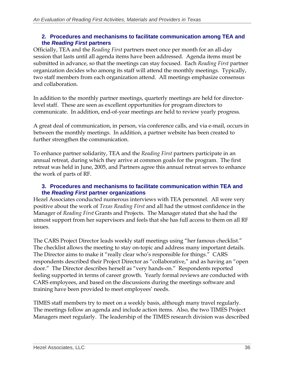## **2. Procedures and mechanisms to facilitate communication among TEA and the** *Reading First* **partners**

Officially, TEA and the *Reading First* partners meet once per month for an all-day session that lasts until all agenda items have been addressed. Agenda items must be submitted in advance, so that the meetings can stay focused. Each *Reading First* partner organization decides who among its staff will attend the monthly meetings. Typically, two staff members from each organization attend. All meetings emphasize consensus and collaboration.

In addition to the monthly partner meetings, quarterly meetings are held for directorlevel staff. These are seen as excellent opportunities for program directors to communicate. In addition, end-of-year meetings are held to review yearly progress.

A great deal of communication, in person, via conference calls, and via e-mail, occurs in between the monthly meetings. In addition, a partner website has been created to further strengthen the communication.

To enhance partner solidarity, TEA and the *Reading First* partners participate in an annual retreat, during which they arrive at common goals for the program. The first retreat was held in June, 2005, and Partners agree this annual retreat serves to enhance the work of parts of RF.

## **3. Procedures and mechanisms to facilitate communication within TEA and the** *Reading First* **partner organizations**

Hezel Associates conducted numerous interviews with TEA personnel. All were very positive about the work of *Texas Reading First* and all had the utmost confidence in the Manager of *Reading First* Grants and Projects. The Manager stated that she had the utmost support from her supervisors and feels that she has full access to them on all RF issues.

The CARS Project Director leads weekly staff meetings using "her famous checklist." The checklist allows the meeting to stay on-topic and address many important details. The Director aims to make it "really clear who's responsible for things." CARS respondents described their Project Director as "collaborative," and as having an "open door." The Director describes herself as "very hands-on." Respondents reported feeling supported in terms of career growth. Yearly formal reviews are conducted with CARS employees, and based on the discussions during the meetings software and training have been provided to meet employees' needs.

TIMES staff members try to meet on a weekly basis, although many travel regularly. The meetings follow an agenda and include action items. Also, the two TIMES Project Managers meet regularly. The leadership of the TIMES research division was described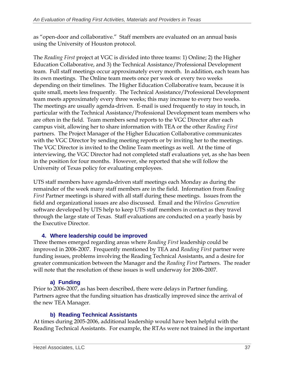as "open-door and collaborative." Staff members are evaluated on an annual basis using the University of Houston protocol.

The *Reading First* project at VGC is divided into three teams: 1) Online; 2) the Higher Education Collaborative, and 3) the Technical Assistance/Professional Development team. Full staff meetings occur approximately every month. In addition, each team has its own meetings. The Online team meets once per week or every two weeks depending on their timelines. The Higher Education Collaborative team, because it is quite small, meets less frequently. The Technical Assistance/Professional Development team meets approximately every three weeks; this may increase to every two weeks. The meetings are usually agenda-driven. E-mail is used frequently to stay in touch, in particular with the Technical Assistance/Professional Development team members who are often in the field. Team members send reports to the VGC Director after each campus visit, allowing her to share information with TEA or the other *Reading First*  partners. The Project Manager of the Higher Education Collaborative communicates with the VGC Director by sending meeting reports or by inviting her to the meetings. The VGC Director is invited to the Online Team meetings as well. At the time of interviewing, the VGC Director had not completed staff evaluations yet, as she has been in the position for four months. However, she reported that she will follow the University of Texas policy for evaluating employees.

UTS staff members have agenda-driven staff meetings each Monday as during the remainder of the week many staff members are in the field. Information from *Reading First* Partner meetings is shared with all staff during these meetings. Issues from the field and organizational issues are also discussed. Email and the *Wireless Generation*  software developed by UTS help to keep UTS staff members in contact as they travel through the large state of Texas. Staff evaluations are conducted on a yearly basis by the Executive Director.

## **4. Where leadership could be improved**

Three themes emerged regarding areas where *Reading First* leadership could be improved in 2006-2007. Frequently mentioned by TEA and *Reading First* partner were funding issues, problems involving the Reading Technical Assistants, and a desire for greater communication between the Manager and the *Reading First* Partners. The reader will note that the resolution of these issues is well underway for 2006-2007.

## **a) Funding**

Prior to 2006-2007, as has been described, there were delays in Partner funding. Partners agree that the funding situation has drastically improved since the arrival of the new TEA Manager.

## **b) Reading Technical Assistants**

At times during 2005-2006, additional leadership would have been helpful with the Reading Technical Assistants. For example, the RTAs were not trained in the important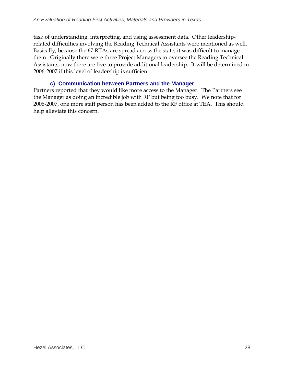task of understanding, interpreting, and using assessment data. Other leadershiprelated difficulties involving the Reading Technical Assistants were mentioned as well. Basically, because the 67 RTAs are spread across the state, it was difficult to manage them. Originally there were three Project Managers to oversee the Reading Technical Assistants; now there are five to provide additional leadership. It will be determined in 2006-2007 if this level of leadership is sufficient.

## **c) Communication between Partners and the Manager**

Partners reported that they would like more access to the Manager. The Partners see the Manager as doing an incredible job with RF but being too busy. We note that for 2006-2007, one more staff person has been added to the RF office at TEA. This should help alleviate this concern.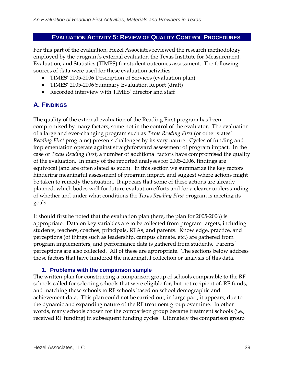## **EVALUATION ACTIVITY 5: REVIEW OF QUALITY CONTROL PROCEDURES**

For this part of the evaluation, Hezel Associates reviewed the research methodology employed by the program's external evaluator, the Texas Institute for Measurement, Evaluation, and Statistics (TIMES) for student outcomes assessment. The following sources of data were used for these evaluation activities:

- TIMES' 2005-2006 Description of Services (evaluation plan)
- TIMES' 2005-2006 Summary Evaluation Report (draft)
- Recorded interview with TIMES' director and staff

## **A. FINDINGS**

The quality of the external evaluation of the Reading First program has been compromised by many factors, some not in the control of the evaluator. The evaluation of a large and ever-changing program such as *Texas Reading First* (or other states' *Reading First* programs) presents challenges by its very nature. Cycles of funding and implementation operate against straightforward assessment of program impact. In the case of *Texas Reading First*, a number of additional factors have compromised the quality of the evaluation. In many of the reported analyses for 2005-2006, findings are equivocal (and are often stated as such). In this section we summarize the key factors hindering meaningful assessment of program impact, and suggest where actions might be taken to remedy the situation. It appears that some of these actions are already planned, which bodes well for future evaluation efforts and for a clearer understanding of whether and under what conditions the *Texas Reading First* program is meeting its goals.

It should first be noted that the evaluation plan (here, the plan for 2005-2006) is appropriate. Data on key variables are to be collected from program targets, including students, teachers, coaches, principals, RTAs, and parents. Knowledge, practice, and perceptions (of things such as leadership, campus climate, etc.) are gathered from program implementers, and performance data is gathered from students. Parents' perceptions are also collected. All of these are appropriate. The sections below address those factors that have hindered the meaningful collection or analysis of this data.

## **1. Problems with the comparison sample**

The written plan for constructing a comparison group of schools comparable to the RF schools called for selecting schools that were eligible for, but not recipient of, RF funds, and matching these schools to RF schools based on school demographic and achievement data. This plan could not be carried out, in large part, it appears, due to the dynamic and expanding nature of the RF treatment group over time. In other words, many schools chosen for the comparison group became treatment schools (i.e., received RF funding) in subsequent funding cycles. Ultimately the comparison group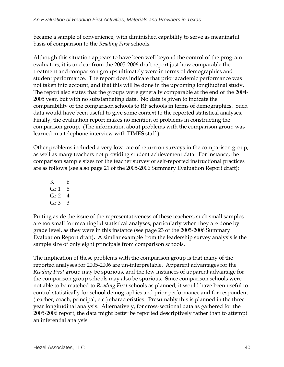became a sample of convenience, with diminished capability to serve as meaningful basis of comparison to the *Reading First* schools.

Although this situation appears to have been well beyond the control of the program evaluators, it is unclear from the 2005-2006 draft report just how comparable the treatment and comparison groups ultimately were in terms of demographics and student performance. The report does indicate that prior academic performance was not taken into account, and that this will be done in the upcoming longitudinal study. The report also states that the groups were generally comparable at the end of the 2004- 2005 year, but with no substantiating data. No data is given to indicate the comparability of the comparison schools to RF schools in terms of demographics. Such data would have been useful to give some context to the reported statistical analyses. Finally, the evaluation report makes no mention of problems in constructing the comparison group. (The information about problems with the comparison group was learned in a telephone interview with TIMES staff.)

Other problems included a very low rate of return on surveys in the comparison group, as well as many teachers not providing student achievement data. For instance, the comparison sample sizes for the teacher survey of self-reported instructional practices are as follows (see also page 21 of the 2005-2006 Summary Evaluation Report draft):

K 6 Gr $1 \quad 8$  $Gr 2 4$ Gr  $3 \overline{3}$ 

Putting aside the issue of the representativeness of these teachers, such small samples are too small for meaningful statistical analyses, particularly when they are done by grade level, as they were in this instance (see page 23 of the 2005-2006 Summary Evaluation Report draft)**.** A similar example from the leadership survey analysis is the sample size of only eight principals from comparison schools.

The implication of these problems with the comparison group is that many of the reported analyses for 2005-2006 are un-interpretable. Apparent advantages for the *Reading First* group may be spurious, and the few instances of apparent advantage for the comparison group schools may also be spurious. Since comparison schools were not able to be matched to *Reading First* schools as planned, it would have been useful to control statistically for school demographics and prior performance and for respondent (teacher, coach, principal, etc.) characteristics. Presumably this is planned in the threeyear longitudinal analysis. Alternatively, for cross-sectional data as gathered for the 2005-2006 report, the data might better be reported descriptively rather than to attempt an inferential analysis.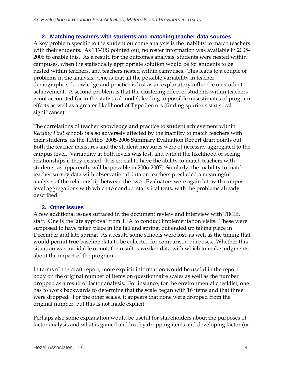## **2. Matching teachers with students and matching teacher data sources**

A key problem specific to the student outcome analysis is the inability to match teachers with their students. As TIMES pointed out, no roster information was available in 2005- 2006 to enable this. As a result, for the outcomes analysis, students were nested within campuses, when the statistically appropriate solution would be for students to be nested within teachers, and teachers nested within campuses. This leads to a couple of problems in the analysis. One is that all the possible variability in teacher demographics, knowledge and practice is lost as an explanatory influence on student achievement. A second problem is that the clustering effect of students within teachers is not accounted for in the statistical model, leading to possible misestimates of program effects as well as a greater likelihood of Type I errors (finding spurious statistical significance).

The correlations of teacher knowledge and practice to student achievement within *Reading First* schools is also adversely affected by the inability to match teachers with their students, as the TIMES' 2005-2006 Summary Evaluation Report draft points out. Both the teacher measures and the student measures were of necessity aggregated to the campus level. Variability at both levels was lost, and with it the likelihood of seeing relationships if they existed. It is crucial to have the ability to match teachers with students, as apparently will be possible in 2006-2007. Similarly, the inability to match teacher survey data with observational data on teachers precluded a meaningful analysis of the relationship between the two. Evaluators were again left with campuslevel aggregations with which to conduct statistical tests, with the problems already described.

## **3. Other issues**

A few additional issues surfaced in the document review and interview with TIMES staff. One is the late approval from TEA to conduct implementation visits. These were supposed to have taken place in the fall and spring, but ended up taking place in December and late spring. As a result, some schools were lost, as well as the timing that would permit true baseline data to be collected for comparison purposes. Whether this situation was avoidable or not, the result is weaker data with which to make judgments about the impact of the program.

In terms of the draft report, more explicit information would be useful in the report body on the original number of items on questionnaire scales as well as the number dropped as a result of factor analysis. For instance, for the environmental checklist, one has to work backwards to determine that the scale began with 16 items and that three were dropped. For the other scales, it appears that none were dropped from the original number, but this is not made explicit.

Perhaps also some explanation would be useful for stakeholders about the purposes of factor analysis and what is gained and lost by dropping items and developing factor (or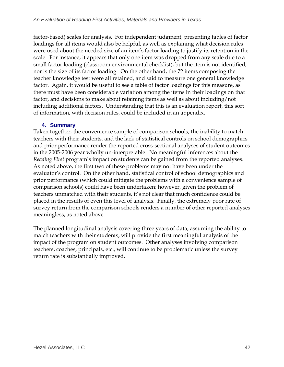factor-based) scales for analysis. For independent judgment, presenting tables of factor loadings for all items would also be helpful, as well as explaining what decision rules were used about the needed size of an item's factor loading to justify its retention in the scale. For instance, it appears that only one item was dropped from any scale due to a small factor loading (classroom environmental checklist), but the item is not identified, nor is the size of its factor loading. On the other hand, the 72 items composing the teacher knowledge test were all retained, and said to measure one general knowledge factor. Again, it would be useful to see a table of factor loadings for this measure, as there must have been considerable variation among the items in their loadings on that factor, and decisions to make about retaining items as well as about including/not including additional factors. Understanding that this is an evaluation report, this sort of information, with decision rules, could be included in an appendix.

## **4. Summary**

Taken together, the convenience sample of comparison schools, the inability to match teachers with their students, and the lack of statistical controls on school demographics and prior performance render the reported cross-sectional analyses of student outcomes in the 2005-2006 year wholly un-interpretable. No meaningful inferences about the *Reading First* program's impact on students can be gained from the reported analyses. As noted above, the first two of these problems may not have been under the evaluator's control. On the other hand, statistical control of school demographics and prior performance (which could mitigate the problems with a convenience sample of comparison schools) could have been undertaken; however, given the problem of teachers unmatched with their students, it's not clear that much confidence could be placed in the results of even this level of analysis. Finally, the extremely poor rate of survey return from the comparison schools renders a number of other reported analyses meaningless, as noted above.

The planned longitudinal analysis covering three years of data, assuming the ability to match teachers with their students, will provide the first meaningful analysis of the impact of the program on student outcomes. Other analyses involving comparison teachers, coaches, principals, etc., will continue to be problematic unless the survey return rate is substantially improved.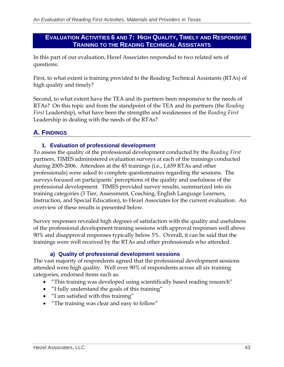## **EVALUATION ACTIVITIES 6 AND 7: HIGH QUALITY, TIMELY AND RESPONSIVE TRAINING TO THE READING TECHNICAL ASSISTANTS**

In this part of our evaluation, Hezel Associates responded to two related sets of questions:

First, to what extent is training provided to the Reading Technical Assistants (RTAs) of high quality and timely?

Second, to what extent have the TEA and its partners been responsive to the needs of RTAs? On this topic and from the standpoint of the TEA and its partners (the *Reading First* Leadership), what have been the strengths and weaknesses of the *Reading First*  Leadership in dealing with the needs of the RTAs?

## **A. FINDINGS**

## **1. Evaluation of professional development**

To assess the quality of the professional development conducted by the *Reading First*  partners, TIMES administered evaluation surveys at each of the trainings conducted during 2005-2006. Attendees at the 45 trainings (i.e., 1,659 RTAs and other professionals) were asked to complete questionnaires regarding the sessions. The surveys focused on participants' perceptions of the quality and usefulness of the professional development. TIMES provided survey results, summarized into six training categories (3 Tier, Assessment, Coaching, English Language Learners, Instruction, and Special Education), to Hezel Associates for the current evaluation. An overview of these results is presented below.

Survey responses revealed high degrees of satisfaction with the quality and usefulness of the professional development training sessions with approval responses well above 90% and disapproval responses typically below 5%. Overall, it can be said that the trainings were well received by the RTAs and other professionals who attended.

## **a) Quality of professional development sessions**

The vast majority of respondents agreed that the professional development sessions attended were high quality. Well over 90% of respondents across all six training categories, endorsed items such as:

- "This training was developed using scientifically based reading research"
- "I fully understand the goals of this training"
- "I am satisfied with this training"
- "The training was clear and easy to follow"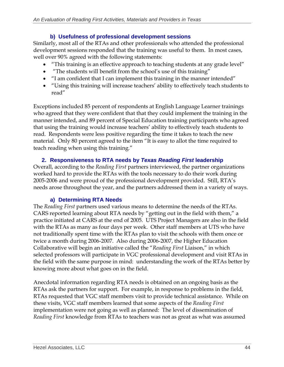## **b) Usefulness of professional development sessions**

Similarly, most all of the RTAs and other professionals who attended the professional development sessions responded that the training was useful to them. In most cases, well over 90% agreed with the following statements:

- "This training is an effective approach to teaching students at any grade level"
- "The students will benefit from the school's use of this training"
- "I am confident that I can implement this training in the manner intended"
- "Using this training will increase teachers' ability to effectively teach students to read"

Exceptions included 85 percent of respondents at English Language Learner trainings who agreed that they were confident that that they could implement the training in the manner intended, and 89 percent of Special Education training participants who agreed that using the training would increase teachers' ability to effectively teach students to read. Respondents were less positive regarding the time it takes to teach the new material. Only 80 percent agreed to the item "It is easy to allot the time required to teach reading when using this training."

## **2. Responsiveness to RTA needs by** *Texas Reading First* **leadership**

Overall, according to the *Reading First* partners interviewed, the partner organizations worked hard to provide the RTAs with the tools necessary to do their work during 2005-2006 and were proud of the professional development provided. Still, RTA's needs arose throughout the year, and the partners addressed them in a variety of ways.

## **a) Determining RTA Needs**

The *Reading First* partners used various means to determine the needs of the RTAs. CARS reported learning about RTA needs by "getting out in the field with them," a practice initiated at CARS at the end of 2005. UTS Project Managers are also in the field with the RTAs as many as four days per week. Other staff members at UTS who have not traditionally spent time with the RTAs plan to visit the schools with them once or twice a month during 2006-2007. Also during 2006-2007, the Higher Education Collaborative will begin an initiative called the "*Reading First* Liaison," in which selected professors will participate in VGC professional development and visit RTAs in the field with the same purpose in mind: understanding the work of the RTAs better by knowing more about what goes on in the field.

Anecdotal information regarding RTA needs is obtained on an ongoing basis as the RTAs ask the partners for support. For example, in response to problems in the field, RTAs requested that VGC staff members visit to provide technical assistance. While on these visits, VGC staff members learned that some aspects of the *Reading First*  implementation were not going as well as planned: The level of dissemination of *Reading First* knowledge from RTAs to teachers was not as great as what was assumed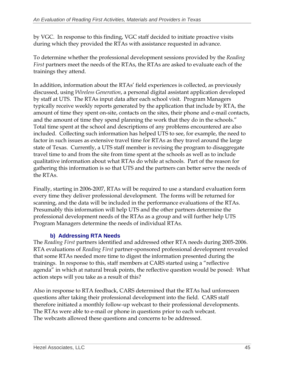by VGC. In response to this finding, VGC staff decided to initiate proactive visits during which they provided the RTAs with assistance requested in advance.

To determine whether the professional development sessions provided by the *Reading First* partners meet the needs of the RTAs, the RTAs are asked to evaluate each of the trainings they attend.

In addition, information about the RTAs' field experiences is collected, as previously discussed, using *Wireless Generation*, a personal digital assistant application developed by staff at UTS. The RTAs input data after each school visit. Program Managers typically receive weekly reports generated by the application that include by RTA, the amount of time they spent on-site, contacts on the sites, their phone and e-mail contacts, and the amount of time they spend planning the work that they do in the schools." Total time spent at the school and descriptions of any problems encountered are also included. Collecting such information has helped UTS to see, for example, the need to factor in such issues as extensive travel time for RTAs as they travel around the large state of Texas. Currently, a UTS staff member is revising the program to disaggregate travel time to and from the site from time spent at the schools as well as to include qualitative information about what RTAs do while at schools. Part of the reason for gathering this information is so that UTS and the partners can better serve the needs of the RTAs.

Finally, starting in 2006-2007, RTAs will be required to use a standard evaluation form every time they deliver professional development. The forms will be returned for scanning, and the data will be included in the performance evaluations of the RTAs. Presumably this information will help UTS and the other partners determine the professional development needs of the RTAs as a group and will further help UTS Program Managers determine the needs of individual RTAs.

## **b) Addressing RTA Needs**

The *Reading First* partners identified and addressed other RTA needs during 2005-2006. RTA evaluations of *Reading First* partner-sponsored professional development revealed that some RTAs needed more time to digest the information presented during the trainings. In response to this, staff members at CARS started using a "reflective agenda" in which at natural break points, the reflective question would be posed: What action steps will you take as a result of this?

Also in response to RTA feedback, CARS determined that the RTAs had unforeseen questions after taking their professional development into the field. CARS staff therefore initiated a monthly follow-up webcast to their professional developments. The RTAs were able to e-mail or phone in questions prior to each webcast. The webcasts allowed these questions and concerns to be addressed.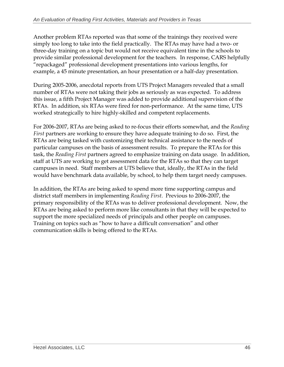Another problem RTAs reported was that some of the trainings they received were simply too long to take into the field practically. The RTAs may have had a two- or three-day training on a topic but would not receive equivalent time in the schools to provide similar professional development for the teachers. In response, CARS helpfully "repackaged" professional development presentations into various lengths, for example, a 45 minute presentation, an hour presentation or a half-day presentation.

During 2005-2006, anecdotal reports from UTS Project Managers revealed that a small number of RTAs were not taking their jobs as seriously as was expected. To address this issue, a fifth Project Manager was added to provide additional supervision of the RTAs. In addition, six RTAs were fired for non-performance. At the same time, UTS worked strategically to hire highly-skilled and competent replacements.

For 2006-2007, RTAs are being asked to re-focus their efforts somewhat, and the *Reading First* partners are working to ensure they have adequate training to do so. First, the RTAs are being tasked with customizing their technical assistance to the needs of particular campuses on the basis of assessment results. To prepare the RTAs for this task, the *Reading First* partners agreed to emphasize training on data usage. In addition, staff at UTS are working to get assessment data for the RTAs so that they can target campuses in need. Staff members at UTS believe that, ideally, the RTAs in the field would have benchmark data available, by school, to help them target needy campuses.

In addition, the RTAs are being asked to spend more time supporting campus and district staff members in implementing *Reading First*. Previous to 2006-2007, the primary responsibility of the RTAs was to deliver professional development. Now, the RTAs are being asked to perform more like consultants in that they will be expected to support the more specialized needs of principals and other people on campuses. Training on topics such as "how to have a difficult conversation" and other communication skills is being offered to the RTAs.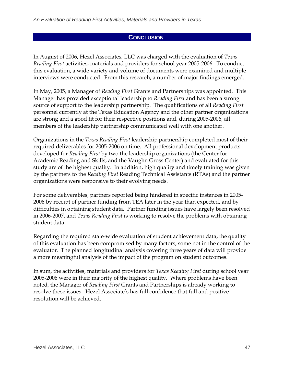## **CONCLUSION**

In August of 2006, Hezel Associates, LLC was charged with the evaluation of *Texas Reading First* activities, materials and providers for school year 2005-2006. To conduct this evaluation, a wide variety and volume of documents were examined and multiple interviews were conducted. From this research, a number of major findings emerged.

In May, 2005, a Manager of *Reading First* Grants and Partnerships was appointed. This Manager has provided exceptional leadership to *Reading First* and has been a strong source of support to the leadership partnership. The qualifications of all *Reading First*  personnel currently at the Texas Education Agency and the other partner organizations are strong and a good fit for their respective positions and, during 2005-2006, all members of the leadership partnership communicated well with one another.

Organizations in the *Texas Reading First* leadership partnership completed most of their required deliverables for 2005-2006 on time. All professional development products developed for *Reading First* by two the leadership organizations (the Center for Academic Reading and Skills, and the Vaughn Gross Center) and evaluated for this study are of the highest quality. In addition, high quality and timely training was given by the partners to the *Reading First* Reading Technical Assistants (RTAs) and the partner organizations were responsive to their evolving needs.

For some deliverables, partners reported being hindered in specific instances in 2005- 2006 by receipt of partner funding from TEA later in the year than expected, and by difficulties in obtaining student data. Partner funding issues have largely been resolved in 2006-2007, and *Texas Reading First* is working to resolve the problems with obtaining student data.

Regarding the required state-wide evaluation of student achievement data, the quality of this evaluation has been compromised by many factors, some not in the control of the evaluator. The planned longitudinal analysis covering three years of data will provide a more meaningful analysis of the impact of the program on student outcomes.

In sum, the activities, materials and providers for *Texas Reading First* during school year 2005-2006 were in their majority of the highest quality. Where problems have been noted, the Manager of *Reading First* Grants and Partnerships is already working to resolve these issues. Hezel Associate's has full confidence that full and positive resolution will be achieved.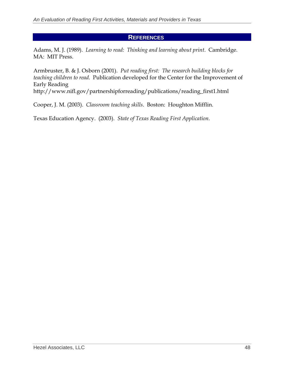## **REFERENCES**

Adams, M. J. (1989). *Learning to read: Thinking and learning about print*. Cambridge. MA: MIT Press.

Armbruster, B. & J. Osborn (2001). *Put reading first: The research building blocks for teaching children to read*. Publication developed for the Center for the Improvement of Early Reading http://www.nifl.gov/partnershipforreading/publications/reading\_first1.html

Cooper, J. M. (2003). *Classroom teaching skills*. Boston: Houghton Mifflin.

Texas Education Agency. (2003). *State of Texas Reading First Application*.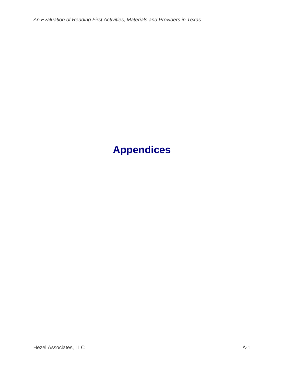# **Appendices**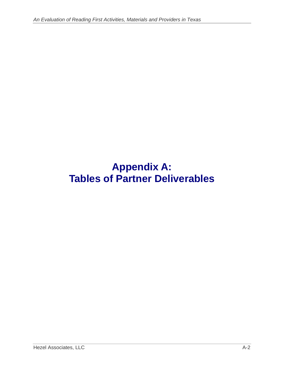## **Appendix A: Tables of Partner Deliverables**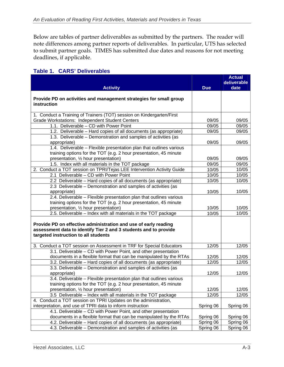Below are tables of partner deliverables as submitted by the partners. The reader will note differences among partner reports of deliverables. In particular, UTS has selected to submit partner goals. TIMES has submitted due dates and reasons for not meeting deadlines, if applicable.

## **Table 1. CARS' Deliverables**

|                                                                                                                                                                             |            | <b>Actual</b><br>deliverable |
|-----------------------------------------------------------------------------------------------------------------------------------------------------------------------------|------------|------------------------------|
| <b>Activity</b>                                                                                                                                                             | <b>Due</b> | date                         |
| Provide PD on activities and management strategies for small group<br>instruction                                                                                           |            |                              |
| 1. Conduct a Training of Trainers (TOT) session on Kindergarten/First                                                                                                       |            |                              |
| Grade Workstations: Independent Student Centers                                                                                                                             | 09/05      | 09/05                        |
| 1.1. Deliverable - CD with Power Point                                                                                                                                      | 09/05      | 09/05                        |
| 1.2. Deliverable - Hard copies of all documents (as appropriate)                                                                                                            | 09/05      | 09/05                        |
| 1.3. Deliverable - Demonstration and samples of activities (as                                                                                                              |            |                              |
| appropriate)                                                                                                                                                                | 09/05      | 09/05                        |
| 1.4. Deliverable - Flexible presentation plan that outlines various                                                                                                         |            |                              |
| training options for the TOT (e.g. 2 hour presentation, 45 minute                                                                                                           |            |                              |
| presentation, 1/2 hour presentation)                                                                                                                                        | 09/05      | 09/05                        |
| 1.5. Index with all materials in the TOT package                                                                                                                            | 09/05      | 09/05                        |
| 2. Conduct a TOT session on TPRI/Tejas LEE Intervention Activity Guide                                                                                                      | 10/05      | 10/05                        |
| 2.1 Deliverable - CD with Power Point                                                                                                                                       | 10/05      | 10/05                        |
| 2.2 Deliverable – Hard copies of all documents (as appropriate)                                                                                                             | 10/05      | 10/05                        |
| 2.3 Deliverable - Demonstration and samples of activities (as                                                                                                               |            |                              |
| appropriate)                                                                                                                                                                | 10/05      | 10/05                        |
| 2.4. Deliverable - Flexible presentation plan that outlines various                                                                                                         |            |                              |
| training options for the TOT (e.g. 2 hour presentation, 45 minute                                                                                                           |            |                              |
| presentation, 1/2 hour presentation)                                                                                                                                        | 10/05      | 10/05                        |
| 2.5. Deliverable - Index with all materials in the TOT package                                                                                                              | 10/05      | 10/05                        |
| Provide PD on effective administration and use of early reading<br>assessment data to identify Tier 2 and 3 students and to provide<br>targeted instruction to all students |            |                              |
| 3. Conduct a TOT session on Assessment in TRF for Special Educators                                                                                                         | 12/05      | 12/05                        |
| 3.1. Deliverable - CD with Power Point, and other presentation                                                                                                              |            |                              |
| documents in a flexible format that can be manipulated by the RTAs                                                                                                          | 12/05      | 12/05                        |
| 3.2. Deliverable - Hard copies of all documents (as appropriate)                                                                                                            | 12/05      | 12/05                        |
| 3.3. Deliverable - Demonstration and samples of activities (as<br>appropriate)                                                                                              | 12/05      | 12/05                        |
| 3.4. Deliverable - Flexible presentation plan that outlines various                                                                                                         |            |                              |
| training options for the TOT (e.g. 2 hour presentation, 45 minute                                                                                                           |            |                              |
| presentation, 1/2 hour presentation)                                                                                                                                        | 12/05      | 12/05                        |
| 3.5 Deliverable - Index with all materials in the TOT package                                                                                                               | 12/05      | 12/05                        |
| 4. Conduct a TOT session on TPRI Updates on the administration,                                                                                                             |            |                              |
| interpretation, and use of TPRI data to inform instruction                                                                                                                  | Spring 06  | Spring 06                    |
| 4.1. Deliverable - CD with Power Point, and other presentation                                                                                                              |            |                              |
| documents in a flexible format that can be manipulated by the RTAs                                                                                                          | Spring 06  | Spring 06                    |
| 4.2. Deliverable – Hard copies of all documents (as appropriate)                                                                                                            | Spring 06  | Spring 06                    |
| 4.3. Deliverable - Demonstration and samples of activities (as                                                                                                              | Spring 06  | Spring 06                    |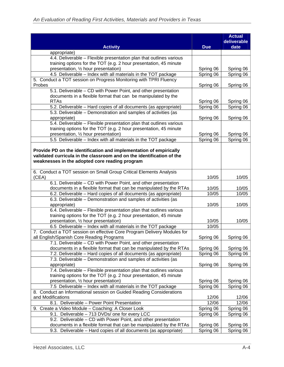| date<br><b>Activity</b><br><b>Due</b><br>appropriate)<br>4.4. Deliverable - Flexible presentation plan that outlines various<br>training options for the TOT (e.g. 2 hour presentation, 45 minute<br>presentation, 1/2 hour presentation)<br>Spring 06<br>Spring 06<br>4.5 Deliverable - Index with all materials in the TOT package<br>Spring 06<br>Spring 06<br>5. Conduct a TOT session on Progress Monitoring with TPRI Fluency<br>Probes<br>Spring 06<br>Spring 06<br>5.1. Deliverable - CD with Power Point, and other presentation<br>documents in a flexible format that can be manipulated by the<br><b>RTAs</b><br>Spring 06<br>Spring 06<br>5.2. Deliverable - Hard copies of all documents (as appropriate)<br>Spring 06<br>Spring 06<br>5.3. Deliverable - Demonstration and samples of activities (as<br>appropriate)<br>Spring 06<br>Spring 06<br>5.4. Deliverable - Flexible presentation plan that outlines various<br>training options for the TOT (e.g. 2 hour presentation, 45 minute<br>presentation, 1/2 hour presentation)<br>Spring 06<br>Spring 06<br>5.5 Deliverable - Index with all materials in the TOT package<br>Spring 06<br>Spring 06<br>Provide PD on the identification and implementation of empirically<br>validated curricula in the classroom and on the identification of the<br>weaknesses in the adopted core reading program<br>6. Conduct a TOT session on Small Group Critical Elements Analysis<br>(CEA)<br>10/05<br>10/05<br>6.1. Deliverable - CD with Power Point, and other presentation<br>documents in a flexible format that can be manipulated by the RTAs<br>10/05<br>10/05<br>6.2. Deliverable - Hard copies of all documents (as appropriate)<br>10/05<br>10/05<br>6.3. Deliverable - Demonstration and samples of activities (as<br>appropriate)<br>10/05<br>10/05<br>6.4. Deliverable - Flexible presentation plan that outlines various<br>training options for the TOT (e.g. 2 hour presentation, 45 minute<br>presentation, 1/2 hour presentation)<br>10/05<br>10/05<br>10/05<br>6.5 Deliverable - Index with all materials in the TOT package<br>7. Conduct a TOT session on effective Core Program Delivery Modules for<br>all English/Spanish Core Reading Programs<br>Spring 06<br>Spring 06<br>7.1. Deliverable – CD with Power Point, and other presentation<br>documents in a flexible format that can be manipulated by the RTAs<br>Spring 06<br>Spring 06<br>7.2. Deliverable - Hard copies of all documents (as appropriate)<br>Spring 06<br>Spring 06<br>7.3. Deliverable - Demonstration and samples of activities (as<br>Spring 06<br>Spring 06<br>appropriate)<br>7.4. Deliverable - Flexible presentation plan that outlines various<br>training options for the TOT (e.g. 2 hour presentation, 45 minute<br>presentation, 1/2 hour presentation)<br>Spring 06<br>Spring 06<br>7.5 Deliverable - Index with all materials in the TOT package<br>Spring 06<br>Spring 06<br>8. Conduct an Informational session on Guided Reading Considerations<br>and Modifications<br>12/06<br>12/06<br>8.1. Deliverable - Power Point Presentation<br>12/06<br>12/06<br>9. Create a Video Module - Coaching: A Closer Look<br>Spring 06<br>Spring 06<br>9.1. Deliverable - 713 DVDs/ one for every LCC<br>Spring 06<br>Spring 06<br>9.2. Deliverable - CD with Power Point, and other presentation<br>documents in a flexible format that can be manipulated by the RTAs<br>Spring 06<br>Spring 06 |                                                                  |           | <b>Actual</b> |
|-------------------------------------------------------------------------------------------------------------------------------------------------------------------------------------------------------------------------------------------------------------------------------------------------------------------------------------------------------------------------------------------------------------------------------------------------------------------------------------------------------------------------------------------------------------------------------------------------------------------------------------------------------------------------------------------------------------------------------------------------------------------------------------------------------------------------------------------------------------------------------------------------------------------------------------------------------------------------------------------------------------------------------------------------------------------------------------------------------------------------------------------------------------------------------------------------------------------------------------------------------------------------------------------------------------------------------------------------------------------------------------------------------------------------------------------------------------------------------------------------------------------------------------------------------------------------------------------------------------------------------------------------------------------------------------------------------------------------------------------------------------------------------------------------------------------------------------------------------------------------------------------------------------------------------------------------------------------------------------------------------------------------------------------------------------------------------------------------------------------------------------------------------------------------------------------------------------------------------------------------------------------------------------------------------------------------------------------------------------------------------------------------------------------------------------------------------------------------------------------------------------------------------------------------------------------------------------------------------------------------------------------------------------------------------------------------------------------------------------------------------------------------------------------------------------------------------------------------------------------------------------------------------------------------------------------------------------------------------------------------------------------------------------------------------------------------------------------------------------------------------------------------------------------------------------------------------------------------------------------------------------------------------------------------------------------------------------------------------------------------------------------------------------------------------------------------------------------|------------------------------------------------------------------|-----------|---------------|
|                                                                                                                                                                                                                                                                                                                                                                                                                                                                                                                                                                                                                                                                                                                                                                                                                                                                                                                                                                                                                                                                                                                                                                                                                                                                                                                                                                                                                                                                                                                                                                                                                                                                                                                                                                                                                                                                                                                                                                                                                                                                                                                                                                                                                                                                                                                                                                                                                                                                                                                                                                                                                                                                                                                                                                                                                                                                                                                                                                                                                                                                                                                                                                                                                                                                                                                                                                                                                                                                   |                                                                  |           | deliverable   |
|                                                                                                                                                                                                                                                                                                                                                                                                                                                                                                                                                                                                                                                                                                                                                                                                                                                                                                                                                                                                                                                                                                                                                                                                                                                                                                                                                                                                                                                                                                                                                                                                                                                                                                                                                                                                                                                                                                                                                                                                                                                                                                                                                                                                                                                                                                                                                                                                                                                                                                                                                                                                                                                                                                                                                                                                                                                                                                                                                                                                                                                                                                                                                                                                                                                                                                                                                                                                                                                                   |                                                                  |           |               |
|                                                                                                                                                                                                                                                                                                                                                                                                                                                                                                                                                                                                                                                                                                                                                                                                                                                                                                                                                                                                                                                                                                                                                                                                                                                                                                                                                                                                                                                                                                                                                                                                                                                                                                                                                                                                                                                                                                                                                                                                                                                                                                                                                                                                                                                                                                                                                                                                                                                                                                                                                                                                                                                                                                                                                                                                                                                                                                                                                                                                                                                                                                                                                                                                                                                                                                                                                                                                                                                                   |                                                                  |           |               |
|                                                                                                                                                                                                                                                                                                                                                                                                                                                                                                                                                                                                                                                                                                                                                                                                                                                                                                                                                                                                                                                                                                                                                                                                                                                                                                                                                                                                                                                                                                                                                                                                                                                                                                                                                                                                                                                                                                                                                                                                                                                                                                                                                                                                                                                                                                                                                                                                                                                                                                                                                                                                                                                                                                                                                                                                                                                                                                                                                                                                                                                                                                                                                                                                                                                                                                                                                                                                                                                                   |                                                                  |           |               |
|                                                                                                                                                                                                                                                                                                                                                                                                                                                                                                                                                                                                                                                                                                                                                                                                                                                                                                                                                                                                                                                                                                                                                                                                                                                                                                                                                                                                                                                                                                                                                                                                                                                                                                                                                                                                                                                                                                                                                                                                                                                                                                                                                                                                                                                                                                                                                                                                                                                                                                                                                                                                                                                                                                                                                                                                                                                                                                                                                                                                                                                                                                                                                                                                                                                                                                                                                                                                                                                                   |                                                                  |           |               |
|                                                                                                                                                                                                                                                                                                                                                                                                                                                                                                                                                                                                                                                                                                                                                                                                                                                                                                                                                                                                                                                                                                                                                                                                                                                                                                                                                                                                                                                                                                                                                                                                                                                                                                                                                                                                                                                                                                                                                                                                                                                                                                                                                                                                                                                                                                                                                                                                                                                                                                                                                                                                                                                                                                                                                                                                                                                                                                                                                                                                                                                                                                                                                                                                                                                                                                                                                                                                                                                                   |                                                                  |           |               |
|                                                                                                                                                                                                                                                                                                                                                                                                                                                                                                                                                                                                                                                                                                                                                                                                                                                                                                                                                                                                                                                                                                                                                                                                                                                                                                                                                                                                                                                                                                                                                                                                                                                                                                                                                                                                                                                                                                                                                                                                                                                                                                                                                                                                                                                                                                                                                                                                                                                                                                                                                                                                                                                                                                                                                                                                                                                                                                                                                                                                                                                                                                                                                                                                                                                                                                                                                                                                                                                                   |                                                                  |           |               |
|                                                                                                                                                                                                                                                                                                                                                                                                                                                                                                                                                                                                                                                                                                                                                                                                                                                                                                                                                                                                                                                                                                                                                                                                                                                                                                                                                                                                                                                                                                                                                                                                                                                                                                                                                                                                                                                                                                                                                                                                                                                                                                                                                                                                                                                                                                                                                                                                                                                                                                                                                                                                                                                                                                                                                                                                                                                                                                                                                                                                                                                                                                                                                                                                                                                                                                                                                                                                                                                                   |                                                                  |           |               |
|                                                                                                                                                                                                                                                                                                                                                                                                                                                                                                                                                                                                                                                                                                                                                                                                                                                                                                                                                                                                                                                                                                                                                                                                                                                                                                                                                                                                                                                                                                                                                                                                                                                                                                                                                                                                                                                                                                                                                                                                                                                                                                                                                                                                                                                                                                                                                                                                                                                                                                                                                                                                                                                                                                                                                                                                                                                                                                                                                                                                                                                                                                                                                                                                                                                                                                                                                                                                                                                                   |                                                                  |           |               |
|                                                                                                                                                                                                                                                                                                                                                                                                                                                                                                                                                                                                                                                                                                                                                                                                                                                                                                                                                                                                                                                                                                                                                                                                                                                                                                                                                                                                                                                                                                                                                                                                                                                                                                                                                                                                                                                                                                                                                                                                                                                                                                                                                                                                                                                                                                                                                                                                                                                                                                                                                                                                                                                                                                                                                                                                                                                                                                                                                                                                                                                                                                                                                                                                                                                                                                                                                                                                                                                                   |                                                                  |           |               |
|                                                                                                                                                                                                                                                                                                                                                                                                                                                                                                                                                                                                                                                                                                                                                                                                                                                                                                                                                                                                                                                                                                                                                                                                                                                                                                                                                                                                                                                                                                                                                                                                                                                                                                                                                                                                                                                                                                                                                                                                                                                                                                                                                                                                                                                                                                                                                                                                                                                                                                                                                                                                                                                                                                                                                                                                                                                                                                                                                                                                                                                                                                                                                                                                                                                                                                                                                                                                                                                                   |                                                                  |           |               |
|                                                                                                                                                                                                                                                                                                                                                                                                                                                                                                                                                                                                                                                                                                                                                                                                                                                                                                                                                                                                                                                                                                                                                                                                                                                                                                                                                                                                                                                                                                                                                                                                                                                                                                                                                                                                                                                                                                                                                                                                                                                                                                                                                                                                                                                                                                                                                                                                                                                                                                                                                                                                                                                                                                                                                                                                                                                                                                                                                                                                                                                                                                                                                                                                                                                                                                                                                                                                                                                                   |                                                                  |           |               |
|                                                                                                                                                                                                                                                                                                                                                                                                                                                                                                                                                                                                                                                                                                                                                                                                                                                                                                                                                                                                                                                                                                                                                                                                                                                                                                                                                                                                                                                                                                                                                                                                                                                                                                                                                                                                                                                                                                                                                                                                                                                                                                                                                                                                                                                                                                                                                                                                                                                                                                                                                                                                                                                                                                                                                                                                                                                                                                                                                                                                                                                                                                                                                                                                                                                                                                                                                                                                                                                                   |                                                                  |           |               |
|                                                                                                                                                                                                                                                                                                                                                                                                                                                                                                                                                                                                                                                                                                                                                                                                                                                                                                                                                                                                                                                                                                                                                                                                                                                                                                                                                                                                                                                                                                                                                                                                                                                                                                                                                                                                                                                                                                                                                                                                                                                                                                                                                                                                                                                                                                                                                                                                                                                                                                                                                                                                                                                                                                                                                                                                                                                                                                                                                                                                                                                                                                                                                                                                                                                                                                                                                                                                                                                                   |                                                                  |           |               |
|                                                                                                                                                                                                                                                                                                                                                                                                                                                                                                                                                                                                                                                                                                                                                                                                                                                                                                                                                                                                                                                                                                                                                                                                                                                                                                                                                                                                                                                                                                                                                                                                                                                                                                                                                                                                                                                                                                                                                                                                                                                                                                                                                                                                                                                                                                                                                                                                                                                                                                                                                                                                                                                                                                                                                                                                                                                                                                                                                                                                                                                                                                                                                                                                                                                                                                                                                                                                                                                                   |                                                                  |           |               |
|                                                                                                                                                                                                                                                                                                                                                                                                                                                                                                                                                                                                                                                                                                                                                                                                                                                                                                                                                                                                                                                                                                                                                                                                                                                                                                                                                                                                                                                                                                                                                                                                                                                                                                                                                                                                                                                                                                                                                                                                                                                                                                                                                                                                                                                                                                                                                                                                                                                                                                                                                                                                                                                                                                                                                                                                                                                                                                                                                                                                                                                                                                                                                                                                                                                                                                                                                                                                                                                                   |                                                                  |           |               |
|                                                                                                                                                                                                                                                                                                                                                                                                                                                                                                                                                                                                                                                                                                                                                                                                                                                                                                                                                                                                                                                                                                                                                                                                                                                                                                                                                                                                                                                                                                                                                                                                                                                                                                                                                                                                                                                                                                                                                                                                                                                                                                                                                                                                                                                                                                                                                                                                                                                                                                                                                                                                                                                                                                                                                                                                                                                                                                                                                                                                                                                                                                                                                                                                                                                                                                                                                                                                                                                                   |                                                                  |           |               |
|                                                                                                                                                                                                                                                                                                                                                                                                                                                                                                                                                                                                                                                                                                                                                                                                                                                                                                                                                                                                                                                                                                                                                                                                                                                                                                                                                                                                                                                                                                                                                                                                                                                                                                                                                                                                                                                                                                                                                                                                                                                                                                                                                                                                                                                                                                                                                                                                                                                                                                                                                                                                                                                                                                                                                                                                                                                                                                                                                                                                                                                                                                                                                                                                                                                                                                                                                                                                                                                                   |                                                                  |           |               |
|                                                                                                                                                                                                                                                                                                                                                                                                                                                                                                                                                                                                                                                                                                                                                                                                                                                                                                                                                                                                                                                                                                                                                                                                                                                                                                                                                                                                                                                                                                                                                                                                                                                                                                                                                                                                                                                                                                                                                                                                                                                                                                                                                                                                                                                                                                                                                                                                                                                                                                                                                                                                                                                                                                                                                                                                                                                                                                                                                                                                                                                                                                                                                                                                                                                                                                                                                                                                                                                                   |                                                                  |           |               |
|                                                                                                                                                                                                                                                                                                                                                                                                                                                                                                                                                                                                                                                                                                                                                                                                                                                                                                                                                                                                                                                                                                                                                                                                                                                                                                                                                                                                                                                                                                                                                                                                                                                                                                                                                                                                                                                                                                                                                                                                                                                                                                                                                                                                                                                                                                                                                                                                                                                                                                                                                                                                                                                                                                                                                                                                                                                                                                                                                                                                                                                                                                                                                                                                                                                                                                                                                                                                                                                                   |                                                                  |           |               |
|                                                                                                                                                                                                                                                                                                                                                                                                                                                                                                                                                                                                                                                                                                                                                                                                                                                                                                                                                                                                                                                                                                                                                                                                                                                                                                                                                                                                                                                                                                                                                                                                                                                                                                                                                                                                                                                                                                                                                                                                                                                                                                                                                                                                                                                                                                                                                                                                                                                                                                                                                                                                                                                                                                                                                                                                                                                                                                                                                                                                                                                                                                                                                                                                                                                                                                                                                                                                                                                                   |                                                                  |           |               |
|                                                                                                                                                                                                                                                                                                                                                                                                                                                                                                                                                                                                                                                                                                                                                                                                                                                                                                                                                                                                                                                                                                                                                                                                                                                                                                                                                                                                                                                                                                                                                                                                                                                                                                                                                                                                                                                                                                                                                                                                                                                                                                                                                                                                                                                                                                                                                                                                                                                                                                                                                                                                                                                                                                                                                                                                                                                                                                                                                                                                                                                                                                                                                                                                                                                                                                                                                                                                                                                                   |                                                                  |           |               |
|                                                                                                                                                                                                                                                                                                                                                                                                                                                                                                                                                                                                                                                                                                                                                                                                                                                                                                                                                                                                                                                                                                                                                                                                                                                                                                                                                                                                                                                                                                                                                                                                                                                                                                                                                                                                                                                                                                                                                                                                                                                                                                                                                                                                                                                                                                                                                                                                                                                                                                                                                                                                                                                                                                                                                                                                                                                                                                                                                                                                                                                                                                                                                                                                                                                                                                                                                                                                                                                                   |                                                                  |           |               |
|                                                                                                                                                                                                                                                                                                                                                                                                                                                                                                                                                                                                                                                                                                                                                                                                                                                                                                                                                                                                                                                                                                                                                                                                                                                                                                                                                                                                                                                                                                                                                                                                                                                                                                                                                                                                                                                                                                                                                                                                                                                                                                                                                                                                                                                                                                                                                                                                                                                                                                                                                                                                                                                                                                                                                                                                                                                                                                                                                                                                                                                                                                                                                                                                                                                                                                                                                                                                                                                                   |                                                                  |           |               |
|                                                                                                                                                                                                                                                                                                                                                                                                                                                                                                                                                                                                                                                                                                                                                                                                                                                                                                                                                                                                                                                                                                                                                                                                                                                                                                                                                                                                                                                                                                                                                                                                                                                                                                                                                                                                                                                                                                                                                                                                                                                                                                                                                                                                                                                                                                                                                                                                                                                                                                                                                                                                                                                                                                                                                                                                                                                                                                                                                                                                                                                                                                                                                                                                                                                                                                                                                                                                                                                                   |                                                                  |           |               |
|                                                                                                                                                                                                                                                                                                                                                                                                                                                                                                                                                                                                                                                                                                                                                                                                                                                                                                                                                                                                                                                                                                                                                                                                                                                                                                                                                                                                                                                                                                                                                                                                                                                                                                                                                                                                                                                                                                                                                                                                                                                                                                                                                                                                                                                                                                                                                                                                                                                                                                                                                                                                                                                                                                                                                                                                                                                                                                                                                                                                                                                                                                                                                                                                                                                                                                                                                                                                                                                                   |                                                                  |           |               |
|                                                                                                                                                                                                                                                                                                                                                                                                                                                                                                                                                                                                                                                                                                                                                                                                                                                                                                                                                                                                                                                                                                                                                                                                                                                                                                                                                                                                                                                                                                                                                                                                                                                                                                                                                                                                                                                                                                                                                                                                                                                                                                                                                                                                                                                                                                                                                                                                                                                                                                                                                                                                                                                                                                                                                                                                                                                                                                                                                                                                                                                                                                                                                                                                                                                                                                                                                                                                                                                                   |                                                                  |           |               |
|                                                                                                                                                                                                                                                                                                                                                                                                                                                                                                                                                                                                                                                                                                                                                                                                                                                                                                                                                                                                                                                                                                                                                                                                                                                                                                                                                                                                                                                                                                                                                                                                                                                                                                                                                                                                                                                                                                                                                                                                                                                                                                                                                                                                                                                                                                                                                                                                                                                                                                                                                                                                                                                                                                                                                                                                                                                                                                                                                                                                                                                                                                                                                                                                                                                                                                                                                                                                                                                                   |                                                                  |           |               |
|                                                                                                                                                                                                                                                                                                                                                                                                                                                                                                                                                                                                                                                                                                                                                                                                                                                                                                                                                                                                                                                                                                                                                                                                                                                                                                                                                                                                                                                                                                                                                                                                                                                                                                                                                                                                                                                                                                                                                                                                                                                                                                                                                                                                                                                                                                                                                                                                                                                                                                                                                                                                                                                                                                                                                                                                                                                                                                                                                                                                                                                                                                                                                                                                                                                                                                                                                                                                                                                                   |                                                                  |           |               |
|                                                                                                                                                                                                                                                                                                                                                                                                                                                                                                                                                                                                                                                                                                                                                                                                                                                                                                                                                                                                                                                                                                                                                                                                                                                                                                                                                                                                                                                                                                                                                                                                                                                                                                                                                                                                                                                                                                                                                                                                                                                                                                                                                                                                                                                                                                                                                                                                                                                                                                                                                                                                                                                                                                                                                                                                                                                                                                                                                                                                                                                                                                                                                                                                                                                                                                                                                                                                                                                                   |                                                                  |           |               |
|                                                                                                                                                                                                                                                                                                                                                                                                                                                                                                                                                                                                                                                                                                                                                                                                                                                                                                                                                                                                                                                                                                                                                                                                                                                                                                                                                                                                                                                                                                                                                                                                                                                                                                                                                                                                                                                                                                                                                                                                                                                                                                                                                                                                                                                                                                                                                                                                                                                                                                                                                                                                                                                                                                                                                                                                                                                                                                                                                                                                                                                                                                                                                                                                                                                                                                                                                                                                                                                                   |                                                                  |           |               |
|                                                                                                                                                                                                                                                                                                                                                                                                                                                                                                                                                                                                                                                                                                                                                                                                                                                                                                                                                                                                                                                                                                                                                                                                                                                                                                                                                                                                                                                                                                                                                                                                                                                                                                                                                                                                                                                                                                                                                                                                                                                                                                                                                                                                                                                                                                                                                                                                                                                                                                                                                                                                                                                                                                                                                                                                                                                                                                                                                                                                                                                                                                                                                                                                                                                                                                                                                                                                                                                                   |                                                                  |           |               |
|                                                                                                                                                                                                                                                                                                                                                                                                                                                                                                                                                                                                                                                                                                                                                                                                                                                                                                                                                                                                                                                                                                                                                                                                                                                                                                                                                                                                                                                                                                                                                                                                                                                                                                                                                                                                                                                                                                                                                                                                                                                                                                                                                                                                                                                                                                                                                                                                                                                                                                                                                                                                                                                                                                                                                                                                                                                                                                                                                                                                                                                                                                                                                                                                                                                                                                                                                                                                                                                                   |                                                                  |           |               |
|                                                                                                                                                                                                                                                                                                                                                                                                                                                                                                                                                                                                                                                                                                                                                                                                                                                                                                                                                                                                                                                                                                                                                                                                                                                                                                                                                                                                                                                                                                                                                                                                                                                                                                                                                                                                                                                                                                                                                                                                                                                                                                                                                                                                                                                                                                                                                                                                                                                                                                                                                                                                                                                                                                                                                                                                                                                                                                                                                                                                                                                                                                                                                                                                                                                                                                                                                                                                                                                                   |                                                                  |           |               |
|                                                                                                                                                                                                                                                                                                                                                                                                                                                                                                                                                                                                                                                                                                                                                                                                                                                                                                                                                                                                                                                                                                                                                                                                                                                                                                                                                                                                                                                                                                                                                                                                                                                                                                                                                                                                                                                                                                                                                                                                                                                                                                                                                                                                                                                                                                                                                                                                                                                                                                                                                                                                                                                                                                                                                                                                                                                                                                                                                                                                                                                                                                                                                                                                                                                                                                                                                                                                                                                                   |                                                                  |           |               |
|                                                                                                                                                                                                                                                                                                                                                                                                                                                                                                                                                                                                                                                                                                                                                                                                                                                                                                                                                                                                                                                                                                                                                                                                                                                                                                                                                                                                                                                                                                                                                                                                                                                                                                                                                                                                                                                                                                                                                                                                                                                                                                                                                                                                                                                                                                                                                                                                                                                                                                                                                                                                                                                                                                                                                                                                                                                                                                                                                                                                                                                                                                                                                                                                                                                                                                                                                                                                                                                                   |                                                                  |           |               |
|                                                                                                                                                                                                                                                                                                                                                                                                                                                                                                                                                                                                                                                                                                                                                                                                                                                                                                                                                                                                                                                                                                                                                                                                                                                                                                                                                                                                                                                                                                                                                                                                                                                                                                                                                                                                                                                                                                                                                                                                                                                                                                                                                                                                                                                                                                                                                                                                                                                                                                                                                                                                                                                                                                                                                                                                                                                                                                                                                                                                                                                                                                                                                                                                                                                                                                                                                                                                                                                                   |                                                                  |           |               |
|                                                                                                                                                                                                                                                                                                                                                                                                                                                                                                                                                                                                                                                                                                                                                                                                                                                                                                                                                                                                                                                                                                                                                                                                                                                                                                                                                                                                                                                                                                                                                                                                                                                                                                                                                                                                                                                                                                                                                                                                                                                                                                                                                                                                                                                                                                                                                                                                                                                                                                                                                                                                                                                                                                                                                                                                                                                                                                                                                                                                                                                                                                                                                                                                                                                                                                                                                                                                                                                                   |                                                                  |           |               |
|                                                                                                                                                                                                                                                                                                                                                                                                                                                                                                                                                                                                                                                                                                                                                                                                                                                                                                                                                                                                                                                                                                                                                                                                                                                                                                                                                                                                                                                                                                                                                                                                                                                                                                                                                                                                                                                                                                                                                                                                                                                                                                                                                                                                                                                                                                                                                                                                                                                                                                                                                                                                                                                                                                                                                                                                                                                                                                                                                                                                                                                                                                                                                                                                                                                                                                                                                                                                                                                                   |                                                                  |           |               |
|                                                                                                                                                                                                                                                                                                                                                                                                                                                                                                                                                                                                                                                                                                                                                                                                                                                                                                                                                                                                                                                                                                                                                                                                                                                                                                                                                                                                                                                                                                                                                                                                                                                                                                                                                                                                                                                                                                                                                                                                                                                                                                                                                                                                                                                                                                                                                                                                                                                                                                                                                                                                                                                                                                                                                                                                                                                                                                                                                                                                                                                                                                                                                                                                                                                                                                                                                                                                                                                                   |                                                                  |           |               |
|                                                                                                                                                                                                                                                                                                                                                                                                                                                                                                                                                                                                                                                                                                                                                                                                                                                                                                                                                                                                                                                                                                                                                                                                                                                                                                                                                                                                                                                                                                                                                                                                                                                                                                                                                                                                                                                                                                                                                                                                                                                                                                                                                                                                                                                                                                                                                                                                                                                                                                                                                                                                                                                                                                                                                                                                                                                                                                                                                                                                                                                                                                                                                                                                                                                                                                                                                                                                                                                                   |                                                                  |           |               |
|                                                                                                                                                                                                                                                                                                                                                                                                                                                                                                                                                                                                                                                                                                                                                                                                                                                                                                                                                                                                                                                                                                                                                                                                                                                                                                                                                                                                                                                                                                                                                                                                                                                                                                                                                                                                                                                                                                                                                                                                                                                                                                                                                                                                                                                                                                                                                                                                                                                                                                                                                                                                                                                                                                                                                                                                                                                                                                                                                                                                                                                                                                                                                                                                                                                                                                                                                                                                                                                                   |                                                                  |           |               |
|                                                                                                                                                                                                                                                                                                                                                                                                                                                                                                                                                                                                                                                                                                                                                                                                                                                                                                                                                                                                                                                                                                                                                                                                                                                                                                                                                                                                                                                                                                                                                                                                                                                                                                                                                                                                                                                                                                                                                                                                                                                                                                                                                                                                                                                                                                                                                                                                                                                                                                                                                                                                                                                                                                                                                                                                                                                                                                                                                                                                                                                                                                                                                                                                                                                                                                                                                                                                                                                                   |                                                                  |           |               |
|                                                                                                                                                                                                                                                                                                                                                                                                                                                                                                                                                                                                                                                                                                                                                                                                                                                                                                                                                                                                                                                                                                                                                                                                                                                                                                                                                                                                                                                                                                                                                                                                                                                                                                                                                                                                                                                                                                                                                                                                                                                                                                                                                                                                                                                                                                                                                                                                                                                                                                                                                                                                                                                                                                                                                                                                                                                                                                                                                                                                                                                                                                                                                                                                                                                                                                                                                                                                                                                                   |                                                                  |           |               |
|                                                                                                                                                                                                                                                                                                                                                                                                                                                                                                                                                                                                                                                                                                                                                                                                                                                                                                                                                                                                                                                                                                                                                                                                                                                                                                                                                                                                                                                                                                                                                                                                                                                                                                                                                                                                                                                                                                                                                                                                                                                                                                                                                                                                                                                                                                                                                                                                                                                                                                                                                                                                                                                                                                                                                                                                                                                                                                                                                                                                                                                                                                                                                                                                                                                                                                                                                                                                                                                                   |                                                                  |           |               |
|                                                                                                                                                                                                                                                                                                                                                                                                                                                                                                                                                                                                                                                                                                                                                                                                                                                                                                                                                                                                                                                                                                                                                                                                                                                                                                                                                                                                                                                                                                                                                                                                                                                                                                                                                                                                                                                                                                                                                                                                                                                                                                                                                                                                                                                                                                                                                                                                                                                                                                                                                                                                                                                                                                                                                                                                                                                                                                                                                                                                                                                                                                                                                                                                                                                                                                                                                                                                                                                                   |                                                                  |           |               |
|                                                                                                                                                                                                                                                                                                                                                                                                                                                                                                                                                                                                                                                                                                                                                                                                                                                                                                                                                                                                                                                                                                                                                                                                                                                                                                                                                                                                                                                                                                                                                                                                                                                                                                                                                                                                                                                                                                                                                                                                                                                                                                                                                                                                                                                                                                                                                                                                                                                                                                                                                                                                                                                                                                                                                                                                                                                                                                                                                                                                                                                                                                                                                                                                                                                                                                                                                                                                                                                                   |                                                                  |           |               |
|                                                                                                                                                                                                                                                                                                                                                                                                                                                                                                                                                                                                                                                                                                                                                                                                                                                                                                                                                                                                                                                                                                                                                                                                                                                                                                                                                                                                                                                                                                                                                                                                                                                                                                                                                                                                                                                                                                                                                                                                                                                                                                                                                                                                                                                                                                                                                                                                                                                                                                                                                                                                                                                                                                                                                                                                                                                                                                                                                                                                                                                                                                                                                                                                                                                                                                                                                                                                                                                                   |                                                                  |           |               |
|                                                                                                                                                                                                                                                                                                                                                                                                                                                                                                                                                                                                                                                                                                                                                                                                                                                                                                                                                                                                                                                                                                                                                                                                                                                                                                                                                                                                                                                                                                                                                                                                                                                                                                                                                                                                                                                                                                                                                                                                                                                                                                                                                                                                                                                                                                                                                                                                                                                                                                                                                                                                                                                                                                                                                                                                                                                                                                                                                                                                                                                                                                                                                                                                                                                                                                                                                                                                                                                                   |                                                                  |           |               |
|                                                                                                                                                                                                                                                                                                                                                                                                                                                                                                                                                                                                                                                                                                                                                                                                                                                                                                                                                                                                                                                                                                                                                                                                                                                                                                                                                                                                                                                                                                                                                                                                                                                                                                                                                                                                                                                                                                                                                                                                                                                                                                                                                                                                                                                                                                                                                                                                                                                                                                                                                                                                                                                                                                                                                                                                                                                                                                                                                                                                                                                                                                                                                                                                                                                                                                                                                                                                                                                                   |                                                                  |           |               |
|                                                                                                                                                                                                                                                                                                                                                                                                                                                                                                                                                                                                                                                                                                                                                                                                                                                                                                                                                                                                                                                                                                                                                                                                                                                                                                                                                                                                                                                                                                                                                                                                                                                                                                                                                                                                                                                                                                                                                                                                                                                                                                                                                                                                                                                                                                                                                                                                                                                                                                                                                                                                                                                                                                                                                                                                                                                                                                                                                                                                                                                                                                                                                                                                                                                                                                                                                                                                                                                                   |                                                                  |           |               |
|                                                                                                                                                                                                                                                                                                                                                                                                                                                                                                                                                                                                                                                                                                                                                                                                                                                                                                                                                                                                                                                                                                                                                                                                                                                                                                                                                                                                                                                                                                                                                                                                                                                                                                                                                                                                                                                                                                                                                                                                                                                                                                                                                                                                                                                                                                                                                                                                                                                                                                                                                                                                                                                                                                                                                                                                                                                                                                                                                                                                                                                                                                                                                                                                                                                                                                                                                                                                                                                                   | 9.3. Deliverable - Hard copies of all documents (as appropriate) | Spring 06 | Spring 06     |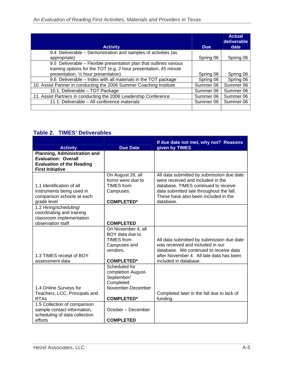| <b>Activity</b>                                                     | <b>Due</b> | <b>Actual</b><br>deliverable<br>date |
|---------------------------------------------------------------------|------------|--------------------------------------|
| 9.4 Deliverable - Demonstration and samples of activities (as       |            |                                      |
| appropriate)                                                        | Spring 06  | Spring 06                            |
| 9.5 Deliverable - Flexible presentation plan that outlines various  |            |                                      |
| training options for the TOT (e.g. 2 hour presentation, 45 minute   |            |                                      |
| presentation, 1/2 hour presentation)                                | Spring 06  | Spring 06                            |
| 9.6 Deliverable - Index with all materials in the TOT package       | Spring 06  | Spring 06                            |
| 10. Assist Partner in conducting the 2006 Summer Coaching Institute | Summer 06  | Summer 06                            |
| 10.1. Deliverable - TOT Package                                     | Summer 06  | Summer 06                            |
| 11. Assist Partners in conducting the 2006 Leadership Conference    | Summer 06  | Summer 06                            |
| 11.1. Deliverable - All conference materials                        | Summer 06  | Summer 06                            |
|                                                                     |            |                                      |

## **Table 2. TIMES' Deliverables**

|                                     |                    | If due date not met, why not? Reasons      |
|-------------------------------------|--------------------|--------------------------------------------|
| <b>Activity</b>                     | <b>Due Date</b>    | given by TIMES                             |
| <b>Planning, Administration and</b> |                    |                                            |
| <b>Evaluation: Overall</b>          |                    |                                            |
| <b>Evaluation of the Reading</b>    |                    |                                            |
| <b>First Initiative</b>             |                    |                                            |
|                                     | On August 26, all  | All data submitted by submission due date  |
|                                     | forms were due to  | were received and included in the          |
| 1.1 Identification of all           | <b>TIMES</b> from  | database. TIMES continued to receive       |
| instruments being used in           | Campuses.          | data submitted late throughout the fall.   |
| comparison schools at each          |                    | These have also been included in the       |
| grade level                         | <b>COMPLETED*</b>  | database.                                  |
| 1.2 Hiring/scheduling/              |                    |                                            |
| coordinating and training           |                    |                                            |
| classroom implementation            |                    |                                            |
| observation staff                   | <b>COMPLETED</b>   |                                            |
|                                     | On November 4, all |                                            |
|                                     | BOY data due to    |                                            |
|                                     | <b>TIMES</b> from  | All data submitted by submission due date  |
|                                     | Campuses and       | was received and included in our           |
|                                     | vendors.           | database. We continued to receive data     |
| 1.3 TIMES receipt of BOY            |                    | after November 4. All late data has been   |
| assessment data                     | <b>COMPLETED*</b>  | included in database.                      |
|                                     | Scheduled for      |                                            |
|                                     | completion August- |                                            |
|                                     | September/         |                                            |
|                                     | Completed          |                                            |
| 1.4 Online Surveys for              | November-December  |                                            |
| Teachers, LCC, Principals and       |                    | Completed later in the fall due to lack of |
| <b>RTAs</b>                         | <b>COMPLETED*</b>  | funding.                                   |
| 1.5 Collection of comparison        |                    |                                            |
| sample contact information,         | October - December |                                            |
| scheduling of data collection       |                    |                                            |
| efforts                             | <b>COMPLETED</b>   |                                            |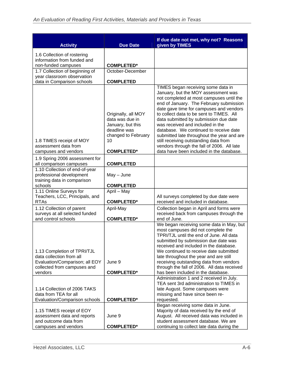| <b>Activity</b>                                                                                                                     | <b>Due Date</b>                                                                                                               | If due date not met, why not? Reasons<br>given by TIMES                                                                                                                                                                                                                                                                                                                                                                                                                                                                                                         |
|-------------------------------------------------------------------------------------------------------------------------------------|-------------------------------------------------------------------------------------------------------------------------------|-----------------------------------------------------------------------------------------------------------------------------------------------------------------------------------------------------------------------------------------------------------------------------------------------------------------------------------------------------------------------------------------------------------------------------------------------------------------------------------------------------------------------------------------------------------------|
| 1.6 Collection of rostering                                                                                                         |                                                                                                                               |                                                                                                                                                                                                                                                                                                                                                                                                                                                                                                                                                                 |
| information from funded and                                                                                                         |                                                                                                                               |                                                                                                                                                                                                                                                                                                                                                                                                                                                                                                                                                                 |
| non-funded campuses<br>1.7 Collection of beginning of                                                                               | <b>COMPLETED*</b><br>October-December                                                                                         |                                                                                                                                                                                                                                                                                                                                                                                                                                                                                                                                                                 |
| year classroom observation                                                                                                          |                                                                                                                               |                                                                                                                                                                                                                                                                                                                                                                                                                                                                                                                                                                 |
| data in Comparison schools                                                                                                          | <b>COMPLETED</b>                                                                                                              |                                                                                                                                                                                                                                                                                                                                                                                                                                                                                                                                                                 |
| 1.8 TIMES receipt of MOY<br>assessment data from<br>campuses and vendors                                                            | Originally, all MOY<br>data was due in<br>January, but this<br>deadline was<br>changed to February<br>10<br><b>COMPLETED*</b> | TIMES began receiving some data in<br>January, but the MOY assessment was<br>not completed at most campuses until the<br>end of January. The February submission<br>date gave time for campuses and vendors<br>to collect data to be sent to TIMES. All<br>data submitted by submission due date<br>was received and included in the<br>database. We continued to receive date<br>submitted late throughout the year and are<br>still receiving outstanding data from<br>vendors through the fall of 2006. All late<br>data have been included in the database. |
| 1.9 Spring 2006 assessment for                                                                                                      |                                                                                                                               |                                                                                                                                                                                                                                                                                                                                                                                                                                                                                                                                                                 |
| all comparison campuses                                                                                                             | <b>COMPLETED</b>                                                                                                              |                                                                                                                                                                                                                                                                                                                                                                                                                                                                                                                                                                 |
| 1.10 Collection of end-of-year<br>professional development<br>training data in comparison                                           | $May - June$                                                                                                                  |                                                                                                                                                                                                                                                                                                                                                                                                                                                                                                                                                                 |
| schools                                                                                                                             | <b>COMPLETED</b>                                                                                                              |                                                                                                                                                                                                                                                                                                                                                                                                                                                                                                                                                                 |
| 1.11 Online Surveys for<br>Teachers, LCC, Principals, and                                                                           | April - May                                                                                                                   | All surveys completed by due date were                                                                                                                                                                                                                                                                                                                                                                                                                                                                                                                          |
| <b>RTAs</b>                                                                                                                         | <b>COMPLETED*</b>                                                                                                             | received and included in database.                                                                                                                                                                                                                                                                                                                                                                                                                                                                                                                              |
| 1.12 Collection of parent                                                                                                           | April-May                                                                                                                     | Collection began in April and forms were                                                                                                                                                                                                                                                                                                                                                                                                                                                                                                                        |
| surveys at all selected funded                                                                                                      |                                                                                                                               | received back from campuses through the                                                                                                                                                                                                                                                                                                                                                                                                                                                                                                                         |
| and control schools                                                                                                                 | <b>COMPLETED*</b>                                                                                                             | end of June.                                                                                                                                                                                                                                                                                                                                                                                                                                                                                                                                                    |
| 1.13 Completion of TPRI/TJL<br>data collection from all<br>Evaluation/Comparison; all EOY<br>collected from campuses and<br>vendors | June 9<br><b>COMPLETED*</b>                                                                                                   | We began receiving some data in May, but<br>most campuses did not complete the<br>TPRI/TJL until the end of June. All data<br>submitted by submission due date was<br>received and included in the database.<br>We continued to receive date submitted<br>late throughout the year and are still<br>receiving outstanding data from vendors<br>through the fall of 2006. All data received<br>has been included in the database.                                                                                                                                |
|                                                                                                                                     |                                                                                                                               | Administration 1 and 2 received in July.                                                                                                                                                                                                                                                                                                                                                                                                                                                                                                                        |
| 1.14 Collection of 2006 TAKS<br>data from TEA for all<br>Evaluation/Comparison schools                                              | <b>COMPLETED*</b>                                                                                                             | TEA sent 3rd administration to TIMES in<br>late August. Some campuses were<br>missing and have since been re-<br>requested.                                                                                                                                                                                                                                                                                                                                                                                                                                     |
|                                                                                                                                     |                                                                                                                               | Began receiving some data in June.                                                                                                                                                                                                                                                                                                                                                                                                                                                                                                                              |
| 1.15 TIMES receipt of EOY                                                                                                           | June 9                                                                                                                        | Majority of data received by the end of                                                                                                                                                                                                                                                                                                                                                                                                                                                                                                                         |
| assessment data and reports<br>and outcome data from                                                                                |                                                                                                                               | August. All received data was included in<br>student assessment database. We are                                                                                                                                                                                                                                                                                                                                                                                                                                                                                |
| campuses and vendors                                                                                                                | <b>COMPLETED*</b>                                                                                                             | continuing to collect late data during the                                                                                                                                                                                                                                                                                                                                                                                                                                                                                                                      |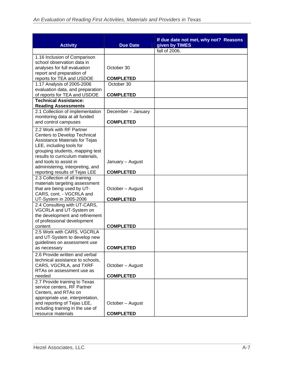| <b>Activity</b>                                               | <b>Due Date</b>    | If due date not met, why not? Reasons<br>given by TIMES |
|---------------------------------------------------------------|--------------------|---------------------------------------------------------|
|                                                               |                    | fall of 2006.                                           |
| 1.16 Inclusion of Comparison                                  |                    |                                                         |
| school observation data in                                    |                    |                                                         |
| analyses for full evaluation                                  | October 30         |                                                         |
| report and preparation of                                     |                    |                                                         |
| reports for TEA and USDOE                                     | <b>COMPLETED</b>   |                                                         |
| 1.17 Analysis of 2005-2006                                    | October 30         |                                                         |
| evaluation data, and preparation                              |                    |                                                         |
| of reports for TEA and USDOE                                  | <b>COMPLETED</b>   |                                                         |
| <b>Technical Assistance:</b><br><b>Reading Assessments</b>    |                    |                                                         |
| 2.1 Collection of implementation                              | December - January |                                                         |
| monitoring data at all funded                                 |                    |                                                         |
| and control campuses                                          | <b>COMPLETED</b>   |                                                         |
| 2.2 Work with RF Partner                                      |                    |                                                         |
| <b>Centers to Develop Technical</b>                           |                    |                                                         |
| Assistance Materials for Tejas                                |                    |                                                         |
| LEE, including tools for                                      |                    |                                                         |
| grouping students, mapping test                               |                    |                                                         |
| results to curriculum materials,                              |                    |                                                         |
| and tools to assist in                                        | January - August   |                                                         |
| administering, interpreting, and                              |                    |                                                         |
| reporting results of Tejas LEE                                | <b>COMPLETED</b>   |                                                         |
| 2.3 Collection of all training                                |                    |                                                         |
| materials targeting assessment                                |                    |                                                         |
| that are being used by UT-                                    | October – August   |                                                         |
| CARS, cont. - VGCRLA and                                      |                    |                                                         |
| UT-System in 2005-2006                                        | <b>COMPLETED</b>   |                                                         |
| 2.4 Consulting with UT-CARS,                                  |                    |                                                         |
| VGCRLA and UT-System on                                       |                    |                                                         |
| the development and refinement<br>of professional development |                    |                                                         |
| content                                                       | <b>COMPLETED</b>   |                                                         |
| 2.5 Work with CARS, VGCRLA                                    |                    |                                                         |
| and UT-System to develop new                                  |                    |                                                         |
| guidelines on assessment use                                  |                    |                                                         |
| as necessary                                                  | <b>COMPLETED</b>   |                                                         |
| 2.6 Provide written and verbal                                |                    |                                                         |
| technical assistance to schools,                              |                    |                                                         |
| CARS, VGCRLA, and TXRF                                        | October - August   |                                                         |
| RTAs on assessment use as                                     |                    |                                                         |
| needed                                                        | <b>COMPLETED</b>   |                                                         |
| 2.7 Provide training to Texas                                 |                    |                                                         |
| service centers, RF Partner                                   |                    |                                                         |
| Centers, and RTAs on                                          |                    |                                                         |
| appropriate use, interpretation,                              |                    |                                                         |
| and reporting of Tejas LEE,                                   | October - August   |                                                         |
| including training in the use of                              |                    |                                                         |
| resource materials                                            | <b>COMPLETED</b>   |                                                         |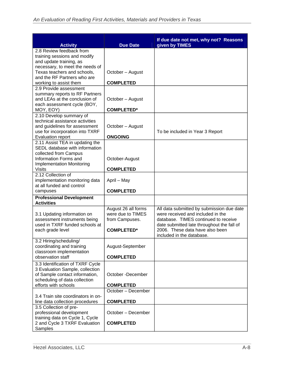| <b>Activity</b>                                                                                                                                         | <b>Due Date</b>                                                                 | If due date not met, why not? Reasons<br>given by TIMES                                                                                                                                                 |
|---------------------------------------------------------------------------------------------------------------------------------------------------------|---------------------------------------------------------------------------------|---------------------------------------------------------------------------------------------------------------------------------------------------------------------------------------------------------|
| 2.8 Review feedback from<br>training sessions and modify<br>and update training, as<br>necessary, to meet the needs of                                  |                                                                                 |                                                                                                                                                                                                         |
| Texas teachers and schools,<br>and the RF Partners who are                                                                                              | October - August                                                                |                                                                                                                                                                                                         |
| working to assist them<br>2.9 Provide assessment                                                                                                        | <b>COMPLETED</b>                                                                |                                                                                                                                                                                                         |
| summary reports to RF Partners<br>and LEAs at the conclusion of<br>each assessment cycle (BOY,                                                          | October – August                                                                |                                                                                                                                                                                                         |
| MOY, EOY)                                                                                                                                               | <b>COMPLETED*</b>                                                               |                                                                                                                                                                                                         |
| 2.10 Develop summary of<br>technical assistance activities<br>and guidelines for assessment<br>use for incorporation into TXRF                          | October – August                                                                | To be included in Year 3 Report                                                                                                                                                                         |
| <b>Evaluation report</b>                                                                                                                                | <b>ONGOING</b>                                                                  |                                                                                                                                                                                                         |
| 2.11 Assist TEA in updating the<br>SEDL database with information<br>collected from Campus<br>Information Forms and<br><b>Implementation Monitoring</b> | October-August                                                                  |                                                                                                                                                                                                         |
| <b>Visits</b>                                                                                                                                           | <b>COMPLETED</b>                                                                |                                                                                                                                                                                                         |
| 2.12 Collection of                                                                                                                                      |                                                                                 |                                                                                                                                                                                                         |
| implementation monitoring data<br>at all funded and control                                                                                             | April - May                                                                     |                                                                                                                                                                                                         |
| campuses                                                                                                                                                | <b>COMPLETED</b>                                                                |                                                                                                                                                                                                         |
| <b>Professional Development</b><br><b>Activities</b>                                                                                                    |                                                                                 |                                                                                                                                                                                                         |
| 3.1 Updating information on<br>assessment instruments being<br>used in TXRF funded schools at<br>each grade level                                       | August 26 all forms<br>were due to TIMES<br>from Campuses.<br><b>COMPLETED*</b> | All data submitted by submission due date<br>were received and included in the<br>database. TIMES continued to receive<br>date submitted late throughout the fall of<br>2006. These data have also been |
|                                                                                                                                                         |                                                                                 | included in the database.                                                                                                                                                                               |
| 3.2 Hiring/scheduling/<br>coordinating and training<br>classroom implementation                                                                         | August-September                                                                |                                                                                                                                                                                                         |
| observation staff                                                                                                                                       | <b>COMPLETED</b>                                                                |                                                                                                                                                                                                         |
| 3.3 Identification of TXRF Cycle<br>3 Evaluation Sample, collection<br>of Sample contact information,<br>scheduling of data collection                  | October -December                                                               |                                                                                                                                                                                                         |
| efforts with schools                                                                                                                                    | <b>COMPLETED</b>                                                                |                                                                                                                                                                                                         |
|                                                                                                                                                         | October - December                                                              |                                                                                                                                                                                                         |
| 3.4 Train site coordinators in on-<br>line data collection procedures                                                                                   | <b>COMPLETED</b>                                                                |                                                                                                                                                                                                         |
| 3.5 Collection of pre-<br>professional development<br>training data on Cycle 1, Cycle                                                                   | October - December                                                              |                                                                                                                                                                                                         |
| 2 and Cycle 3 TXRF Evaluation<br>Samples                                                                                                                | <b>COMPLETED</b>                                                                |                                                                                                                                                                                                         |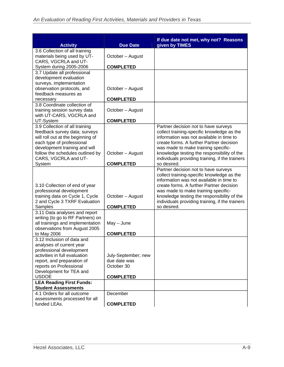| <b>Activity</b>                                                                                                                                                                                        | <b>Due Date</b>                                   | If due date not met, why not? Reasons<br>given by TIMES                                                                                                                                                                                                                                                                            |
|--------------------------------------------------------------------------------------------------------------------------------------------------------------------------------------------------------|---------------------------------------------------|------------------------------------------------------------------------------------------------------------------------------------------------------------------------------------------------------------------------------------------------------------------------------------------------------------------------------------|
| 3.6 Collection of all training<br>materials being used by UT-                                                                                                                                          | October - August                                  |                                                                                                                                                                                                                                                                                                                                    |
| CARS, VGCRLA and UT-<br>System during 2005-2006                                                                                                                                                        | <b>COMPLETED</b>                                  |                                                                                                                                                                                                                                                                                                                                    |
| 3.7 Update all professional                                                                                                                                                                            |                                                   |                                                                                                                                                                                                                                                                                                                                    |
| development evaluation<br>surveys, implementation                                                                                                                                                      |                                                   |                                                                                                                                                                                                                                                                                                                                    |
| observation protocols, and<br>feedback measures as                                                                                                                                                     | October - August                                  |                                                                                                                                                                                                                                                                                                                                    |
| necessary                                                                                                                                                                                              | <b>COMPLETED</b>                                  |                                                                                                                                                                                                                                                                                                                                    |
| 3.8 Coordinate collection of<br>training session survey data<br>with UT-CARS, VGCRLA and                                                                                                               | October - August                                  |                                                                                                                                                                                                                                                                                                                                    |
| UT-System                                                                                                                                                                                              | <b>COMPLETED</b>                                  |                                                                                                                                                                                                                                                                                                                                    |
| 3.9 Collection of all training<br>feedback survey data; surveys<br>will roll out at the beginning of<br>each type of professional<br>development training and will<br>follow the schedules outlined by | October - August                                  | Partner decision not to have surveys<br>collect training-specific knowledge as the<br>information was not available in time to<br>create forms. A further Partner decision<br>was made to make training specific-<br>knowledge testing the responsibility of the                                                                   |
| CARS, VGCRLA and UT-<br>System                                                                                                                                                                         | <b>COMPLETED</b>                                  | individuals providing training, if the trainers<br>so desired.                                                                                                                                                                                                                                                                     |
| 3.10 Collection of end of year<br>professional development<br>training data on Cycle 1, Cycle<br>2 and Cycle 3 TXRF Evaluation<br>Samples                                                              | October - August<br><b>COMPLETED</b>              | Partner decision not to have surveys<br>collect training-specific knowledge as the<br>information was not available in time to<br>create forms. A further Partner decision<br>was made to make training specific-<br>knowledge testing the responsibility of the<br>individuals providing training, if the trainers<br>so desired. |
| 3.11 Data analyses and report                                                                                                                                                                          |                                                   |                                                                                                                                                                                                                                                                                                                                    |
| writing (to go to RF Partners) on<br>all trainings and implementation<br>observations from August 2005<br>to May 2006                                                                                  | $May - June$<br><b>COMPLETED</b>                  |                                                                                                                                                                                                                                                                                                                                    |
| 3.12 Inclusion of data and                                                                                                                                                                             |                                                   |                                                                                                                                                                                                                                                                                                                                    |
| analyses of current year<br>professional development<br>activities in full evaluation<br>report, and preparation of<br>reports on Professional<br>Development for TEA and                              | July-September; new<br>due date was<br>October 30 |                                                                                                                                                                                                                                                                                                                                    |
| <b>USDOE</b><br><b>LEA Reading First Funds:</b>                                                                                                                                                        | <b>COMPLETED</b>                                  |                                                                                                                                                                                                                                                                                                                                    |
| <b>Student Assessments</b>                                                                                                                                                                             |                                                   |                                                                                                                                                                                                                                                                                                                                    |
| 4.1 Orders for all outcome                                                                                                                                                                             | December                                          |                                                                                                                                                                                                                                                                                                                                    |
| assessments processed for all<br>funded LEAs.                                                                                                                                                          | <b>COMPLETED</b>                                  |                                                                                                                                                                                                                                                                                                                                    |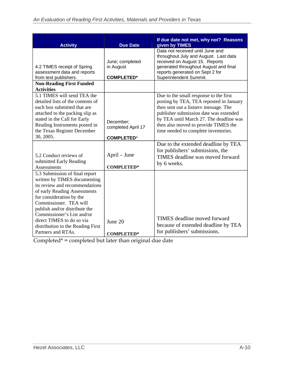| <b>Activity</b>                                                                                                                                                                                                                                                                                                                               | <b>Due Date</b>                                      | If due date not met, why not? Reasons<br>given by TIMES                                                                                                                                                                                                                                         |
|-----------------------------------------------------------------------------------------------------------------------------------------------------------------------------------------------------------------------------------------------------------------------------------------------------------------------------------------------|------------------------------------------------------|-------------------------------------------------------------------------------------------------------------------------------------------------------------------------------------------------------------------------------------------------------------------------------------------------|
| 4.2 TIMES receipt of Spring<br>assessment data and reports<br>from test publishers.                                                                                                                                                                                                                                                           | June; completed<br>in August<br><b>COMPLETED*</b>    | Data not received until June and<br>throughout July and August. Last data<br>received on August 15. Reports<br>generated throughout August and final<br>reports generated on Sept 2 for<br>Superintendent Summit.                                                                               |
| <b>Non-Reading First Funded</b><br><b>Activities</b>                                                                                                                                                                                                                                                                                          |                                                      |                                                                                                                                                                                                                                                                                                 |
| 5.1 TIMES will send TEA the<br>detailed lists of the contents of<br>each box submitted that are<br>attached to the packing slip as<br>stated in the Call for Early<br>Reading Instruments posted in<br>the Texas Register December<br>30, 2005.                                                                                               | December:<br>completed April 17<br><b>COMPLETED*</b> | Due to the small response to the first<br>posting by TEA, TEA reposted in January<br>then sent out a listserv message. The<br>publisher submission date was extended<br>by TEA until March 27. The deadline was<br>then also moved to provide TIMES the<br>time needed to complete inventories. |
| 5.2 Conduct reviews of<br>submitted Early Reading<br>Assessments                                                                                                                                                                                                                                                                              | April – June<br><b>COMPLETED*</b>                    | Due to the extended deadline by TEA<br>for publishers' submissions, the<br>TIMES deadline was moved forward<br>by 6 weeks.                                                                                                                                                                      |
| 5.3 Submission of final report<br>written by TIMES documenting<br>its review and recommendations<br>of early Reading Assessments<br>for consideration by the<br>Commissioner. TEA will<br>publish and/or distribute the<br>Commissioner's List and/or<br>direct TIMES to do so via<br>distribution to the Reading First<br>Partners and RTAs. | June 20<br><b>COMPLETED*</b>                         | <b>TIMES</b> deadline moved forward<br>because of extended deadline by TEA<br>for publishers' submissions.                                                                                                                                                                                      |

Completed\* = completed but later than original due date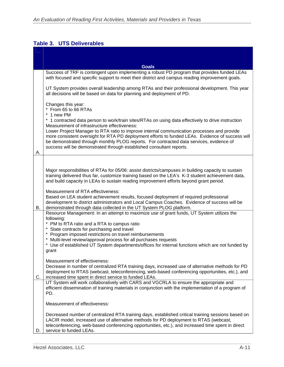## **Table 3. UTS Deliverables**

|    | <b>Goals</b>                                                                                                                                                                                                                                                                                                                |
|----|-----------------------------------------------------------------------------------------------------------------------------------------------------------------------------------------------------------------------------------------------------------------------------------------------------------------------------|
|    | Success of TRF is contingent upon implementing a robust PD program that provides funded LEAs<br>with focused and specific support to meet their district and campus reading improvement goals.                                                                                                                              |
|    | UT System provides overall leadership among RTAs and their professional development. This year<br>all decisions will be based on data for planning and deployment of PD.                                                                                                                                                    |
|    | Changes this year:<br>* From 65 to 66 RTAs<br>* 1 new PM                                                                                                                                                                                                                                                                    |
|    | * 1 contracted data person to work/train sites/RTAs on using data effectively to drive instruction<br>Measurement of infrastructure effectiveness:<br>Lower Project Manager to RTA ratio to improve internal communication processes and provide                                                                            |
|    | more consistent oversight for RTA PD deployment efforts to funded LEAs. Evidence of success will<br>be demonstrated through monthly PLOG reports. For contracted data services, evidence of<br>success will be demonstrated through established consultant reports.                                                         |
| А. |                                                                                                                                                                                                                                                                                                                             |
|    |                                                                                                                                                                                                                                                                                                                             |
|    | Major responsibilities of RTAs for 05/06: assist districts/campuses in building capacity to sustain<br>training delivered thus far, customize training based on the LEA's K-3 student achievement data,<br>and build capacity in LEAs to sustain reading improvement efforts beyond grant period.                           |
|    | Measurement of RTA effectiveness:                                                                                                                                                                                                                                                                                           |
| В. | Based on LEA student achievement results, focused deployment of required professional<br>development to district administrators and Local Campus Coaches. Evidence of success will be<br>demonstrated through data collected in the UT System PLOG platform.                                                                |
|    | Resource Management: In an attempt to maximize use of grant funds, UT System utilizes the                                                                                                                                                                                                                                   |
|    | following:<br>* PM to RTA ratio and a RTA to campus ratio                                                                                                                                                                                                                                                                   |
|    | * State contracts for purchasing and travel                                                                                                                                                                                                                                                                                 |
|    | * Program imposed restrictions on travel reimbursements<br>* Multi-level review/approval process for all purchases requests                                                                                                                                                                                                 |
|    | * Use of established UT System departments/offices for internal functions which are not funded by<br>grant                                                                                                                                                                                                                  |
|    | Measurement of effectiveness:                                                                                                                                                                                                                                                                                               |
|    | Decrease in number of centralized RTA training days, increased use of alternative methods for PD<br>deployment to RTAS (webcast, teleconferencing, web-based conferencing opportunities, etc.), and                                                                                                                         |
| C. | increased time spent in direct service to funded LEAs.<br>UT System will work collaboratively with CARS and VGCRLA to ensure the appropriate and                                                                                                                                                                            |
|    | efficient dissemination of training materials in conjunction with the implementation of a program of<br>PD.                                                                                                                                                                                                                 |
|    | Measurement of effectiveness:                                                                                                                                                                                                                                                                                               |
| D. | Decreased number of centralized RTA training days, established critical training sessions based on<br>LACIR model, increased use of alternative methods for PD deployment to RTAS (webcast,<br>teleconferencing, web-based conferencing opportunities, etc.), and increased time spent in direct<br>service to funded LEAs. |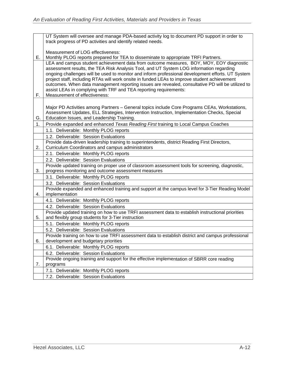|    | UT System will oversee and manage PDA-based activity log to document PD support in order to<br>track progress of PD activities and identify related needs.                                                                                                                                                                                                                                                                                                                                                                                                                                         |
|----|----------------------------------------------------------------------------------------------------------------------------------------------------------------------------------------------------------------------------------------------------------------------------------------------------------------------------------------------------------------------------------------------------------------------------------------------------------------------------------------------------------------------------------------------------------------------------------------------------|
|    |                                                                                                                                                                                                                                                                                                                                                                                                                                                                                                                                                                                                    |
|    | Measurement of LOG effectiveness:                                                                                                                                                                                                                                                                                                                                                                                                                                                                                                                                                                  |
| Е. | Monthly PLOG reports prepared for TEA to disseminate to appropriate TRFI Partners.                                                                                                                                                                                                                                                                                                                                                                                                                                                                                                                 |
| F. | LEA and campus student achievement data from outcome measures, BOY, MOY, EOY diagnostic<br>assessment results, the TEA Risk Analysis Tool, and UT System LOG information regarding<br>ongoing challenges will be used to monitor and inform professional development efforts. UT System<br>project staff, including RTAs will work onsite in funded LEAs to improve student achievement<br>outcomes. When data management reporting issues are revealed, consultative PD will be utilized to<br>assist LEAs in complying with TRF and TEA reporting requirements:<br>Measurement of effectiveness: |
|    |                                                                                                                                                                                                                                                                                                                                                                                                                                                                                                                                                                                                    |
| G. | Major PD Activities among Partners - General topics include Core Programs CEAs, Workstations,<br>Assessment Updates, ELL Strategies, Intervention Instruction, Implementation Checks, Special<br>Education Issues, and Leadership Training.                                                                                                                                                                                                                                                                                                                                                        |
| 1. | Provide expanded and enhanced Texas Reading First training to Local Campus Coaches                                                                                                                                                                                                                                                                                                                                                                                                                                                                                                                 |
|    | 1.1. Deliverable: Monthly PLOG reports                                                                                                                                                                                                                                                                                                                                                                                                                                                                                                                                                             |
|    | 1.2. Deliverable: Session Evaluations                                                                                                                                                                                                                                                                                                                                                                                                                                                                                                                                                              |
|    | Provide data-driven leadership training to superintendents, district Reading First Directors,                                                                                                                                                                                                                                                                                                                                                                                                                                                                                                      |
| 2. | Curriculum Coordinators and campus administrators                                                                                                                                                                                                                                                                                                                                                                                                                                                                                                                                                  |
|    | 2.1. Deliverable: Monthly PLOG reports                                                                                                                                                                                                                                                                                                                                                                                                                                                                                                                                                             |
|    | 2.2. Deliverable: Session Evaluations                                                                                                                                                                                                                                                                                                                                                                                                                                                                                                                                                              |
|    | Provide updated training on proper use of classroom assessment tools for screening, diagnostic,                                                                                                                                                                                                                                                                                                                                                                                                                                                                                                    |
| 3. | progress monitoring and outcome assessment measures<br>3.1. Deliverable: Monthly PLOG reports                                                                                                                                                                                                                                                                                                                                                                                                                                                                                                      |
|    | 3.2. Deliverable: Session Evaluations                                                                                                                                                                                                                                                                                                                                                                                                                                                                                                                                                              |
|    | Provide expanded and enhanced training and support at the campus level for 3-Tier Reading Model                                                                                                                                                                                                                                                                                                                                                                                                                                                                                                    |
| 4. | implementation                                                                                                                                                                                                                                                                                                                                                                                                                                                                                                                                                                                     |
|    | 4.1. Deliverable: Monthly PLOG reports                                                                                                                                                                                                                                                                                                                                                                                                                                                                                                                                                             |
|    | 4.2. Deliverable: Session Evaluations                                                                                                                                                                                                                                                                                                                                                                                                                                                                                                                                                              |
| 5. | Provide updated training on how to use TRFI assessment data to establish instructional priorities<br>and flexibly group students for 3-Tier instruction                                                                                                                                                                                                                                                                                                                                                                                                                                            |
|    | 5.1. Deliverable: Monthly PLOG reports                                                                                                                                                                                                                                                                                                                                                                                                                                                                                                                                                             |
|    | 5.2. Deliverable: Session Evaluations                                                                                                                                                                                                                                                                                                                                                                                                                                                                                                                                                              |
|    | Provide training on how to use TRFI assessment data to establish district and campus professional                                                                                                                                                                                                                                                                                                                                                                                                                                                                                                  |
| ხ. | development and budgetary priorities                                                                                                                                                                                                                                                                                                                                                                                                                                                                                                                                                               |
|    | 6.1. Deliverable: Monthly PLOG reports                                                                                                                                                                                                                                                                                                                                                                                                                                                                                                                                                             |
|    | 6.2. Deliverable: Session Evaluations                                                                                                                                                                                                                                                                                                                                                                                                                                                                                                                                                              |
|    | Provide ongoing training and support for the effective implementation of SBRR core reading                                                                                                                                                                                                                                                                                                                                                                                                                                                                                                         |
| 7. | programs                                                                                                                                                                                                                                                                                                                                                                                                                                                                                                                                                                                           |
|    | 7.1. Deliverable: Monthly PLOG reports                                                                                                                                                                                                                                                                                                                                                                                                                                                                                                                                                             |
|    | 7.2. Deliverable: Session Evaluations                                                                                                                                                                                                                                                                                                                                                                                                                                                                                                                                                              |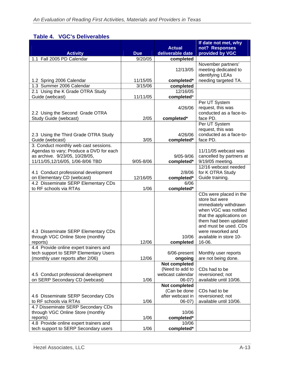## **Table 4. VGC's Deliverables**

| <b>Activity</b>                                                                                                                                        | <b>Due</b>    | <b>Actual</b><br>deliverable date                                | If date not met, why<br>not? Responses<br>provided by VGC                                                                                                                                                                         |
|--------------------------------------------------------------------------------------------------------------------------------------------------------|---------------|------------------------------------------------------------------|-----------------------------------------------------------------------------------------------------------------------------------------------------------------------------------------------------------------------------------|
| 1.1 Fall 2005 PD Calendar                                                                                                                              | 9/20/05       |                                                                  |                                                                                                                                                                                                                                   |
|                                                                                                                                                        |               | completed<br>12/13/05                                            | November partners'<br>meeting dedicated to<br>identifying LEAs                                                                                                                                                                    |
| 1.2 Spring 2006 Calendar                                                                                                                               | 11/15/05      | completed*                                                       | needing targeted TA.                                                                                                                                                                                                              |
| 1.3 Summer 2006 Calendar                                                                                                                               | 3/15/06       | completed                                                        |                                                                                                                                                                                                                                   |
| 2.1 Using the K Grade OTRA Study<br>Guide (webcast)                                                                                                    | 11/11/05      | 12/16/05<br>completed*                                           |                                                                                                                                                                                                                                   |
| 2.2 Using the Second Grade OTRA<br>Study Guide (webcast)                                                                                               | 2/05          | 4/26/06<br>completed*                                            | Per UT System<br>request, this was<br>conducted as a face-to-<br>face PD.                                                                                                                                                         |
| 2.3 Using the Third Grade OTRA Study<br>Guide (webcast)                                                                                                | 3/05          | 4/26/06<br>completed*                                            | Per UT System<br>request, this was<br>conducted as a face-to-<br>face PD.                                                                                                                                                         |
| 3. Conduct monthly web cast sessions.<br>Agendas to vary; Produce a DVD for each<br>as archive. 9/23/05, 10/28/05,<br>11/11/05,12/16/05, 1/06-8/06 TBD | $9/05 - 8/06$ | 9/05-9/06<br>completed*                                          | $11/11/05$ webcast was<br>cancelled by partners at<br>9/19/05 meeting.                                                                                                                                                            |
| 4.1 Conduct professional development<br>on Elementary CD (webcast)                                                                                     | 12/16/05      | 2/8/06<br>completed*                                             | 12/16 webcast needed<br>for K OTRA Study<br>Guide training.                                                                                                                                                                       |
| 4.2 Disseminate SERP Elementary CDs<br>to RF schools via RTAs                                                                                          | 1/06          | 6/06<br>completed*                                               |                                                                                                                                                                                                                                   |
| 4.3 Disseminate SERP Elementary CDs<br>through VGC Online Store (monthly<br>reports)                                                                   | 12/06         | 10/06<br>completed                                               | CDs were placed in the<br>store but were<br>immediately withdrawn<br>when VGC was notified<br>that the applications on<br>them had been updated<br>and must be used. CDs<br>were reworked and<br>available in store 10-<br>16-06. |
| 4.4 Provide online expert trainers and<br>tech support to SERP Elementary Users<br>(monthly user reports after 2/06)                                   | 12/06         | 6/06-present<br>ongoing                                          | Monthly user reports<br>are not being done.                                                                                                                                                                                       |
| 4.5 Conduct professional development<br>on SERP Secondary CD (webcast)                                                                                 | 1/06          | Not completed<br>(Need to add to<br>webcast calendar<br>$06-07)$ | CDs had to be<br>reversioned; not<br>available until 10/06.                                                                                                                                                                       |
| 4.6 Disseminate SERP Secondary CDs<br>to RF schools via RTAs                                                                                           | 1/06          | Not completed<br>(Can be done<br>after webcast in<br>$06-07)$    | CDs had to be<br>reversioned; not<br>available until 10/06.                                                                                                                                                                       |
| 4.7 Disseminate SERP Secondary CDs<br>through VGC Online Store (monthly<br>reports)                                                                    | 1/06          | 10/06<br>completed*                                              |                                                                                                                                                                                                                                   |
| 4.8 Provide online expert trainers and<br>tech support to SERP Secondary users                                                                         | 1/06          | 10/06<br>completed*                                              |                                                                                                                                                                                                                                   |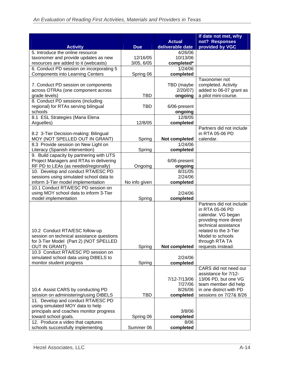|                                                                             |               |                       | If date not met, why                           |
|-----------------------------------------------------------------------------|---------------|-----------------------|------------------------------------------------|
|                                                                             |               | <b>Actual</b>         | not? Responses                                 |
| <b>Activity</b>                                                             | <b>Due</b>    | deliverable date      | provided by VGC                                |
| 5. Introduce the online resource                                            |               | 4/26/06               |                                                |
| taxonomer and provide updates as new                                        | 12/16/05      | 10/13/06              |                                                |
| resources are added to it (webcasts)                                        | 3/05, 6/05    | completed*            |                                                |
| 6. Conduct PD session on incorporating 5                                    |               | 1/24/06               |                                                |
| <b>Components into Learning Centers</b>                                     | Spring 06     | completed             |                                                |
|                                                                             |               |                       | Taxonomer not                                  |
| 7. Conduct PD session on components                                         |               | TBD (maybe<br>2/20/07 | completed. Activity<br>added to 06-07 grant as |
| across OTRAs (one component across<br>grade levels)                         | <b>TBD</b>    | ongoing               | a pilot mini-course.                           |
| 8. Conduct PD sessions (including                                           |               |                       |                                                |
| regional) for RTAs serving bilingual                                        | <b>TBD</b>    | 6/06-present          |                                                |
| schools                                                                     |               | ongoing               |                                                |
| 8.1 ESL Strategies (Maria Elena                                             |               | 12/8/05               |                                                |
| Arguelles)                                                                  | 12/8/05       | completed             |                                                |
|                                                                             |               |                       | Partners did not include                       |
| 8.2 3-Tier Decision-making: Bilingual                                       |               |                       | in RTA 05-06 PD                                |
| MOY (NOT SPELLED OUT IN GRANT)                                              | Spring        | Not completed         | calendar.                                      |
| 8.3 Provide session on New Light on                                         |               | 1/24/06               |                                                |
| Literacy (Spanish intervention)                                             | Spring        | completed             |                                                |
| 9. Build capacity by partnering with UTS                                    |               |                       |                                                |
| Project Managers and RTAs in delivering                                     |               | 6/06-present          |                                                |
| RF PD to LEAs (as needed/regionally)                                        | Ongoing       | ongoing               |                                                |
| 10. Develop and conduct RTA/ESC PD                                          |               | $\overline{8}/31/05$  |                                                |
| sessions using simulated school data to                                     |               | 2/24/06               |                                                |
| inform 3-Tier model implementation<br>10.1 Conduct RTA/ESC PD session on    | No info given | completed             |                                                |
| using MOY school data to inform 3-Tier                                      |               | 2/24/06               |                                                |
| model implementation                                                        | Spring        | completed             |                                                |
|                                                                             |               |                       | Partners did not include                       |
|                                                                             |               |                       | in RTA 05-06 PD                                |
|                                                                             |               |                       | calendar. VG began                             |
|                                                                             |               |                       | providing more direct                          |
|                                                                             |               |                       | technical assistance                           |
| 10.2 Conduct RTA/ESC follow-up                                              |               |                       | related to the 3-Tier                          |
| session on technical assistance questions                                   |               |                       | Model to schools                               |
| for 3-Tier Model (Part 2) (NOT SPELLED                                      |               |                       | through RTA TA                                 |
| <b>OUT IN GRANT)</b>                                                        | Spring        | Not completed         | requests instead.                              |
| 10.3 Conduct RTA/ESC PD session on<br>simulated school data using DIBELS to |               | 2/24/06               |                                                |
| monitor student progress                                                    | Spring        | completed             |                                                |
|                                                                             |               |                       | CARS did not need our                          |
|                                                                             |               |                       | assistance for 7/12-                           |
|                                                                             |               | 7/12-7/13/06          | 13/06 PD, but one VG                           |
|                                                                             |               | 7/27/06               | team member did help                           |
| 10.4 Assist CARS by conducting PD                                           |               | 8/26/06               | in one district with PD                        |
| session on administering/using DIBELS                                       | <b>TBD</b>    | completed             | sessions on 7/27& 8/26                         |
| 11. Develop and conduct RTA/ESC PD                                          |               |                       |                                                |
| using simulated MOY data to help                                            |               |                       |                                                |
| principals and coaches monitor progress                                     |               | 3/8/06                |                                                |
| toward school goals.                                                        | Spring 06     | completed             |                                                |
| 12. Produce a video that captures                                           |               | 8/06                  |                                                |
| schools successfully implementing                                           | Summer 06     | completed             |                                                |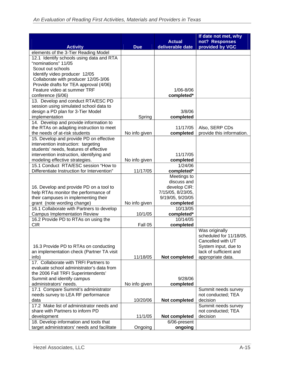| <b>Activity</b>                                               | <b>Due</b>    | <b>Actual</b><br>deliverable date | If date not met, why<br>not? Responses<br>provided by VGC |
|---------------------------------------------------------------|---------------|-----------------------------------|-----------------------------------------------------------|
| elements of the 3-Tier Reading Model                          |               |                                   |                                                           |
| 12.1 Identify schools using data and RTA                      |               |                                   |                                                           |
| "nominations" 11/05                                           |               |                                   |                                                           |
| Scout out schools                                             |               |                                   |                                                           |
| Identify video producer 12/05                                 |               |                                   |                                                           |
| Collaborate with producer 12/05-3/06                          |               |                                   |                                                           |
| Provide drafts for TEA approval (4/06)                        |               |                                   |                                                           |
| Feature video at summer TRF                                   |               | 1/06-8/06                         |                                                           |
| conference (6/06)                                             |               | completed*                        |                                                           |
| 13. Develop and conduct RTA/ESC PD                            |               |                                   |                                                           |
| session using simulated school data to                        |               |                                   |                                                           |
| design a PD plan for 3-Tier Model                             |               | 3/8/06                            |                                                           |
| implementation                                                | Spring        | completed                         |                                                           |
| 14. Develop and provide information to                        |               |                                   |                                                           |
| the RTAs on adapting instruction to meet                      |               | 11/17/05                          | Also, SERP CDs                                            |
| the needs of at-risk students                                 | No info given | completed                         | provide this information.                                 |
| 15. Develop and provide PD on effective                       |               |                                   |                                                           |
| intervention instruction: targeting                           |               |                                   |                                                           |
| students' needs, features of effective                        |               |                                   |                                                           |
| intervention instruction, identifying and                     |               | 11/17/05                          |                                                           |
| modeling effective strategies.                                | No info given | completed                         |                                                           |
| 15.1 Conduct RTA/ESC session "How to                          |               | 1/24/06                           |                                                           |
| Differentiate Instruction for Intervention"                   | 11/17/05      | completed*                        |                                                           |
|                                                               |               | Meetings to<br>discuss and        |                                                           |
| 16. Develop and provide PD on a tool to                       |               | develop CIR:                      |                                                           |
| help RTAs monitor the performance of                          |               | 7/15/05, 8/23/05,                 |                                                           |
| their campuses in implementing their                          |               | 9/19/05, 9/20/05                  |                                                           |
| grant (note wording change)                                   | No info given | completed                         |                                                           |
| 16.1 Collaborate with Partners to develop                     |               | 10/13/05                          |                                                           |
| <b>Campus Implementation Review</b>                           | 10/1/05       | completed*                        |                                                           |
| 16.2 Provide PD to RTAs on using the                          |               | 10/14/05                          |                                                           |
| <b>CIR</b>                                                    | Fall 05       | completed                         |                                                           |
|                                                               |               |                                   | Was originally                                            |
|                                                               |               |                                   | scheduled for 11/18/05.                                   |
|                                                               |               |                                   | Cancelled with UT                                         |
| 16.3 Provide PD to RTAs on conducting                         |               |                                   | System input, due to                                      |
| an implementation check (Partner TA visit                     |               |                                   | lack of sufficient and                                    |
| info)                                                         | 11/18/05      | Not completed                     | appropriate data.                                         |
| 17. Collaborate with TRFI Partners to                         |               |                                   |                                                           |
| evaluate school administrator's data from                     |               |                                   |                                                           |
| the 2006 Fall TRFI Superintendents'                           |               |                                   |                                                           |
| Summit and identify campus                                    |               | 9/28/06                           |                                                           |
| administrators' needs.<br>17.1 Compare Summit's administrator | No info given | completed                         | Summit needs survey                                       |
| needs survey to LEA RF performance                            |               |                                   | not conducted; TEA                                        |
| data                                                          | 10/20/06      | Not completed                     | decision                                                  |
| 17.2 Make list of administrator needs and                     |               |                                   | Summit needs survey                                       |
| share with Partners to inform PD                              |               |                                   | not conducted; TEA                                        |
| development                                                   | 11/1/05       | Not completed                     | decision                                                  |
| 18. Develop information and tools that                        |               | 6/06-present                      |                                                           |
| target administrators' needs and facilitate                   | Ongoing       | ongoing                           |                                                           |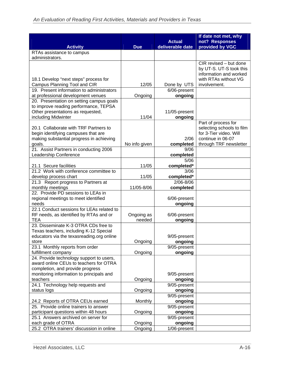|                                                                                                                                               |                      |                                   | If date not met, why                                                                                                      |
|-----------------------------------------------------------------------------------------------------------------------------------------------|----------------------|-----------------------------------|---------------------------------------------------------------------------------------------------------------------------|
| <b>Activity</b>                                                                                                                               | <b>Due</b>           | <b>Actual</b><br>deliverable date | not? Responses<br>provided by VGC                                                                                         |
| RTAs assistance to campus                                                                                                                     |                      |                                   |                                                                                                                           |
| administrators.                                                                                                                               |                      |                                   |                                                                                                                           |
|                                                                                                                                               |                      |                                   | CIR revised - but done<br>by UT-S. UT-S took this<br>information and worked<br>with RTAs without VG                       |
| 18.1 Develop "next steps" process for<br>Campus Planning Tool and CIR                                                                         | 12/05                | Done by UTS                       | involvement.                                                                                                              |
| 19. Present information to administrators                                                                                                     |                      | 6/06-present                      |                                                                                                                           |
| at professional development venues                                                                                                            | Ongoing              | ongoing                           |                                                                                                                           |
| 20. Presentation on setting campus goals<br>to improve reading performance, TEPSA<br>Other presentations as requested,<br>including Midwinter | 11/04                | 11/05-present<br>ongoing          |                                                                                                                           |
| 20.1 Collaborate with TRF Partners to<br>begin identifying campuses that are<br>making substantial progress in achieving<br>goals.            | No info given        | 2/06<br>completed                 | Part of process for<br>selecting schools to film<br>for 3-Tier video. Will<br>continue in 06-07<br>through TRF newsletter |
| 21. Assist Partners in conducting 2006                                                                                                        |                      | 9/06                              |                                                                                                                           |
| Leadership Conference                                                                                                                         |                      | completed<br>5/06                 |                                                                                                                           |
| 21.1 Secure facilities                                                                                                                        | 11/05                | completed*                        |                                                                                                                           |
| 21.2 Work with conference committee to                                                                                                        |                      | 3/06                              |                                                                                                                           |
| develop process chart                                                                                                                         | 11/05                | completed*                        |                                                                                                                           |
| 21.3 Report progress to Partners at                                                                                                           |                      | 2/06-8/06                         |                                                                                                                           |
| monthly meetings                                                                                                                              | 11/05-8/06           | completed                         |                                                                                                                           |
| 22. Provide PD sessions to LEAs in<br>regional meetings to meet identified<br>needs                                                           |                      | 6/06-present<br>ongoing           |                                                                                                                           |
| 22.1 Conduct sessions for LEAs related to<br>RF needs, as identified by RTAs and or<br><b>TEA</b>                                             | Ongoing as<br>needed | 6/06-present<br>ongoing           |                                                                                                                           |
| 23. Disseminate K-3 OTRA CDs free to<br>Texas teachers, including K-12 Special<br>educators via the texasreading.org online                   |                      | 9/05-present                      |                                                                                                                           |
| store                                                                                                                                         | Ongoing              | ongoing                           |                                                                                                                           |
| 23.1 Monthly reports from order<br>fulfillment company                                                                                        | Ongoing              | 9/05-present<br>ongoing           |                                                                                                                           |
| 24. Provide technology support to users,<br>award online CEUs to teachers for OTRA<br>completion, and provide progress                        |                      |                                   |                                                                                                                           |
| monitoring information to principals and                                                                                                      |                      | 9/05-present                      |                                                                                                                           |
| teachers                                                                                                                                      | Ongoing              | ongoing                           |                                                                                                                           |
| 24.1 Technology help requests and                                                                                                             |                      | 9/05-present                      |                                                                                                                           |
| status logs                                                                                                                                   | Ongoing              | ongoing                           |                                                                                                                           |
| 24.2 Reports of OTRA CEUs earned                                                                                                              | Monthly              | 9/05-present<br>ongoing           |                                                                                                                           |
| 25. Provide online trainers to answer                                                                                                         |                      | 9/05-present                      |                                                                                                                           |
| participant questions within 48 hours                                                                                                         | Ongoing              | ongoing                           |                                                                                                                           |
| 25.1 Answers archived on server for                                                                                                           |                      | 9/05-present                      |                                                                                                                           |
| each grade of OTRA<br>25.2 OTRA trainers' discussion in online                                                                                | Ongoing<br>Ongoing   | ongoing<br>1/06-present           |                                                                                                                           |
|                                                                                                                                               |                      |                                   |                                                                                                                           |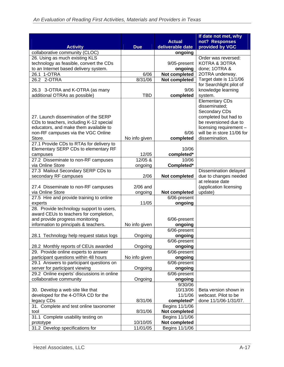| <b>Actual</b><br>provided by VGC<br><b>Activity</b><br>deliverable date<br><b>Due</b><br>collaborative community (CLOC)<br>ongoing<br>26. Using as much existing KLS<br>Order was reversed:<br>technology as feasible, convert the CDs<br>9/05-present<br>KOTRA & 3OTRA<br>to an Internet based delivery system.<br>done; 1OTRA &<br>ongoing<br>Not completed<br>2OTRA underway.<br>26.1 1-OTRA<br>6/06<br>Target date is 11/1/06<br>26.2 2-OTRA<br>8/31/06<br>Not completed<br>for Searchlight pilot of<br>9/06<br>26.3 3-OTRA and K-OTRA (as many<br>knowledge learning<br>additional OTRAs as possible)<br><b>TBD</b><br>completed<br>system.<br><b>Elementary CDs</b><br>disseminated;<br>Secondary CDs<br>completed but had to<br>27. Launch dissemination of the SERP<br>be reversioned due to<br>CDs to teachers, including K-12 special<br>educators, and make them available to<br>licensing requirement -<br>non-RF campuses via the VGC Online<br>6/06<br>will be in store 11/06 for<br>Store.<br>dissemination.<br>No info given<br>completed<br>27.1 Provide CDs to RTAs for delivery to<br>Elementary SERP CDs to elementary RF<br>10/06<br>12/05<br>completed*<br>campuses<br>27.2 Disseminate to non-RF campuses<br>12/05 &<br>10/06<br>Completed*<br>via Online Store<br>ongoing<br>27.3 Mailout Secondary SERP CDs to<br>Dissemination delayed<br>secondary RF campuses<br>2/06<br>Not completed<br>due to changes needed<br>at release date<br>(application licensing<br>27.4 Disseminate to non-RF campuses<br>$2/06$ and<br>via Online Store<br>Not completed<br>update)<br>ongoing<br>27.5 Hire and provide training to online<br>6/06-present<br>ongoing<br>11/05<br>experts<br>28. Provide technology support to users,<br>award CEUs to teachers for completion,<br>and provide progress monitoring<br>6/06-present<br>information to principals & teachers.<br>No info given<br>ongoing<br>6/06-present<br>Ongoing<br>28.1 Technology help request status logs<br>ongoing<br>6/06-present<br>28.2 Monthly reports of CEUs awarded<br>Ongoing<br>ongoing<br>29. Provide online experts to answer<br>6/06-present<br>participant questions within 48 hours<br>No info given<br>ongoing<br>29.1 Answers to participant questions on<br>6/06-present<br>server for participant viewing<br>ongoing<br>Ongoing<br>29.2 Online experts' discussions in online<br>6/06-present<br>collaborative community<br>Ongoing<br>ongoing<br>9/30/06<br>30. Develop a web site like that<br>10/13/06<br>Beta version shown in<br>developed for the 4-OTRA CD for the<br>11/1/06<br>webcast. Pilot to be<br>legacy CDs<br>8/31/06<br>done 11/1/06-1/31/07.<br>completed*<br>31. Complete and test online taxonomer<br>Begins 11/1/06<br>tool<br>8/31/06<br>Not completed<br>31.1 Complete usability testing on<br>Begins 11/1/06<br>Not completed<br>10/10/05<br>prototype |                                 |          |                | If date not met, why |
|-----------------------------------------------------------------------------------------------------------------------------------------------------------------------------------------------------------------------------------------------------------------------------------------------------------------------------------------------------------------------------------------------------------------------------------------------------------------------------------------------------------------------------------------------------------------------------------------------------------------------------------------------------------------------------------------------------------------------------------------------------------------------------------------------------------------------------------------------------------------------------------------------------------------------------------------------------------------------------------------------------------------------------------------------------------------------------------------------------------------------------------------------------------------------------------------------------------------------------------------------------------------------------------------------------------------------------------------------------------------------------------------------------------------------------------------------------------------------------------------------------------------------------------------------------------------------------------------------------------------------------------------------------------------------------------------------------------------------------------------------------------------------------------------------------------------------------------------------------------------------------------------------------------------------------------------------------------------------------------------------------------------------------------------------------------------------------------------------------------------------------------------------------------------------------------------------------------------------------------------------------------------------------------------------------------------------------------------------------------------------------------------------------------------------------------------------------------------------------------------------------------------------------------------------------------------------------------------------------------------------------------------------------------------------------------------------------------------------------------------------------------------------------------------------------------------------------------------------------------------------------------|---------------------------------|----------|----------------|----------------------|
|                                                                                                                                                                                                                                                                                                                                                                                                                                                                                                                                                                                                                                                                                                                                                                                                                                                                                                                                                                                                                                                                                                                                                                                                                                                                                                                                                                                                                                                                                                                                                                                                                                                                                                                                                                                                                                                                                                                                                                                                                                                                                                                                                                                                                                                                                                                                                                                                                                                                                                                                                                                                                                                                                                                                                                                                                                                                                   |                                 |          |                | not? Responses       |
|                                                                                                                                                                                                                                                                                                                                                                                                                                                                                                                                                                                                                                                                                                                                                                                                                                                                                                                                                                                                                                                                                                                                                                                                                                                                                                                                                                                                                                                                                                                                                                                                                                                                                                                                                                                                                                                                                                                                                                                                                                                                                                                                                                                                                                                                                                                                                                                                                                                                                                                                                                                                                                                                                                                                                                                                                                                                                   |                                 |          |                |                      |
|                                                                                                                                                                                                                                                                                                                                                                                                                                                                                                                                                                                                                                                                                                                                                                                                                                                                                                                                                                                                                                                                                                                                                                                                                                                                                                                                                                                                                                                                                                                                                                                                                                                                                                                                                                                                                                                                                                                                                                                                                                                                                                                                                                                                                                                                                                                                                                                                                                                                                                                                                                                                                                                                                                                                                                                                                                                                                   |                                 |          |                |                      |
|                                                                                                                                                                                                                                                                                                                                                                                                                                                                                                                                                                                                                                                                                                                                                                                                                                                                                                                                                                                                                                                                                                                                                                                                                                                                                                                                                                                                                                                                                                                                                                                                                                                                                                                                                                                                                                                                                                                                                                                                                                                                                                                                                                                                                                                                                                                                                                                                                                                                                                                                                                                                                                                                                                                                                                                                                                                                                   |                                 |          |                |                      |
|                                                                                                                                                                                                                                                                                                                                                                                                                                                                                                                                                                                                                                                                                                                                                                                                                                                                                                                                                                                                                                                                                                                                                                                                                                                                                                                                                                                                                                                                                                                                                                                                                                                                                                                                                                                                                                                                                                                                                                                                                                                                                                                                                                                                                                                                                                                                                                                                                                                                                                                                                                                                                                                                                                                                                                                                                                                                                   |                                 |          |                |                      |
|                                                                                                                                                                                                                                                                                                                                                                                                                                                                                                                                                                                                                                                                                                                                                                                                                                                                                                                                                                                                                                                                                                                                                                                                                                                                                                                                                                                                                                                                                                                                                                                                                                                                                                                                                                                                                                                                                                                                                                                                                                                                                                                                                                                                                                                                                                                                                                                                                                                                                                                                                                                                                                                                                                                                                                                                                                                                                   |                                 |          |                |                      |
|                                                                                                                                                                                                                                                                                                                                                                                                                                                                                                                                                                                                                                                                                                                                                                                                                                                                                                                                                                                                                                                                                                                                                                                                                                                                                                                                                                                                                                                                                                                                                                                                                                                                                                                                                                                                                                                                                                                                                                                                                                                                                                                                                                                                                                                                                                                                                                                                                                                                                                                                                                                                                                                                                                                                                                                                                                                                                   |                                 |          |                |                      |
|                                                                                                                                                                                                                                                                                                                                                                                                                                                                                                                                                                                                                                                                                                                                                                                                                                                                                                                                                                                                                                                                                                                                                                                                                                                                                                                                                                                                                                                                                                                                                                                                                                                                                                                                                                                                                                                                                                                                                                                                                                                                                                                                                                                                                                                                                                                                                                                                                                                                                                                                                                                                                                                                                                                                                                                                                                                                                   |                                 |          |                |                      |
|                                                                                                                                                                                                                                                                                                                                                                                                                                                                                                                                                                                                                                                                                                                                                                                                                                                                                                                                                                                                                                                                                                                                                                                                                                                                                                                                                                                                                                                                                                                                                                                                                                                                                                                                                                                                                                                                                                                                                                                                                                                                                                                                                                                                                                                                                                                                                                                                                                                                                                                                                                                                                                                                                                                                                                                                                                                                                   |                                 |          |                |                      |
|                                                                                                                                                                                                                                                                                                                                                                                                                                                                                                                                                                                                                                                                                                                                                                                                                                                                                                                                                                                                                                                                                                                                                                                                                                                                                                                                                                                                                                                                                                                                                                                                                                                                                                                                                                                                                                                                                                                                                                                                                                                                                                                                                                                                                                                                                                                                                                                                                                                                                                                                                                                                                                                                                                                                                                                                                                                                                   |                                 |          |                |                      |
|                                                                                                                                                                                                                                                                                                                                                                                                                                                                                                                                                                                                                                                                                                                                                                                                                                                                                                                                                                                                                                                                                                                                                                                                                                                                                                                                                                                                                                                                                                                                                                                                                                                                                                                                                                                                                                                                                                                                                                                                                                                                                                                                                                                                                                                                                                                                                                                                                                                                                                                                                                                                                                                                                                                                                                                                                                                                                   |                                 |          |                |                      |
|                                                                                                                                                                                                                                                                                                                                                                                                                                                                                                                                                                                                                                                                                                                                                                                                                                                                                                                                                                                                                                                                                                                                                                                                                                                                                                                                                                                                                                                                                                                                                                                                                                                                                                                                                                                                                                                                                                                                                                                                                                                                                                                                                                                                                                                                                                                                                                                                                                                                                                                                                                                                                                                                                                                                                                                                                                                                                   |                                 |          |                |                      |
|                                                                                                                                                                                                                                                                                                                                                                                                                                                                                                                                                                                                                                                                                                                                                                                                                                                                                                                                                                                                                                                                                                                                                                                                                                                                                                                                                                                                                                                                                                                                                                                                                                                                                                                                                                                                                                                                                                                                                                                                                                                                                                                                                                                                                                                                                                                                                                                                                                                                                                                                                                                                                                                                                                                                                                                                                                                                                   |                                 |          |                |                      |
|                                                                                                                                                                                                                                                                                                                                                                                                                                                                                                                                                                                                                                                                                                                                                                                                                                                                                                                                                                                                                                                                                                                                                                                                                                                                                                                                                                                                                                                                                                                                                                                                                                                                                                                                                                                                                                                                                                                                                                                                                                                                                                                                                                                                                                                                                                                                                                                                                                                                                                                                                                                                                                                                                                                                                                                                                                                                                   |                                 |          |                |                      |
|                                                                                                                                                                                                                                                                                                                                                                                                                                                                                                                                                                                                                                                                                                                                                                                                                                                                                                                                                                                                                                                                                                                                                                                                                                                                                                                                                                                                                                                                                                                                                                                                                                                                                                                                                                                                                                                                                                                                                                                                                                                                                                                                                                                                                                                                                                                                                                                                                                                                                                                                                                                                                                                                                                                                                                                                                                                                                   |                                 |          |                |                      |
|                                                                                                                                                                                                                                                                                                                                                                                                                                                                                                                                                                                                                                                                                                                                                                                                                                                                                                                                                                                                                                                                                                                                                                                                                                                                                                                                                                                                                                                                                                                                                                                                                                                                                                                                                                                                                                                                                                                                                                                                                                                                                                                                                                                                                                                                                                                                                                                                                                                                                                                                                                                                                                                                                                                                                                                                                                                                                   |                                 |          |                |                      |
|                                                                                                                                                                                                                                                                                                                                                                                                                                                                                                                                                                                                                                                                                                                                                                                                                                                                                                                                                                                                                                                                                                                                                                                                                                                                                                                                                                                                                                                                                                                                                                                                                                                                                                                                                                                                                                                                                                                                                                                                                                                                                                                                                                                                                                                                                                                                                                                                                                                                                                                                                                                                                                                                                                                                                                                                                                                                                   |                                 |          |                |                      |
|                                                                                                                                                                                                                                                                                                                                                                                                                                                                                                                                                                                                                                                                                                                                                                                                                                                                                                                                                                                                                                                                                                                                                                                                                                                                                                                                                                                                                                                                                                                                                                                                                                                                                                                                                                                                                                                                                                                                                                                                                                                                                                                                                                                                                                                                                                                                                                                                                                                                                                                                                                                                                                                                                                                                                                                                                                                                                   |                                 |          |                |                      |
|                                                                                                                                                                                                                                                                                                                                                                                                                                                                                                                                                                                                                                                                                                                                                                                                                                                                                                                                                                                                                                                                                                                                                                                                                                                                                                                                                                                                                                                                                                                                                                                                                                                                                                                                                                                                                                                                                                                                                                                                                                                                                                                                                                                                                                                                                                                                                                                                                                                                                                                                                                                                                                                                                                                                                                                                                                                                                   |                                 |          |                |                      |
|                                                                                                                                                                                                                                                                                                                                                                                                                                                                                                                                                                                                                                                                                                                                                                                                                                                                                                                                                                                                                                                                                                                                                                                                                                                                                                                                                                                                                                                                                                                                                                                                                                                                                                                                                                                                                                                                                                                                                                                                                                                                                                                                                                                                                                                                                                                                                                                                                                                                                                                                                                                                                                                                                                                                                                                                                                                                                   |                                 |          |                |                      |
|                                                                                                                                                                                                                                                                                                                                                                                                                                                                                                                                                                                                                                                                                                                                                                                                                                                                                                                                                                                                                                                                                                                                                                                                                                                                                                                                                                                                                                                                                                                                                                                                                                                                                                                                                                                                                                                                                                                                                                                                                                                                                                                                                                                                                                                                                                                                                                                                                                                                                                                                                                                                                                                                                                                                                                                                                                                                                   |                                 |          |                |                      |
|                                                                                                                                                                                                                                                                                                                                                                                                                                                                                                                                                                                                                                                                                                                                                                                                                                                                                                                                                                                                                                                                                                                                                                                                                                                                                                                                                                                                                                                                                                                                                                                                                                                                                                                                                                                                                                                                                                                                                                                                                                                                                                                                                                                                                                                                                                                                                                                                                                                                                                                                                                                                                                                                                                                                                                                                                                                                                   |                                 |          |                |                      |
|                                                                                                                                                                                                                                                                                                                                                                                                                                                                                                                                                                                                                                                                                                                                                                                                                                                                                                                                                                                                                                                                                                                                                                                                                                                                                                                                                                                                                                                                                                                                                                                                                                                                                                                                                                                                                                                                                                                                                                                                                                                                                                                                                                                                                                                                                                                                                                                                                                                                                                                                                                                                                                                                                                                                                                                                                                                                                   |                                 |          |                |                      |
|                                                                                                                                                                                                                                                                                                                                                                                                                                                                                                                                                                                                                                                                                                                                                                                                                                                                                                                                                                                                                                                                                                                                                                                                                                                                                                                                                                                                                                                                                                                                                                                                                                                                                                                                                                                                                                                                                                                                                                                                                                                                                                                                                                                                                                                                                                                                                                                                                                                                                                                                                                                                                                                                                                                                                                                                                                                                                   |                                 |          |                |                      |
|                                                                                                                                                                                                                                                                                                                                                                                                                                                                                                                                                                                                                                                                                                                                                                                                                                                                                                                                                                                                                                                                                                                                                                                                                                                                                                                                                                                                                                                                                                                                                                                                                                                                                                                                                                                                                                                                                                                                                                                                                                                                                                                                                                                                                                                                                                                                                                                                                                                                                                                                                                                                                                                                                                                                                                                                                                                                                   |                                 |          |                |                      |
|                                                                                                                                                                                                                                                                                                                                                                                                                                                                                                                                                                                                                                                                                                                                                                                                                                                                                                                                                                                                                                                                                                                                                                                                                                                                                                                                                                                                                                                                                                                                                                                                                                                                                                                                                                                                                                                                                                                                                                                                                                                                                                                                                                                                                                                                                                                                                                                                                                                                                                                                                                                                                                                                                                                                                                                                                                                                                   |                                 |          |                |                      |
|                                                                                                                                                                                                                                                                                                                                                                                                                                                                                                                                                                                                                                                                                                                                                                                                                                                                                                                                                                                                                                                                                                                                                                                                                                                                                                                                                                                                                                                                                                                                                                                                                                                                                                                                                                                                                                                                                                                                                                                                                                                                                                                                                                                                                                                                                                                                                                                                                                                                                                                                                                                                                                                                                                                                                                                                                                                                                   |                                 |          |                |                      |
|                                                                                                                                                                                                                                                                                                                                                                                                                                                                                                                                                                                                                                                                                                                                                                                                                                                                                                                                                                                                                                                                                                                                                                                                                                                                                                                                                                                                                                                                                                                                                                                                                                                                                                                                                                                                                                                                                                                                                                                                                                                                                                                                                                                                                                                                                                                                                                                                                                                                                                                                                                                                                                                                                                                                                                                                                                                                                   |                                 |          |                |                      |
|                                                                                                                                                                                                                                                                                                                                                                                                                                                                                                                                                                                                                                                                                                                                                                                                                                                                                                                                                                                                                                                                                                                                                                                                                                                                                                                                                                                                                                                                                                                                                                                                                                                                                                                                                                                                                                                                                                                                                                                                                                                                                                                                                                                                                                                                                                                                                                                                                                                                                                                                                                                                                                                                                                                                                                                                                                                                                   |                                 |          |                |                      |
|                                                                                                                                                                                                                                                                                                                                                                                                                                                                                                                                                                                                                                                                                                                                                                                                                                                                                                                                                                                                                                                                                                                                                                                                                                                                                                                                                                                                                                                                                                                                                                                                                                                                                                                                                                                                                                                                                                                                                                                                                                                                                                                                                                                                                                                                                                                                                                                                                                                                                                                                                                                                                                                                                                                                                                                                                                                                                   |                                 |          |                |                      |
|                                                                                                                                                                                                                                                                                                                                                                                                                                                                                                                                                                                                                                                                                                                                                                                                                                                                                                                                                                                                                                                                                                                                                                                                                                                                                                                                                                                                                                                                                                                                                                                                                                                                                                                                                                                                                                                                                                                                                                                                                                                                                                                                                                                                                                                                                                                                                                                                                                                                                                                                                                                                                                                                                                                                                                                                                                                                                   |                                 |          |                |                      |
|                                                                                                                                                                                                                                                                                                                                                                                                                                                                                                                                                                                                                                                                                                                                                                                                                                                                                                                                                                                                                                                                                                                                                                                                                                                                                                                                                                                                                                                                                                                                                                                                                                                                                                                                                                                                                                                                                                                                                                                                                                                                                                                                                                                                                                                                                                                                                                                                                                                                                                                                                                                                                                                                                                                                                                                                                                                                                   |                                 |          |                |                      |
|                                                                                                                                                                                                                                                                                                                                                                                                                                                                                                                                                                                                                                                                                                                                                                                                                                                                                                                                                                                                                                                                                                                                                                                                                                                                                                                                                                                                                                                                                                                                                                                                                                                                                                                                                                                                                                                                                                                                                                                                                                                                                                                                                                                                                                                                                                                                                                                                                                                                                                                                                                                                                                                                                                                                                                                                                                                                                   |                                 |          |                |                      |
|                                                                                                                                                                                                                                                                                                                                                                                                                                                                                                                                                                                                                                                                                                                                                                                                                                                                                                                                                                                                                                                                                                                                                                                                                                                                                                                                                                                                                                                                                                                                                                                                                                                                                                                                                                                                                                                                                                                                                                                                                                                                                                                                                                                                                                                                                                                                                                                                                                                                                                                                                                                                                                                                                                                                                                                                                                                                                   |                                 |          |                |                      |
|                                                                                                                                                                                                                                                                                                                                                                                                                                                                                                                                                                                                                                                                                                                                                                                                                                                                                                                                                                                                                                                                                                                                                                                                                                                                                                                                                                                                                                                                                                                                                                                                                                                                                                                                                                                                                                                                                                                                                                                                                                                                                                                                                                                                                                                                                                                                                                                                                                                                                                                                                                                                                                                                                                                                                                                                                                                                                   |                                 |          |                |                      |
|                                                                                                                                                                                                                                                                                                                                                                                                                                                                                                                                                                                                                                                                                                                                                                                                                                                                                                                                                                                                                                                                                                                                                                                                                                                                                                                                                                                                                                                                                                                                                                                                                                                                                                                                                                                                                                                                                                                                                                                                                                                                                                                                                                                                                                                                                                                                                                                                                                                                                                                                                                                                                                                                                                                                                                                                                                                                                   |                                 |          |                |                      |
|                                                                                                                                                                                                                                                                                                                                                                                                                                                                                                                                                                                                                                                                                                                                                                                                                                                                                                                                                                                                                                                                                                                                                                                                                                                                                                                                                                                                                                                                                                                                                                                                                                                                                                                                                                                                                                                                                                                                                                                                                                                                                                                                                                                                                                                                                                                                                                                                                                                                                                                                                                                                                                                                                                                                                                                                                                                                                   |                                 |          |                |                      |
|                                                                                                                                                                                                                                                                                                                                                                                                                                                                                                                                                                                                                                                                                                                                                                                                                                                                                                                                                                                                                                                                                                                                                                                                                                                                                                                                                                                                                                                                                                                                                                                                                                                                                                                                                                                                                                                                                                                                                                                                                                                                                                                                                                                                                                                                                                                                                                                                                                                                                                                                                                                                                                                                                                                                                                                                                                                                                   |                                 |          |                |                      |
|                                                                                                                                                                                                                                                                                                                                                                                                                                                                                                                                                                                                                                                                                                                                                                                                                                                                                                                                                                                                                                                                                                                                                                                                                                                                                                                                                                                                                                                                                                                                                                                                                                                                                                                                                                                                                                                                                                                                                                                                                                                                                                                                                                                                                                                                                                                                                                                                                                                                                                                                                                                                                                                                                                                                                                                                                                                                                   |                                 |          |                |                      |
|                                                                                                                                                                                                                                                                                                                                                                                                                                                                                                                                                                                                                                                                                                                                                                                                                                                                                                                                                                                                                                                                                                                                                                                                                                                                                                                                                                                                                                                                                                                                                                                                                                                                                                                                                                                                                                                                                                                                                                                                                                                                                                                                                                                                                                                                                                                                                                                                                                                                                                                                                                                                                                                                                                                                                                                                                                                                                   |                                 |          |                |                      |
|                                                                                                                                                                                                                                                                                                                                                                                                                                                                                                                                                                                                                                                                                                                                                                                                                                                                                                                                                                                                                                                                                                                                                                                                                                                                                                                                                                                                                                                                                                                                                                                                                                                                                                                                                                                                                                                                                                                                                                                                                                                                                                                                                                                                                                                                                                                                                                                                                                                                                                                                                                                                                                                                                                                                                                                                                                                                                   |                                 |          |                |                      |
|                                                                                                                                                                                                                                                                                                                                                                                                                                                                                                                                                                                                                                                                                                                                                                                                                                                                                                                                                                                                                                                                                                                                                                                                                                                                                                                                                                                                                                                                                                                                                                                                                                                                                                                                                                                                                                                                                                                                                                                                                                                                                                                                                                                                                                                                                                                                                                                                                                                                                                                                                                                                                                                                                                                                                                                                                                                                                   |                                 |          |                |                      |
|                                                                                                                                                                                                                                                                                                                                                                                                                                                                                                                                                                                                                                                                                                                                                                                                                                                                                                                                                                                                                                                                                                                                                                                                                                                                                                                                                                                                                                                                                                                                                                                                                                                                                                                                                                                                                                                                                                                                                                                                                                                                                                                                                                                                                                                                                                                                                                                                                                                                                                                                                                                                                                                                                                                                                                                                                                                                                   |                                 |          |                |                      |
|                                                                                                                                                                                                                                                                                                                                                                                                                                                                                                                                                                                                                                                                                                                                                                                                                                                                                                                                                                                                                                                                                                                                                                                                                                                                                                                                                                                                                                                                                                                                                                                                                                                                                                                                                                                                                                                                                                                                                                                                                                                                                                                                                                                                                                                                                                                                                                                                                                                                                                                                                                                                                                                                                                                                                                                                                                                                                   |                                 |          |                |                      |
|                                                                                                                                                                                                                                                                                                                                                                                                                                                                                                                                                                                                                                                                                                                                                                                                                                                                                                                                                                                                                                                                                                                                                                                                                                                                                                                                                                                                                                                                                                                                                                                                                                                                                                                                                                                                                                                                                                                                                                                                                                                                                                                                                                                                                                                                                                                                                                                                                                                                                                                                                                                                                                                                                                                                                                                                                                                                                   |                                 |          |                |                      |
|                                                                                                                                                                                                                                                                                                                                                                                                                                                                                                                                                                                                                                                                                                                                                                                                                                                                                                                                                                                                                                                                                                                                                                                                                                                                                                                                                                                                                                                                                                                                                                                                                                                                                                                                                                                                                                                                                                                                                                                                                                                                                                                                                                                                                                                                                                                                                                                                                                                                                                                                                                                                                                                                                                                                                                                                                                                                                   |                                 |          |                |                      |
|                                                                                                                                                                                                                                                                                                                                                                                                                                                                                                                                                                                                                                                                                                                                                                                                                                                                                                                                                                                                                                                                                                                                                                                                                                                                                                                                                                                                                                                                                                                                                                                                                                                                                                                                                                                                                                                                                                                                                                                                                                                                                                                                                                                                                                                                                                                                                                                                                                                                                                                                                                                                                                                                                                                                                                                                                                                                                   |                                 |          |                |                      |
|                                                                                                                                                                                                                                                                                                                                                                                                                                                                                                                                                                                                                                                                                                                                                                                                                                                                                                                                                                                                                                                                                                                                                                                                                                                                                                                                                                                                                                                                                                                                                                                                                                                                                                                                                                                                                                                                                                                                                                                                                                                                                                                                                                                                                                                                                                                                                                                                                                                                                                                                                                                                                                                                                                                                                                                                                                                                                   |                                 |          |                |                      |
|                                                                                                                                                                                                                                                                                                                                                                                                                                                                                                                                                                                                                                                                                                                                                                                                                                                                                                                                                                                                                                                                                                                                                                                                                                                                                                                                                                                                                                                                                                                                                                                                                                                                                                                                                                                                                                                                                                                                                                                                                                                                                                                                                                                                                                                                                                                                                                                                                                                                                                                                                                                                                                                                                                                                                                                                                                                                                   |                                 |          |                |                      |
|                                                                                                                                                                                                                                                                                                                                                                                                                                                                                                                                                                                                                                                                                                                                                                                                                                                                                                                                                                                                                                                                                                                                                                                                                                                                                                                                                                                                                                                                                                                                                                                                                                                                                                                                                                                                                                                                                                                                                                                                                                                                                                                                                                                                                                                                                                                                                                                                                                                                                                                                                                                                                                                                                                                                                                                                                                                                                   |                                 |          |                |                      |
|                                                                                                                                                                                                                                                                                                                                                                                                                                                                                                                                                                                                                                                                                                                                                                                                                                                                                                                                                                                                                                                                                                                                                                                                                                                                                                                                                                                                                                                                                                                                                                                                                                                                                                                                                                                                                                                                                                                                                                                                                                                                                                                                                                                                                                                                                                                                                                                                                                                                                                                                                                                                                                                                                                                                                                                                                                                                                   |                                 |          |                |                      |
|                                                                                                                                                                                                                                                                                                                                                                                                                                                                                                                                                                                                                                                                                                                                                                                                                                                                                                                                                                                                                                                                                                                                                                                                                                                                                                                                                                                                                                                                                                                                                                                                                                                                                                                                                                                                                                                                                                                                                                                                                                                                                                                                                                                                                                                                                                                                                                                                                                                                                                                                                                                                                                                                                                                                                                                                                                                                                   |                                 |          |                |                      |
|                                                                                                                                                                                                                                                                                                                                                                                                                                                                                                                                                                                                                                                                                                                                                                                                                                                                                                                                                                                                                                                                                                                                                                                                                                                                                                                                                                                                                                                                                                                                                                                                                                                                                                                                                                                                                                                                                                                                                                                                                                                                                                                                                                                                                                                                                                                                                                                                                                                                                                                                                                                                                                                                                                                                                                                                                                                                                   | 31.2 Develop specifications for | 11/01/05 | Begins 11/1/06 |                      |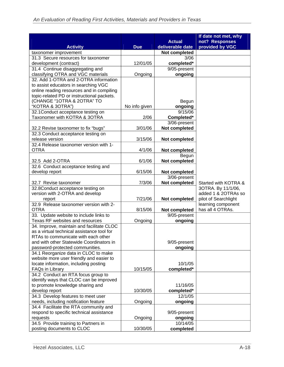|                                            |               | <b>Actual</b>    | If date not met, why<br>not? Responses |
|--------------------------------------------|---------------|------------------|----------------------------------------|
| <b>Activity</b>                            | <b>Due</b>    | deliverable date | provided by VGC                        |
| taxonomer improvement                      |               | Not completed    |                                        |
| 31.3 Secure resources for taxonomer        |               | 3/06             |                                        |
| development (contract)                     | 12/01/05      | completed*       |                                        |
| 31.4 Continue disaggregating and           |               | 9/05-present     |                                        |
| classifying OTRA and VGC materials         | Ongoing       | ongoing          |                                        |
| 32. Add 1-OTRA and 2-OTRA information      |               |                  |                                        |
| to assist educators in searching VGC       |               |                  |                                        |
| online reading resources and in compiling  |               |                  |                                        |
| topic-related PD or instructional packets. |               |                  |                                        |
| (CHANGE "1OTRA & 2OTRA" TO                 |               | Begun            |                                        |
| "KOTRA & 3OTRA")                           | No info given | ongoing          |                                        |
| 32.1Conduct acceptance testing on          |               | 9/15/06          |                                        |
| Taxonomer with KOTRA & 3OTRA               | 2/06          | Completed*       |                                        |
|                                            |               | 3/06-present     |                                        |
| 32.2 Revise taxonomer to fix "bugs"        | 3/01/06       | Not completed    |                                        |
| 32.3 Conduct acceptance testing on         |               |                  |                                        |
| release version                            | 3/15/06       | Not completed    |                                        |
| 32.4 Release taxonomer version with 1-     |               |                  |                                        |
| <b>OTRA</b>                                | 4/1/06        | Not completed    |                                        |
|                                            |               | Begun            |                                        |
| 32.5 Add 2-OTRA                            | 6/1/06        | Not completed    |                                        |
| 32.6 Conduct acceptance testing and        |               |                  |                                        |
| develop report                             | 6/15/06       | Not completed    |                                        |
|                                            |               | 3/06-present     |                                        |
| 32.7 Revise taxonomer                      | 7/3/06        | Not completed    | Started with KOTRA &                   |
| 32.8Conduct acceptance testing on          |               |                  | 3OTRA. By 11/1/06,                     |
| version with 2-OTRA and develop            |               |                  | added 1 & 2OTRAs so                    |
| report                                     | 7/21/06       | Not completed    | pilot of Searchlight                   |
| 32.9 Release taxonomer version with 2-     |               |                  | learning component                     |
| <b>OTRA</b>                                | 8/15/06       | Not completed    | has all 4 OTRAs.                       |
| 33. Update website to include links to     |               | 9/05-present     |                                        |
| Texas RF websites and resources            | Ongoing       | ongoing          |                                        |
| 34. Improve, maintain and facilitate CLOC  |               |                  |                                        |
| as a virtual technical assistance tool for |               |                  |                                        |
| RTAs to communicate with each other        |               |                  |                                        |
| and with other Statewide Coordinators in   |               | 9/05-present     |                                        |
| password-protected communities.            |               | ongoing          |                                        |
| 34.1 Reorganize data in CLOC to make       |               |                  |                                        |
| website more user friendly and easier to   |               |                  |                                        |
| locate information, including posting      |               | 10/1/05          |                                        |
| FAQs in Library                            | 10/15/05      | completed*       |                                        |
| 34.2 Conduct an RTA focus group to         |               |                  |                                        |
| identify ways that CLOC can be improved    |               |                  |                                        |
| to promote knowledge sharing and           |               | 11/16/05         |                                        |
| develop report                             | 10/30/05      | completed*       |                                        |
| 34.3 Develop features to meet user         |               | 12/1/05          |                                        |
| needs, including notification feature      | Ongoing       | ongoing          |                                        |
| 34.4 Facilitate the RTA community and      |               |                  |                                        |
| respond to specific technical assistance   |               | 9/05-present     |                                        |
| requests                                   | Ongoing       | ongoing          |                                        |
| 34.5 Provide training to Partners in       |               | 10/14/05         |                                        |
| posting documents to CLOC                  | 10/30/05      | completed        |                                        |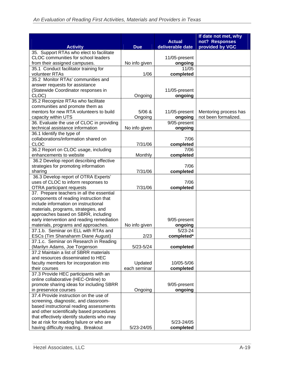|                                                                                     |               |                         | If date not met, why  |
|-------------------------------------------------------------------------------------|---------------|-------------------------|-----------------------|
|                                                                                     |               | <b>Actual</b>           | not? Responses        |
| <b>Activity</b><br>35. Support RTAs who elect to facilitate                         | <b>Due</b>    | deliverable date        | provided by VGC       |
| CLOC communities for school leaders                                                 |               | 11/05-present           |                       |
| from their assigned campuses.                                                       | No info given | ongoing                 |                       |
| 35.1 Conduct facilitator training for                                               |               | 11/05                   |                       |
| volunteer RTAs                                                                      | 1/06          | completed               |                       |
| 35.2 Monitor RTAs' communities and                                                  |               |                         |                       |
| answer requests for assistance                                                      |               |                         |                       |
| (Statewide Coordinator responses in                                                 |               | 11/05-present           |                       |
| CLOC)                                                                               | Ongoing       | ongoing                 |                       |
| 35.2 Recognize RTAs who facilitate                                                  |               |                         |                       |
| communities and promote them as                                                     |               |                         |                       |
| mentors for new RTA volunteers to build                                             | 5/06 &        | 11/05-present           | Mentoring process has |
| capacity within UTS                                                                 | Ongoing       | ongoing                 | not been formalized.  |
| 36. Evaluate the use of CLOC in providing                                           |               | 9/05-present            |                       |
| technical assistance information                                                    | No info given | ongoing                 |                       |
| 36.1 Identify the type of                                                           |               |                         |                       |
| collaborations/information shared on                                                |               | 7/06                    |                       |
| <b>CLOC</b>                                                                         | 7/31/06       | completed               |                       |
| 36.2 Report on CLOC usage, including                                                |               | 7/06                    |                       |
| enhancements to website                                                             | Monthly       | completed               |                       |
| 36.2 Develop report describing effective                                            |               |                         |                       |
| strategies for promoting information                                                |               | 7/06                    |                       |
| sharing                                                                             | 7/31/06       | completed               |                       |
| 36.3 Develop report of OTRA Experts'                                                |               |                         |                       |
| uses of CLOC to inform responses to                                                 |               | 7/06                    |                       |
| <b>OTRA</b> participant requests                                                    | 7/31/06       | completed               |                       |
| 37. Prepare teachers in all the essential<br>components of reading instruction that |               |                         |                       |
| include information on instructional                                                |               |                         |                       |
| materials, programs, strategies, and                                                |               |                         |                       |
| approaches based on SBRR, including                                                 |               |                         |                       |
| early intervention and reading remediation                                          |               | 9/05-present            |                       |
| materials, programs and approaches.                                                 | No info given | ongoing                 |                       |
| 37.1.b. Seminar on ELL with RTAs and                                                |               | $5/23 - 24$             |                       |
| ESCs (Tim Shanahanm Diane August)                                                   | 2/23          | completed*              |                       |
| 37.1.c. Seminar on Research in Reading                                              |               |                         |                       |
| (Marilyn Adams, Joe Torgenson                                                       | 5/23-5/24     | completed               |                       |
| 37.2 Maintain a list of SBRR materials                                              |               |                         |                       |
| and resources disseminated to HEC                                                   |               |                         |                       |
| faculty members for incorporation into                                              | Updated       | 10/05-5/06              |                       |
| their courses                                                                       | each seminar  | completed               |                       |
| 37.3 Provide HEC participants with an                                               |               |                         |                       |
| online collaborative (HEC-Online) to                                                |               |                         |                       |
| promote sharing ideas for including SBRR                                            |               | 9/05-present            |                       |
| in preservice courses                                                               | Ongoing       | ongoing                 |                       |
| 37.4 Provide instruction on the use of                                              |               |                         |                       |
| screening, diagnostic, and classroom-                                               |               |                         |                       |
| based instructional reading assessments                                             |               |                         |                       |
| and other scientifically based procedures                                           |               |                         |                       |
| that effectively identify students who may                                          |               |                         |                       |
| be at risk for reading failure or who are<br>having difficulty reading. Breakout    | 5/23-24/05    | 5/23-24/05<br>completed |                       |
|                                                                                     |               |                         |                       |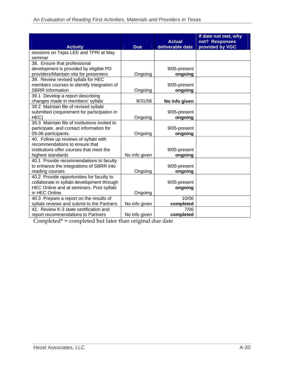| <b>Activity</b>                               | <b>Due</b>    | <b>Actual</b><br>deliverable date | If date not met, why<br>not? Responses<br>provided by VGC |
|-----------------------------------------------|---------------|-----------------------------------|-----------------------------------------------------------|
| sessions on Tejas LEE and TPRI at May         |               |                                   |                                                           |
| seminar                                       |               |                                   |                                                           |
| 38. Ensure that professional                  |               |                                   |                                                           |
| development is provided by eligible PD        |               | 9/05-present                      |                                                           |
| providers/Maintain vita for presenters        | Ongoing       | ongoing                           |                                                           |
| 39. Review revised syllabi for HEC            |               |                                   |                                                           |
| members courses to identify integration of    |               | 9/05-present                      |                                                           |
| <b>SBRR</b> information                       | Ongoing       | ongoing                           |                                                           |
| 39.1 Develop a report describing              |               |                                   |                                                           |
| changes made in members' syllabi              | 8/31/06       | No info given                     |                                                           |
| 39.2 Maintain file of revised syllabi         |               |                                   |                                                           |
| submitted (requirement for participation in   |               | 9/05-present                      |                                                           |
| HEC)                                          | Ongoing       | ongoing                           |                                                           |
| 39.3 Maintain file of institutions invited to |               |                                   |                                                           |
| participate, and contact information for      |               | 9/05-present                      |                                                           |
| 05-06 participants.                           | Ongoing       | ongoing                           |                                                           |
| 40. Follow up reviews of syllabi with         |               |                                   |                                                           |
| recommendations to ensure that                |               |                                   |                                                           |
| institutions offer courses that meet the      |               | 9/05-present                      |                                                           |
| highest standards                             | No info given | ongoing                           |                                                           |
| 40.1 Provide recommendations to faculty       |               |                                   |                                                           |
| to enhance the integrations of SBRR into      |               | 9/05-present                      |                                                           |
| reading courses                               | Ongoing       | ongoing                           |                                                           |
| 40.2 Provide opportunities for faculty to     |               |                                   |                                                           |
| collaborate in syllabi development through    |               | 9/05-present                      |                                                           |
| HEC Online and at seminars. Post syllabi      |               | ongoing                           |                                                           |
| in HEC Online.                                | Ongoing       |                                   |                                                           |
| 40.3 Prepare a report on the results of       |               | 10/06                             |                                                           |
| syllabi reviews and submit to the Partners    | No info given | completed                         |                                                           |
| 42. Review K-3 state certification and        |               | 7/06                              |                                                           |
| report recommendations to Partners            | No info given | completed                         |                                                           |

Completed\* = completed but later than original due date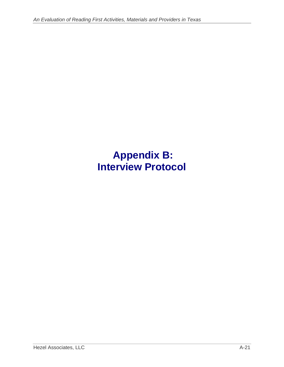## **Appendix B: Interview Protocol**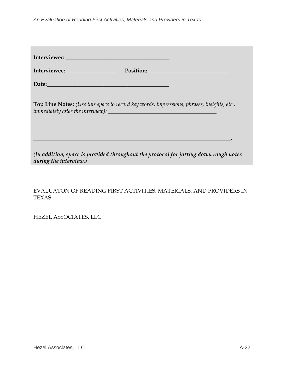| Interviewee: Position: Position:                                                                                                                                                                                               |  |
|--------------------------------------------------------------------------------------------------------------------------------------------------------------------------------------------------------------------------------|--|
| Date: No. 1996. The Commission of the Commission of the Commission of the Commission of the Commission of the Commission of the Commission of the Commission of the Commission of the Commission of the Commission of the Comm |  |
| <b>Top Line Notes:</b> (Use this space to record key words, impressions, phrases, insights, etc.,                                                                                                                              |  |
| (In addition, space is provided throughout the protocol for jotting down rough notes<br>during the interview.)                                                                                                                 |  |
|                                                                                                                                                                                                                                |  |

EVALUATON OF READING FIRST ACTIVITIES, MATERIALS, AND PROVIDERS IN TEXAS

HEZEL ASSOCIATES, LLC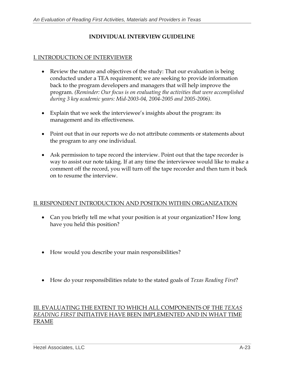## **INDIVIDUAL INTERVIEW GUIDELINE**

## I. INTRODUCTION OF INTERVIEWER

- Review the nature and objectives of the study: That our evaluation is being conducted under a TEA requirement; we are seeking to provide information back to the program developers and managers that will help improve the program. *(Reminder: Our focus is on evaluating the activities that were accomplished during 3 key academic years: Mid-2003-04, 2004-2005 and 2005-2006).*
- Explain that we seek the interviewee's insights about the program: its management and its effectiveness.
- Point out that in our reports we do not attribute comments or statements about the program to any one individual.
- Ask permission to tape record the interview. Point out that the tape recorder is way to assist our note taking. If at any time the interviewee would like to make a comment off the record, you will turn off the tape recorder and then turn it back on to resume the interview.

#### II. RESPONDENT INTRODUCTION AND POSITION WITHIN ORGANIZATION

- Can you briefly tell me what your position is at your organization? How long have you held this position?
- How would you describe your main responsibilities?
- How do your responsibilities relate to the stated goals of *Texas Reading First*?

#### III. EVALUATING THE EXTENT TO WHICH ALL COMPONENTS OF THE *TEXAS READING FIRST* INITIATIVE HAVE BEEN IMPLEMENTED AND IN WHAT TIME FRAME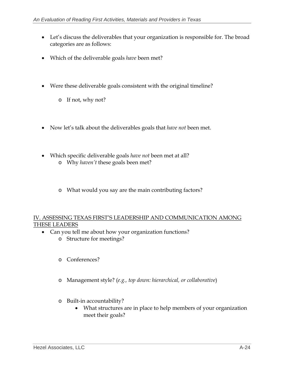- Let's discuss the deliverables that your organization is responsible for. The broad categories are as follows:
- Which of the deliverable goals *have* been met?
- Were these deliverable goals consistent with the original timeline?
	- o If not, why not?
- Now let's talk about the deliverables goals that *have not* been met.
- Which specific deliverable goals *have not* been met at all?
	- o Why *haven't* these goals been met?
	- o What would you say are the main contributing factors?

## IV. ASSESSING TEXAS FIRST'S LEADERSHIP AND COMMUNICATION AMONG THESE LEADERS

- Can you tell me about how your organization functions?
	- o Structure for meetings?
	- o Conferences?
	- o Management style? (*e.g., top down: hierarchical, or collaborative*)
	- o Built-in accountability?
		- What structures are in place to help members of your organization meet their goals?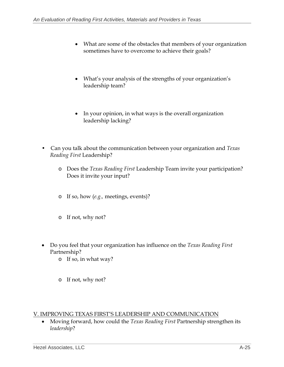- What are some of the obstacles that members of your organization sometimes have to overcome to achieve their goals?
- What's your analysis of the strengths of your organization's leadership team?
- In your opinion, in what ways is the overall organization leadership lacking?
- Can you talk about the communication between your organization and *Texas Reading First* Leadership?
	- o Does the *Texas Reading First* Leadership Team invite your participation? Does it invite your input?
	- o If so, how (*e.g.,* meetings, events)?
	- o If not, why not?
- Do you feel that your organization has influence on the *Texas Reading First*  Partnership?
	- o If so, in what way?
	- o If not, why not?

V. IMPROVING TEXAS FIRST'S LEADERSHIP AND COMMUNICATION

• Moving forward, how could the *Texas Reading First* Partnership strengthen its *leadership*?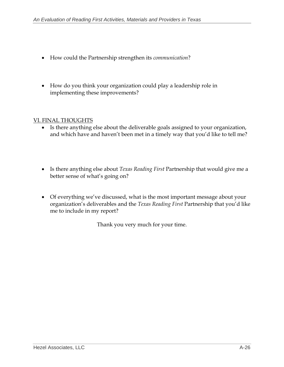- How could the Partnership strengthen its *communication*?
- How do you think your organization could play a leadership role in implementing these improvements?

## VI. FINAL THOUGHTS

- Is there anything else about the deliverable goals assigned to your organization, and which have and haven't been met in a timely way that you'd like to tell me?
- Is there anything else about *Texas Reading First* Partnership that would give me a better sense of what's going on?
- Of everything we've discussed, what is the most important message about your organization's deliverables and the *Texas Reading First* Partnership that you'd like me to include in my report?

Thank you very much for your time.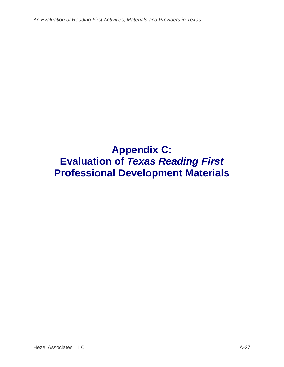# **Appendix C: Evaluation of** *Texas Reading First* **Professional Development Materials**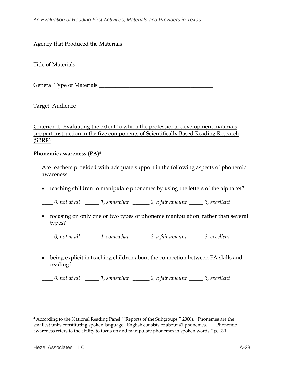Agency that Produced the Materials \_\_\_\_\_\_\_\_\_\_\_\_\_\_\_\_\_\_\_\_\_\_\_\_\_\_\_\_\_\_\_\_

Title of Materials

General Type of Materials \_\_\_\_\_\_\_\_\_\_\_\_\_\_\_\_\_\_\_\_\_\_\_\_\_\_\_\_\_\_\_\_\_\_\_\_\_\_\_\_\_

Target Audience \_\_\_\_\_\_\_\_\_\_\_\_\_\_\_\_\_\_\_\_\_\_\_\_\_\_\_\_\_\_\_\_\_\_\_\_\_\_\_\_\_\_\_\_\_\_\_\_\_

Criterion I. Evaluating the extent to which the professional development materials support instruction in the five components of Scientifically Based Reading Research (SBRR)

#### **Phonemic awareness (PA)4**

Are teachers provided with adequate support in the following aspects of phonemic awareness:

• teaching children to manipulate phonemes by using the letters of the alphabet?

*\_\_\_\_ 0, not at all \_\_\_\_\_ 1, somewhat \_\_\_\_\_\_ 2, a fair amount \_\_\_\_\_ 3, excellent* 

- focusing on only one or two types of phoneme manipulation, rather than several types?
- *\_\_\_\_ 0, not at all \_\_\_\_\_ 1, somewhat \_\_\_\_\_\_ 2, a fair amount \_\_\_\_\_ 3, excellent*
- being explicit in teaching children about the connection between PA skills and reading?

<sup>4</sup> According to the National Reading Panel ("Reports of the Subgroups," 2000), "Phonemes are the smallest units constituting spoken language. English consists of about 41 phonemes. . . Phonemic awareness refers to the ability to focus on and manipulate phonemes in spoken words," p. 2-1.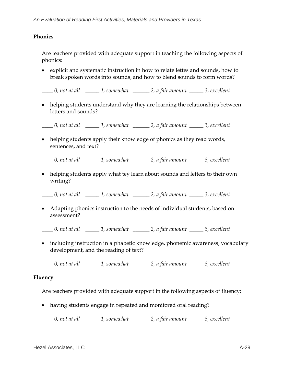#### **Phonics**

Are teachers provided with adequate support in teaching the following aspects of phonics:

- explicit and systematic instruction in how to relate lettes and sounds, how to break spoken words into sounds, and how to blend sounds to form words?
- *\_\_\_\_ 0, not at all \_\_\_\_\_ 1, somewhat \_\_\_\_\_\_ 2, a fair amount \_\_\_\_\_ 3, excellent*
- helping students understand why they are learning the relationships between letters and sounds?

*\_\_\_\_ 0, not at all \_\_\_\_\_ 1, somewhat \_\_\_\_\_\_ 2, a fair amount \_\_\_\_\_ 3, excellent* 

• helping students apply their knowledge of phonics as they read words, sentences, and text?

*\_\_\_\_ 0, not at all \_\_\_\_\_ 1, somewhat \_\_\_\_\_\_ 2, a fair amount \_\_\_\_\_ 3, excellent* 

• helping students apply what tey learn about sounds and letters to their own writing?

*\_\_\_\_ 0, not at all \_\_\_\_\_ 1, somewhat \_\_\_\_\_\_ 2, a fair amount \_\_\_\_\_ 3, excellent* 

• Adapting phonics instruction to the needs of individual students, based on assessment?

*\_\_\_\_ 0, not at all \_\_\_\_\_ 1, somewhat \_\_\_\_\_\_ 2, a fair amount \_\_\_\_\_ 3, excellent* 

• including instruction in alphabetic knowledge, phonemic awareness, vocabulary development, and the reading of text?

*\_\_\_\_ 0, not at all \_\_\_\_\_ 1, somewhat \_\_\_\_\_\_ 2, a fair amount \_\_\_\_\_ 3, excellent* 

#### **Fluency**

Are teachers provided with adequate support in the following aspects of fluency:

• having students engage in repeated and monitored oral reading?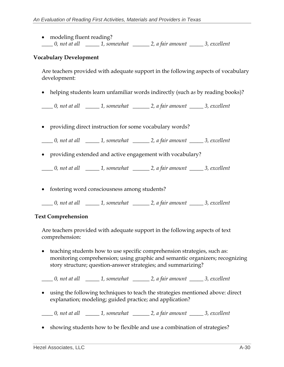• modeling fluent reading? *\_\_\_\_ 0, not at all \_\_\_\_\_ 1, somewhat \_\_\_\_\_\_ 2, a fair amount \_\_\_\_\_ 3, excellent* 

#### **Vocabulary Development**

Are teachers provided with adequate support in the following aspects of vocabulary development:

• helping students learn unfamiliar words indirectly (such a*s* by reading books)?

*\_\_\_\_ 0, not at all \_\_\_\_\_ 1, somewhat \_\_\_\_\_\_ 2, a fair amount \_\_\_\_\_ 3, excellent* 

• providing direct instruction for some vocabulary words?

*\_\_\_\_ 0, not at all \_\_\_\_\_ 1, somewhat \_\_\_\_\_\_ 2, a fair amount \_\_\_\_\_ 3, excellent* 

• providing extended and active engagement with vocabulary?

*\_\_\_\_ 0, not at all \_\_\_\_\_ 1, somewhat \_\_\_\_\_\_ 2, a fair amount \_\_\_\_\_ 3, excellent* 

• fostering word consciousness among students?

*\_\_\_\_ 0, not at all \_\_\_\_\_ 1, somewhat \_\_\_\_\_\_ 2, a fair amount \_\_\_\_\_ 3, excellent*

#### **Text Comprehension**

Are teachers provided with adequate support in the following aspects of text comprehension:

• teaching students how to use specific comprehension strategies, such as: monitoring comprehension; using graphic and semantic organizers; recognizing story structure; question-answer strategies; and summarizing?

*\_\_\_\_ 0, not at all \_\_\_\_\_ 1, somewhat \_\_\_\_\_\_ 2, a fair amount \_\_\_\_\_ 3, excellent* 

• using the following techniques to teach the strategies mentioned above: direct explanation; modeling; guided practice; and application?

*\_\_\_\_ 0, not at all \_\_\_\_\_ 1, somewhat \_\_\_\_\_\_ 2, a fair amount \_\_\_\_\_ 3, excellent* 

• showing students how to be flexible and use a combination of strategies?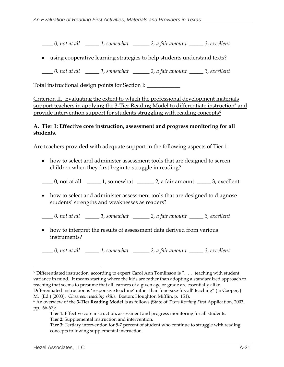*\_\_\_\_ 0, not at all \_\_\_\_\_ 1, somewhat \_\_\_\_\_\_ 2, a fair amount \_\_\_\_\_ 3, excellent* 

• using cooperative learning strategies to help students understand texts?

*\_\_\_\_ 0, not at all \_\_\_\_\_ 1, somewhat \_\_\_\_\_\_ 2, a fair amount \_\_\_\_\_ 3, excellent* 

Total instructional design points for Section I: **\_\_\_\_\_\_\_\_\_\_\_\_** 

Criterion II. Evaluating the extent to which the professional development materials support teachers in applying the 3-Tier Reading Model to differentiate instruction<sup>5</sup> and provide intervention support for students struggling with reading concepts<sup>6</sup>

#### **A. Tier 1: Effective core instruction, assessment and progress monitoring for all students.**

Are teachers provided with adequate support in the following aspects of Tier 1:

• how to select and administer assessment tools that are designed to screen children when they first begin to struggle in reading?

 $\Box$  0, not at all  $\Box$  1, somewhat  $\Box$  2, a fair amount  $\Box$  3, excellent

• how to select and administer assessment tools that are designed to diagnose students' strengths and weaknesses as readers?

*\_\_\_\_ 0, not at all \_\_\_\_\_ 1, somewhat \_\_\_\_\_\_ 2, a fair amount \_\_\_\_\_ 3, excellent* 

• how to interpret the results of assessment data derived from various instruments?

<sup>5</sup> Differentiated instruction, according to expert Carol Ann Tomlinson is ". . . teaching with student variance in mind. It means starting where the kids are rather than adopting a standardized approach to teaching that seems to presume that all learners of a given age or grade are essentially alike.

Differentiated instruction is 'responsive teaching' rather than 'one-size-fits-all' teaching" (in Cooper, J. M. (Ed.) (2003). *Classroom teaching skills.* Boston: Houghton Mifflin, p. 151).

<sup>6</sup> An overview of the **3-Tier Reading Model** is as follows (State of *Texas Reading First* Application, 2003, pp. 66-67):

**Tier 1:** Effective core instruction, assessment and progress monitoring for all students. **Tier 2:** Supplemental instruction and intervention.

**Tier 3:** Tertiary intervention for 5-7 percent of student who continue to struggle with reading concepts following supplemental instruction.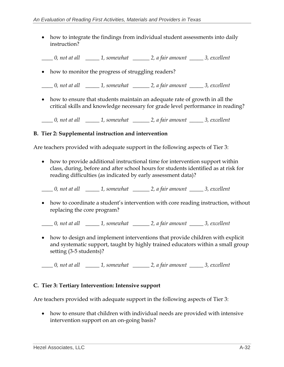• how to integrate the findings from individual student assessments into daily instruction?

*\_\_\_\_ 0, not at all \_\_\_\_\_ 1, somewhat \_\_\_\_\_\_ 2, a fair amount \_\_\_\_\_ 3, excellent* 

• how to monitor the progress of struggling readers?

*\_\_\_\_ 0, not at all \_\_\_\_\_ 1, somewhat \_\_\_\_\_\_ 2, a fair amount \_\_\_\_\_ 3, excellent* 

• how to ensure that students maintain an adequate rate of growth in all the critical skills and knowledge necessary for grade level performance in reading?

*\_\_\_\_ 0, not at all \_\_\_\_\_ 1, somewhat \_\_\_\_\_\_ 2, a fair amount \_\_\_\_\_ 3, excellent* 

#### **B. Tier 2: Supplemental instruction and intervention**

Are teachers provided with adequate support in the following aspects of Tier 3:

• how to provide additional instructional time for intervention support within class, during, before and after school hours for students identified as at risk for reading difficulties (as indicated by early assessment data)?

*\_\_\_\_ 0, not at all \_\_\_\_\_ 1, somewhat \_\_\_\_\_\_ 2, a fair amount \_\_\_\_\_ 3, excellent* 

• how to coordinate a student's intervention with core reading instruction, without replacing the core program?

*\_\_\_\_ 0, not at all \_\_\_\_\_ 1, somewhat \_\_\_\_\_\_ 2, a fair amount \_\_\_\_\_ 3, excellent* 

• how to design and implement interventions that provide children with explicit and systematic support, taught by highly trained educators within a small group setting (3-5 students)?

*\_\_\_\_ 0, not at all \_\_\_\_\_ 1, somewhat \_\_\_\_\_\_ 2, a fair amount \_\_\_\_\_ 3, excellent* 

## **C. Tier 3: Tertiary Intervention: Intensive support**

Are teachers provided with adequate support in the following aspects of Tier 3:

• how to ensure that children with individual needs are provided with intensive intervention support on an on-going basis?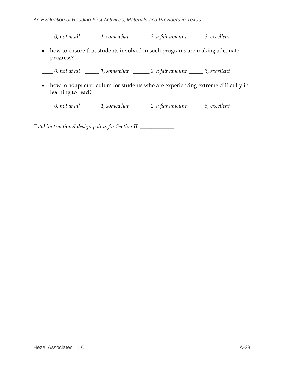*\_\_\_\_ 0, not at all \_\_\_\_\_ 1, somewhat \_\_\_\_\_\_ 2, a fair amount \_\_\_\_\_ 3, excellent* 

• how to ensure that students involved in such programs are making adequate progress?

*\_\_\_\_ 0, not at all \_\_\_\_\_ 1, somewhat \_\_\_\_\_\_ 2, a fair amount \_\_\_\_\_ 3, excellent* 

• how to adapt curriculum for students who are experiencing extreme difficulty in learning to read?

*\_\_\_\_ 0, not at all \_\_\_\_\_ 1, somewhat \_\_\_\_\_\_ 2, a fair amount \_\_\_\_\_ 3, excellent* 

*Total instructional design points for Section II: \_\_\_\_\_\_\_\_\_\_\_\_*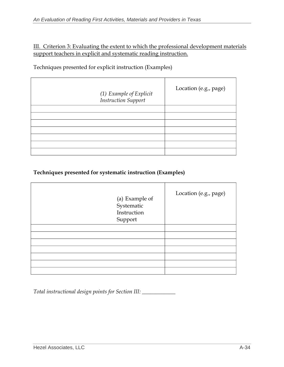## III. Criterion 3: Evaluating the extent to which the professional development materials support teachers in explicit and systematic reading instruction.

## Techniques presented for explicit instruction (Examples)

| (1) Example of Explicit<br>Instruction Support | Location (e.g., page) |
|------------------------------------------------|-----------------------|
|                                                |                       |
|                                                |                       |
|                                                |                       |
|                                                |                       |
|                                                |                       |
|                                                |                       |
|                                                |                       |

## **Techniques presented for systematic instruction (Examples)**

| (a) Example of<br>Systematic<br>Instruction<br>Support | Location (e.g., page) |
|--------------------------------------------------------|-----------------------|
|                                                        |                       |
|                                                        |                       |
|                                                        |                       |
|                                                        |                       |
|                                                        |                       |
|                                                        |                       |
|                                                        |                       |

*Total instructional design points for Section III: \_\_\_\_\_\_\_\_\_\_\_\_*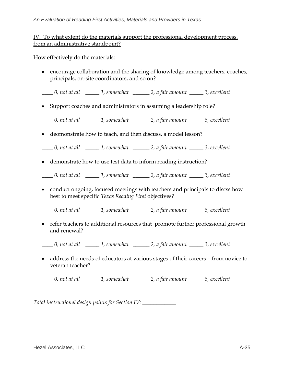## IV. To what extent do the materials support the professional development process, from an administrative standpoint?

How effectively do the materials:

- encourage collaboration and the sharing of knowledge among teachers, coaches, principals, on-site coordinators, and so on?
- *\_\_\_\_ 0, not at all \_\_\_\_\_ 1, somewhat \_\_\_\_\_\_ 2, a fair amount \_\_\_\_\_ 3, excellent*
- Support coaches and administrators in assuming a leadership role?

*\_\_\_\_ 0, not at all \_\_\_\_\_ 1, somewhat \_\_\_\_\_\_ 2, a fair amount \_\_\_\_\_ 3, excellent* 

• deomonstrate how to teach, and then discuss, a model lesson?

*\_\_\_\_ 0, not at all \_\_\_\_\_ 1, somewhat \_\_\_\_\_\_ 2, a fair amount \_\_\_\_\_ 3, excellent* 

• demonstrate how to use test data to inform reading instruction?

*\_\_\_\_ 0, not at all \_\_\_\_\_ 1, somewhat \_\_\_\_\_\_ 2, a fair amount \_\_\_\_\_ 3, excellent* 

• conduct ongoing, focused meetings with teachers and principals to discss how best to meet specific *Texas Reading First* objectives?

*\_\_\_\_ 0, not at all \_\_\_\_\_ 1, somewhat \_\_\_\_\_\_ 2, a fair amount \_\_\_\_\_ 3, excellent* 

- refer teachers to additional resources that promote further professional growth and renewal?
- *\_\_\_\_ 0, not at all \_\_\_\_\_ 1, somewhat \_\_\_\_\_\_ 2, a fair amount \_\_\_\_\_ 3, excellent*
- address the needs of educators at various stages of their careers––from novice to veteran teacher?

*\_\_\_\_ 0, not at all \_\_\_\_\_ 1, somewhat \_\_\_\_\_\_ 2, a fair amount \_\_\_\_\_ 3, excellent* 

*Total instructional design points for Section IV: \_\_\_\_\_\_\_\_\_\_\_\_*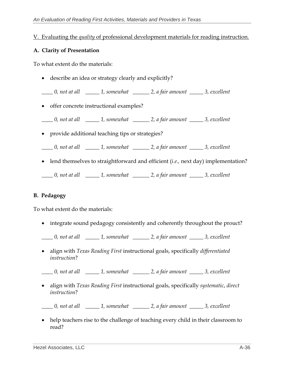## V. Evaluating the *quality* of professional development materials for reading instruction.

#### **A. Clarity of Presentation**

To what extent do the materials:

• describe an idea or strategy clearly and explicitly?

*\_\_\_\_ 0, not at all \_\_\_\_\_ 1, somewhat \_\_\_\_\_\_ 2, a fair amount \_\_\_\_\_ 3, excellent* 

• offer concrete instructional examples?

*\_\_\_\_ 0, not at all \_\_\_\_\_ 1, somewhat \_\_\_\_\_\_ 2, a fair amount \_\_\_\_\_ 3, excellent* 

- provide additional teaching tips or strategies?
- *\_\_\_\_ 0, not at all \_\_\_\_\_ 1, somewhat \_\_\_\_\_\_ 2, a fair amount \_\_\_\_\_ 3, excellent*
- lend themselves to straightforward and efficient (*i.e.,* next day) implementation?

*\_\_\_\_ 0, not at all \_\_\_\_\_ 1, somewhat \_\_\_\_\_\_ 2, a fair amount \_\_\_\_\_ 3, excellent* 

## **B. Pedagogy**

To what extent do the materials:

• integrate sound pedagogy consistently and coherently throughout the prouct?

*\_\_\_\_ 0, not at all \_\_\_\_\_ 1, somewhat \_\_\_\_\_\_ 2, a fair amount \_\_\_\_\_ 3, excellent* 

• align with *Texas Reading First* instructional goals, specifically *differentiated instruction*?

- align with *Texas Reading First* instructional goals, specifically *systematic*, *direct instruction*?
- *\_\_\_\_ 0, not at all \_\_\_\_\_ 1, somewhat \_\_\_\_\_\_ 2, a fair amount \_\_\_\_\_ 3, excellent*
- help teachers rise to the challenge of teaching every child in their classroom to read?